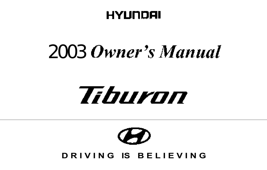# HYUNDAI

# 2003 Owner's Manual

# Tiburon

# $\boldsymbol{G}$ D R I V I N G IS BELIEVING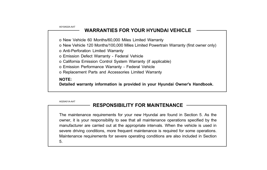A010A02A-AAT

## WARRANTIES FOR YOUR HYUNDAI VEHICLE

o New Vehicle 60 Months/60,000 Miles Limited Warranty

o New Vehicle 120 Months/100,000 Miles Limited Powertrain Warranty (first owner only)

o Anti-Perforation Limited Warranty

o Emission Defect Warranty - Federal Vehicle

o California Emission Control System Warranty (if applicable)

o Emission Performance Warranty - Federal Vehicle

o Replacement Parts and Accessories Limited Warranty

## NOTE:

Detailed warranty information is provided in your Hyundai Owner's Handbook.

A020A01A-AAT

## RESPONSIBILITY FOR MAINTENANCE

The maintenance requirements for your new Hyundai are found in Section 5. As the owner, it is your responsibility to see that all maintenance operations specified by the manufacturer are carried out at the appropriate intervals. When the vehicle is used in severe driving conditions, more frequent maintenance is required for some operations. Maintenance requirements for severe operating conditions are also included in Section 5.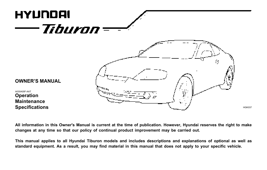

All information in this Owner's Manual is current at the time of publication. However, Hyundai reserves the right to make changes at any time so that our policy of continual product improvement may be carried out.

This manual applies to all Hyundai Tiburon models and includes descriptions and explanations of optional as well as standard equipment. As a result, you may find material in this manual that does not apply to your specific vehicle.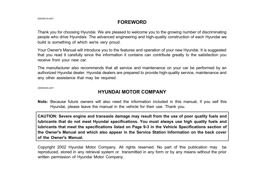## FOREWORD

Thank you for choosing Hyundai. We are pleased to welcome you to the growing number of discriminating people who drive Hyundais. The advanced engineering and high-quality construction of each Hyundai we build is something of which we're very proud.

Your Owner's Manual will introduce you to the features and operation of your new Hyundai. It is suggested that you read it carefully since the information it contains can contribute greatly to the satisfaction you receive from your new car.

The manufacturer also recommends that all service and maintenance on your car be performed by an authorized Hyundai dealer. Hyundai dealers are prepared to provide high-quality service, maintenance and any other assistance that may be required.

A050A04A-AAT

## HYUNDAI MOTOR COMPANY

Note: Because future owners will also need the information included in this manual, if you sell this Hyundai, please leave the manual in the vehicle for their use. Thank you.

CAUTION: Severe engine and transaxle damage may result from the use of poor quality fuels and lubricants that do not meet Hyundai specifications. You must always use high quality fuels and lubricants that meet the specifications listed on Page 9-3 in the Vehicle Specifications section of the Owner's Manual and which also appear in the Service Station Information on the back cover of the Owner's Manual.

Copyright 2002 Hyundai Motor Company. All rights reserved. No part of this publication may be reproduced, stored in any retrieval system or transmitted in any form or by any means without the prior written permission of Hyundai Motor Company.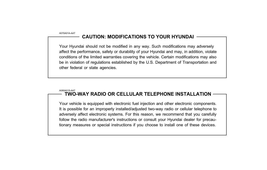A070A01A-AAT

## CAUTION: MODIFICATIONS TO YOUR HYUNDAI

Your Hyundai should not be modified in any way. Such modifications may adversely affect the performance, safety or durability of your Hyundai and may, in addition, violate conditions of the limited warranties covering the vehicle. Certain modifications may also be in violation of regulations established by the U.S. Department of Transportation and other federal or state agencies.

#### A080A01S-AAT TWO-WAY RADIO OR CELLULAR TELEPHONE INSTALLATION

Your vehicle is equipped with electronic fuel injection and other electronic components. It is possible for an improperly installed/adjusted two-way radio or cellular telephone to adversely affect electronic systems. For this reason, we recommend that you carefully follow the radio manufacturer's instructions or consult your Hyundai dealer for precautionary measures or special instructions if you choose to install one of these devices.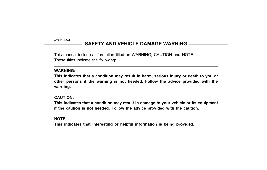A090A01A-AAT

## SAFFTY AND VEHICLE DAMAGE WARNING

This manual includes information titled as WARNING, CAUTION and NOTE. These titles indicate the following:

#### WARNING:

This indicates that a condition may result in harm, serious injury or death to you or other persons if the warning is not heeded. Follow the advice provided with the warning.

## CAUTION:

This indicates that a condition may result in damage to your vehicle or its equipment if the caution is not heeded. Follow the advice provided with the caution.

NOTE:

This indicates that interesting or helpful information is being provided.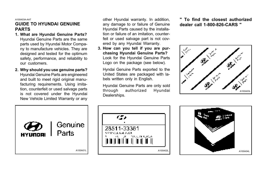A100A03A-AAT

## GUIDE TO HYUNDAI GENUINE PARTS

- 1. What are Hyundai Genuine Parts? Hyundai Genuine Parts are the same parts used by Hyundai Motor Company to manufacture vehicles. They are designed and tested for the optimum safety, performance, and reliability to our customers.
- 2. Why should you use genuine parts? Hyundai Genuine Parts are engineered and built to meet rigid original manufacturing requirements. Using imitation, counterfeit or used salvage parts is not covered under the Hyundai New Vehicle Limited Warranty or any

other Hyundai warranty. In addition, any damage to or failure of Genuine Hyundai Parts caused by the installation or failure of an imitation, counterfeit or used salvage part is not covered by any Hyundai Warranty.

3. How can you tell if you are purchasing Hyundai Genuine Parts? Look for the Hyundai Genuine Parts Logo on the package (see below).

Hyndai Genuine Parts exported to the United States are packaged with labels written only in English.

Hyundai Genuine Parts are only sold through authorized Hyundai Dealerships.

" To find the closest authorized dealer call 1-800-826-CARS "





10.7.19.3.40.6

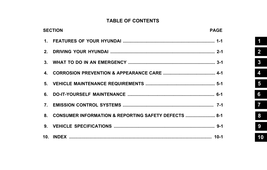## **TABLE OF CONTENTS**

| <b>SECTION</b><br><b>PAGE</b> |                                                         |  |
|-------------------------------|---------------------------------------------------------|--|
|                               |                                                         |  |
|                               |                                                         |  |
|                               |                                                         |  |
|                               |                                                         |  |
|                               |                                                         |  |
|                               |                                                         |  |
|                               |                                                         |  |
|                               | 8. CONSUMER INFORMATION & REPORTING SAFETY DEFECTS  8-1 |  |
|                               |                                                         |  |
|                               |                                                         |  |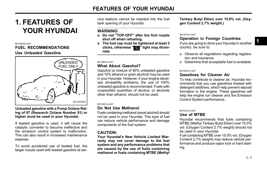#### B010A03A-AAT FUEL RECOMMENDATIONS Use Unleaded Gasoline



Unleaded gasoline with a Pump Octane Rating of 87 (Research Octane Number 91) or higher must be used in your Hyundai.

If leaded gasoline is used, it will cause the catalytic converter to become ineffective and the emission control system to malfunction. This can also result in increased maintenance expense.

To avoid accidental use of leaded fuel, the larger nozzle used with leaded gasoline at ser-

vice stations cannot be inserted into the fuel tank opening of your Hyundai.

## WARNING:

- o Do not "TOP-OFF" after the first nozzle shut off when refueling.
- o The fuel cap must be tightened at least 3 clicks, otherwise "<sup>"</sup> light may illuminate.

#### B010B01A-AAT What About Gasohol?

Gasohol (a mixture of 90% unleaded gasoline and 10% ethanol or grain alcohol) may be used in your Hyundai. However, if your engine develops driveability problems, the use of 100% unleaded gasoline is recommended. Fuels with unspecified quantities of alcohol, or alcohols other than ethanol, should not be used.

#### B010D01A-AAT

#### Do Not Use Methanol

Fuels containing methanol (wood alcohol) should not be used in your Hyundai. This type of fuel can reduce vehicle performance and damage components of the fuel system.

## CAUTION:

Your Hyundai's New Vehicle Limited Warranty may not cover damage to the fuel system and any performance problems that are caused by the use of fuels containing methanol or fuels containing MTBE (Methyl

Tertiary Butyl Ether) over 15.0% vol. (Oxygen Content 2.7% weight.)

#### B010F01A-AAT

## Operation in Foreign Countries

If you are going to drive your Hyundai in another country, be sure to:

- o Observe all regulations regarding registration and insurance.
- o Determine that acceptable fuel is available.

#### B010E01A-AAT

## Gasolines for Cleaner Air

To help contribute to cleaner air, Hyundai recommends that you use gasolines treated with detergent additives, which help prevent deposit formation in the engine. These gasolines will help the engine run cleaner and the Emission B010A02GK B010A02GK

#### B010C01A-AAT

#### Use of MTBE

Hyundai recommends that fuels containing MTBE (Methyl Tertiary Butyl Ether) over 15.0% vol. (Oxygen Content 2.7% weight) should not be used in your Hyundai.

Fuel containing MTBE over 15.0% vol. (Oxygen Content 2.7% weight) may reduce vehicle performance and produce vapor lock or hard starting.

1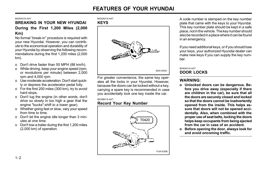#### B020A01S-AAT

## BREAKING IN YOUR NEW HYUNDAI During the First 1,200 Miles (2,000 Km)

No formal "break-in" procedure is required with your new Hyundai. However, you can contribute to the economical operation and durability of your Hyundai by observing the following recommendations during the first 1,200 miles (2,000 km).

- o Don't drive faster than 55 MPH (88 km/h).
- o While driving, keep your engine speed (rpm, or revolutions per minute) between 2,000 rpm and 4,000 rpm.
- o Use moderate acceleration. Don't start quickly or depress the accelerator pedal fully.
- o For the first 200 miles (300 km), try to avoid hard stops.
- o Don't lug the engine (in other words, don't drive so slowly in too high a gear that the engine "bucks"-shift to a lower gear).
- o Whether going fast or slow, vary your speed from time to time.
- o Don't let the engine idle longer than 3 minutes at one time.
- o Don't tow a trailer during the first 1,200 miles (2,000 km) of operation.

#### B030A01A-AAT KEYS



For greater convenience, the same key operates all the locks in your Hyundai. However, because the doors can be locked without a key, carrying a spare key is recommended in case you accidentally lock one key inside the car.

#### B030B01S-AAT

## Record Your Key Number



A code number is stamped on the key number plate that came with the keys to your Hyundai. This key number plate should be kept in a safe place, not in the vehicle. The key number should also be recorded in a place where it can be found in an emergency.

If you need additional keys, or if you should lose your keys, your authorized Hyundai dealer can make new keys if you can supply the key number.

#### B040A01A-AAT DOOR LOCKS

## WARNING:

- o Unlocked doors can be dangerous. Before you drive away (especially if there are children in the car), be sure that all the doors are securely closed and locked so that the doors cannot be inadvertently opened from the inside. This helps assure that doors will not be opened accidentally. Also, when combined with the proper use of seat belts, locking the doors helps keep occupants from being ejected from the car in case of an accident.
- o Before opening the door, always look for and avoid oncoming traffic.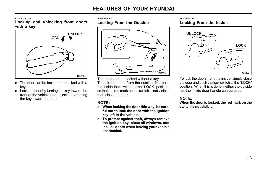B040B01A-AAT

Locking and unlocking front doors with a key



- o The door can be locked or unlocked with a key.
- o Lock the door by turning the key toward the front of the vehicle and unlock it by turning the key toward the rear.

B040C01S-AAT Locking From the Outside



The doors can be locked without a key. To lock the doors from the outside, first push the inside lock switch to the "LOCK" position, so that the red mark on the switch is not visible, then close the door.

## NOTE:

- o When locking the door this way, be careful not to lock the door with the ignition key left in the vehicle.
- o To protect against theft, always remove the ignition key, close all windows, and lock all doors when leaving your vehicle unattended.

B040D01S-AAT Locking From the Inside



To lock the doors from the inside, simply close the door and push the lock switch to the "LOCK" position. When this is done, neither the outside nor the inside door handle can be used.

## NOTE:

When the door is locked, the red mark on the switch is not visible.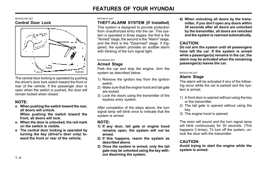#### B040G01GK-GAT Central Door Lock



The central door locking is operated by pushing the driver's door lock switch toward the front or rear of the vehicle. If the passenger door is open when the switch is pushed, the door will remain locked when closed.

## NOTE:

o When pushing the switch toward the rear, all doors will unlock.

When pushing the switch toward the front, all doors will lock.

- o When the door is unlocked, the red mark on the switch is visible.
- o The central door locking is operated by turning the key (driver's door only) toward the front or rear of the vehicle

#### B070A01A-AAT

## THEFT-ALARM SYSTEM (If Installed)

This system is designed to provide protection from unauthorized entry into the car. This system is operated in three stages: the first is the "Armed" stage, the second is the "Alarm" stage, and the third is the "Disarmed" stage. If triggered, the system provides an audible alarm with blinking of the turn signal light.

#### B070B02GK-AAT

#### Armed Stage

HGK099 System as described below. The series of the B070C01GK-AAT Park the car and stop the engine. Arm the

- 1) Remove the ignition key from the ignition switch.
- 2) Make sure that the engine hood and tail gate are locked.
- 3) Lock the doors using the transmitter of the keyless entry system.

After completion of the steps above, the turn signal lamp will blink once to indicate that the system is armed.

#### NOTE:

- 1) If any door, tail gate or engine hood remains open, the system will not be armed.
- 2) If this happens, rearm the system as described above.
- 3) Once the system is armed, only the tail gate may be unlocked using the key without disarming the system.

4) When unlocking all doors by the transmitter, if you don't open any doors within 30 seconds after all doors are unlocked by the transmitter, all doors are relocked and the system is rearmed automatically.

#### CAUTION:

Do not arm the system until all passengers have left the car. If the system is armed while a passenger(s) remains in the car, the alarm may be activated when the remaining passenger(s) leaves the car.

#### Alarm Stage

The alarm will be activated if any of the following occur while the car is parked and the system is armed.

- 1) A front door is opened without using the key or the transmitter.
- 2) The tail gate is opened without using the key.
- 3) The engine hood is opened.

The siren will sound and the turn signal lamp will blink continuously for 30 seconds. (This happens 3 times). To turn off the system, unlock the door with the transmitter.

## CAUTION:

Avoid trying to start the engine while the system is armed.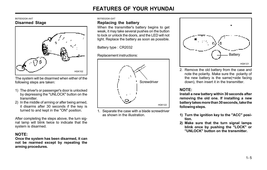#### B070D02GK-AAT Disarmed Stage



The system will be disarmed when either of the following steps are taken:

- 1) The driver's or passenger's door is unlocked by depressing the "UNLOCK" button on the transmitter.
- 2) In the middle of arming or after being armed, it disarms after 30 seconds if the key is turned to and kept in the "ON" position.

After completing the steps above, the turn signal lamp will blink twice to indicate that the system is disarmed.

## NOTE:

Once the system has been disarmed, it can not be rearmed except by repeating the arming procedures.

B070E02GK-GAT

#### Replacing the battery

When the transmitter's battery begins to get weak, it may take several pushes on the button to lock or unlock the doors, and the LED will not light. Replace the battery as soon as possible.

Battery type : CR2032

Replacement instructions:



1. Separate the case with a blade screwdriver as shown in the illustration.



2. Remove the old battery from the case and note the polarity. Make sure the polarity of the new battery is the same(+side facing down), then insert it in the transmitter.

## NOTE:

Install a new battery within 30 seconds after removing the old one. If installing a new battery takes more than 30 seconds, take the following steps.

- 1) Turn the ignition key to the "ACC" position.
- 2) Make sure that the turn signal lamps blink once by pushing the "LOCK" or "UNLOCK" button on the transmitter.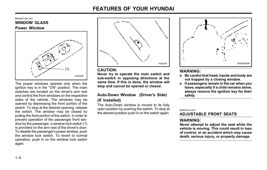

The power windows operate only when the ignition key is in the "ON" position. The main switches are located on the driver's arm rest and control the front windows on the respective sides of the vehicle. The windows may be opened by depressing the front portion of the switch. To stop at the desired opening, release the switch. The window may be closed by pulling the front portion of the switch. In order to prevent operation of the passenger front window by the passenger, a window lock switch (1) is provided on the arm rest of the driver's door. To disable the passenger's power window, push the window lock switch. To revert to normal operation, push in on the window lock switch again.



#### CAUTION:

Never try to operate the main switch and sub-switch in opposing directions at the same time. If this is done, the window will stop and cannot be opened or closed.

## Auto-Down Window (Driver's Side) (If Installed)

The Auto-Down window is moved to its fully open position by pushing the switch. To stop at the desired position push in on the switch again.



## WARNING:

- o Be careful that head, hands and body are not trapped by a closing window.
- o If passengers remain in the car when you leave, especially if a child remains alone, always remove the ignition key for their safety.

B080A01A-AAT

ADJUSTABLE FRONT SEATS

## WARNING:

Never attempt to adjust the seat while the vehicle is moving. This could result in loss of control, or an accident which may cause death, serious injury, or property damage.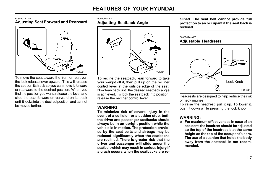#### B080B01A-AAT Adjusting Seat Forward and Rearward



To move the seat toward the front or rear, pull the lock release lever upward. This will release the seat on its track so you can move it forward or rearward to the desired position. When you find the position you want, release the lever and slide the seat forward or rearward on its track until it locks into the desired position and cannot be moved further.

#### B080C01A-AAT Adjusting Seatback Angle



To recline the seatback, lean forward to take your weight off it, then pull up on the recliner control lever at the outside edge of the seat. Now lean back until the desired seatback angle is achieved. To lock the seatback into position, release the recliner control lever.

## WARNING:

To minimize risk of severe injury in the event of a collision or a sudden stop, both the driver and passenger seatbacks should always be in an upright position while the vehicle is in motion. The protection provided by the seat belts and airbags may be reduced significantly when the seatbacks are reclined. There is greater risk that the driver and passenger will slide under the seatbelt which may result in serious injury if a crash occurs when the seatbacks are reclined. The seat belt cannot provide full protection to an occupant if the seat back is reclined.

#### B080D02A-AAT Adjustable Headrests



Headrests are designed to help reduce the risk of neck injuries.

To raise the headrest, pull it up. To lower it, push it down while pressing the lock knob.

## WARNING:

o For maximum effectiveness in case of an accident, the headrest should be adjusted so the top of the headrest is at the same height as the top of the occupant's ears. The use of a cushion that holds the body away from the seatback is not recommended.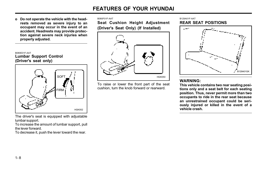o Do not operate the vehicle with the headrests removed as severe injury to an occupant may occur in the event of an accident. Headrests may provide protection against severe neck injuries when properly adjusted.



The driver's seat is equipped with adjustable lumbar support.

To increase the amount of lumbar support, pull the lever forward.

To decrease it, push the lever toward the rear.

#### B080F01F-AAT

Seat Cushion Height Adjustment (Driver's Seat Only) (If Installed)



To raise or lower the front part of the seat cushion, turn the knob forward or rearward.

#### B129A01F-AAT REAR SEAT POSITIONS



## WARNING:

This vehicle contains two rear seating positions only and a seat belt for each seating position. Thus, never permit more than two occupants to ride in the rear seat because an unrestrained occupant could be seriously injured or killed in the event of a vehicle crash.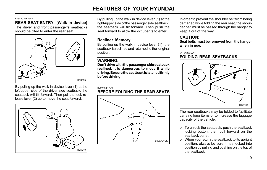#### B130A02GK-GAT

#### REAR SEAT ENTRY (Walk in device)

The driver and front passenger's seatbacks should be tilted to enter the rear seat.



By pulling up the walk in device lever (1) at the left-upper side of the driver side seatback, the seatback will tilt forward. Then pull the lock release lever (2) up to move the seat forward.



By pulling up the walk in device lever (1) at the right-upper side of the passenger side seatback, the seatback will tilt forward. Then push the seat forward to allow the occupants to enter.

## Recliner Memory

By pulling up the walk in device lever (1) the seatback is reclined and returned to the original position.

## WARNING:

Don't drive with the passenger side seatback reclined. It is dangerous to move it while driving. Be sure the seatback is latched firmly before driving.

## B099A02F-AAT

## BEFORE FOLDING THE REAR SEATS



In order to prevent the shoulder belt from being damaged while folding the rear seat, the shoulder belt must be passed through the hanger to keep it out of the way.

#### CAUTION:

Seat belts must be removed from the hanger when in use.

#### B110A02S-AAT

#### FOLDING REAR SEATBACKS



The rear seatbacks may be folded to facilitate carrying long items or to increase the luggage capacity of the vehicle.

- o To unlock the seatback, push the seatback locking button, then pull forward on the seatback panel.
- o When you return the seatback to its upright position, always be sure it has locked into position by pulling and pushing on the top of the seatback.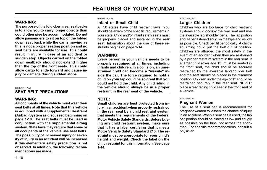## WARNING:

The purpose of the fold-down rear seatbacks is to allow you to carry longer objects than could otherwise be accommodated. Do not allow passengers to sit on top of the folded down seat back while the car is moving as this is not a proper seating position and no seat belts are available for use. This could result in injury in case of an accident or sudden stop. Objects carried on the folded down seatback should not extend higher than the top of the front seats. This could allow cargo to slide forward and cause injury or damage during sudden stops.

#### B150A01F-AAT

#### SEAT BELT PRECAUTIONS

#### WARNING:

All occupants of the vehicle must wear their seat belts at all times. Note that this vehicle is equipped with a Supplemental Restraint (Airbag) System as discussed beginning on page 1-18. The seat belts must be used in conjunction with the supplemental airbag system. State laws may require that some or all occupants of the vehicle use seat belts. The possibility of increased injury or severity of injury in an accident will be increased if this elementary safety precaution is not observed. In addition, the following recommendations are made:

#### B150B01F-AAT

#### Infant or Small Child

All 50 states have child restraint laws. You should be aware of the specific requirements in your state. Child and/or infant safety seats must be properly placed and installed in the rear seat. Information about the use of these restraints begins on page 1-14.

#### WARNING:

Every person in your vehicle needs to be properly restrained at all times, including infants and children. In a collision, an unrestrained child can become a "missile" inside the car. The force required to hold a child on your lap could be so great that you could not hold the child. Any child riding in the vehicle should always be in a proper restraint in the rear seat of the vehicle.

#### NOTE:

Small children are best protected from injury in an accident when properly restrained in the rear seat by a child restraint system that meets the requirements of the Federal Motor Vehicle Safety Standards. Before buying any child restraint system, make sure that it has a label certifying that it meets Motor Vehicle Safety Standard 213. The restraint must be appropriate for your child's height and weight. Check the label on the child restraint for this information. See page 1-14.

#### B150C02A-AAT

#### Larger Children

Children who are too large for child restraint systems should occupy the rear seat and use the available lap/shoulder belts. The lap portion should be fastened snug on the hips and as low as possible. Check belt fit periodically. A child's squirming could put the belt out of position. Children are afforded the most safety in the event of an accident when they are restrained by a proper restraint system in the rear seat. If a larger child (over age 13) must be seated in the front seat, the child should be securely restrained by the available lap/shoulder belt and the seat should be placed in the rearmost position. Children under the age of 13 should be restrained securely in the rear seat. NEVER place a rear facing child seat in the front seat of a vehicle.

#### B150D01A-AAT

#### Pregnant Women

The use of a seat belt is recommended for pregnant women to lessen the chance of injury in an accident. When a seat belt is used, the lap belt portion should be placed as low and snugly as possible on the hips, not across the abdomen. For specific recommendations, consult a physician.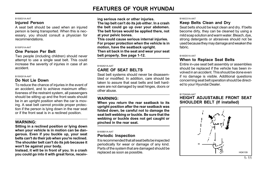#### B150E01A-AAT

#### **Injured Person**

A seat belt should be used when an injured person is being transported. When this is necessary, you should consult a physician for recommendations.

#### B150F01A-AAT

#### One Person Per Belt

Two people (including children) should never attempt to use a single seat belt. This could increase the severity of injuries in case of an accident.

#### B150G01A-AAT

#### Do Not Lie Down

To reduce the chance of injuries in the event of an accident, and to achieve maximum effectiveness of the restraint system, all passengers should be sitting up and the front seats should be in an upright position when the car is moving. A seat belt cannot provide proper protection if the person is lying down in the rear seat or if the front seat is in a reclined position.

#### WARNING:

Sitting in a reclined position or lying down when your vehicle is in motion can be dangerous. Even if you buckle up, your seat belts can't do their job when you're reclined. The shoulder belt can't do its job because it won't be against your body.

Instead, it will be in front of you. In a crash you could go into it with great force, receiving serious neck or other injuries.

The lap belt can't do its job either. In a crash the belt could go up over your abdomen. The belt forces would be applied there, not at your pelvic bones.

This could cause serious internal injuries. For proper protection when the vehicle is in motion, have the seatback upright. Then sit back in the seat and wear your seat belt properly. See page 1-12.

#### B160A01A-AAT

## CARE OF SEAT BELTS

Seat belt systems should never be disassembled or modified. In addition, care should be taken to assure that seat belts and belt hardware are not damaged by seat hinges, doors or other abuse.

#### WARNING:

When you return the rear seatback to its upright position after the rear seatback was folded down, be careful not to damage the seat belt webbing or buckle. Be sure that the webbing or buckle does not get caught or pinched in the rear seat.

#### B160B01A-AAT

#### Periodic Inspection

It is recommended that all seat belts be inspected periodically for wear or damage of any kind. Parts of the system that are damaged should be replaced as soon as possible.

#### B160C01A-AAT

#### Keep Belts Clean and Dry

Seat belts should be kept clean and dry. If belts become dirty, they can be cleaned by using a mild soap solution and warm water. Bleach, dye, strong detergents or abrasives should not be used because they may damage and weaken the fabric.

#### B160D01A-AAT

#### When to Replace Seat Belts

Entire in-use seat belt assembly or assemblies should be replaced if the vehicle has been involved in an accident. This should be done even if no damage is visible. Additional questions concerning seat belt operation should be directed to your Hyundai Dealer.

#### B170A04A-AAT

#### HEIGHT ADJUSTABLE FRONT SEAT SHOULDER BELT (If installed)

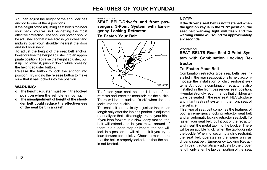You can adjust the height of the shoulder belt anchor to one of the 4 positions.

If the height of the adjusting seat belt is too near your neck, you will not be getting the most effective protection. The shoulder portion should be adjusted so that it lies across your chest and midway over your shoulder nearest the door and not your neck.

To adjust the height of the seat belt anchor. lower or raise the height adjuster into an appropriate position. To raise the height adjuster, pull it up. To lower it, push it down while pressing the height adjuster button.

Release the button to lock the anchor into position. Try sliding the release button to make sure that it has locked into the position.

#### WARNING:

- o The height adjuster must be in the locked position when the vehicle is moving.
- o The misadjustment of height of the shoulder belt could reduce the effectiveness of the seat belt in a crash.

B180A01GK-AAT

SEAT BELT-Driver's and front passengers 3-Point System with Emergency Locking Retractor To Fasten Your Belt



To fasten your seat belt, pull it out of the retractor and insert the metal tab into the buckle. There will be an audible "click" when the tab locks into the buckle.

The seat belt automatically adjusts to the proper length only after the lap belt portion is adjusted manually so that it fits snugly around your hips. If you lean forward in a slow, easy motion, the belt will extend and let you move around. If there is a sudden stop or impact, the belt will lock into position. It will also lock if you try to lean forward too quickly. Check to make sure that the belt is properly locked and that the belt is not twisted.

#### NOTE:

If the driver's seat belt is not fastened when the ignition key is in the "ON" position, the seat belt warning light will flash and the warning chime will sound for approximately six seconds.

#### B190A01GK-AAT

SEAT BELTS Rear Seat 3-Point System with Combination Locking Retractor

#### To Fasten Your Belt

Combination retractor type seat belts are installed in the rear seat positions to help accommodate the installation of child restraint systems. Although a combination retractor is also installed in the front passenger seat position, Hyundai strongly recommends that children always be seated in the rear seat. NEVER place any infant restraint system in the front seat of the vehicle.

This type of seat belt combines the features of both an emergency locking retractor seat belt and an automatic locking retractor seat belt. To fasten your seat belt, pull it out of the retractor and insert the metal tab into the buckle. There will be an audible "click" when the tab locks into the buckle. When not securing a child restraint, the seat belt operates in the same way as driver's seat belt (Emergency Locking Retractor Type). It automatically adjusts to the proper length only after the lap belt portion of the seat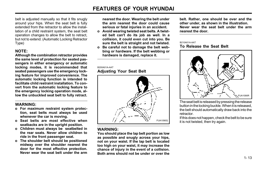belt is adjusted manually so that it fits snugly around your hips. When the seat belt is fully extended from the retractor to allow the installation of a child restraint system, the seat belt operation changes to allow the belt to retract, but not to extend. (Automatic Locking Retractor Type)

## NOTE:

Although the combination retractor provides the same level of protection for seated passengers in either emergency or automatic locking modes, it is recommended that seated passengers use the emergency locking feature for improved convenience. The automatic locking function is intended to facilitate child restraint installation. To convert from the automatic locking feature to the emergency locking operation mode, allow the unbuckled seat belt to fully retract.

#### WARNING:

- o For maximum restraint system protection, seat belts must always be used whenever the car is moving.
- o Seat belts are most effective when seatbacks are in the upright position.
- o Children must always be seatbelted in the rear seats. Never allow children to ride in the front passenger seat.
- o The shoulder belt should be positioned midway over the shoulder nearest the door for the most effective protection. Never wear the seat belt under the arm

nearest the door. Wearing the belt under the arm nearest the door could cause serious or fatal injuries in an accident.

- o Avoid wearing twisted seat belts. A twisted belt can't do its job as well. In a collision, it could even cut into you. Be sure the belt is straight and not twisted.
- o Be careful not to damage the belt webbing or hardware. If the belt webbing or hardware is damaged, replace it.

#### B200A01A-AAT

#### Adjusting Your Seat Belt



#### WARNING:

You should place the lap belt portion as low as possible and snugly across your hips, not on your waist. If the lap belt is located too high on your waist, it may increase the chance of injury in the event of a collision. Both arms should not be under or over the belt. Rather, one should be over and the other under, as shown in the illustration. Never wear the seat belt under the arm nearest the door.

#### B210A01A-AAT

#### To Release the Seat Belt



The seat belt is released by pressing the release button in the locking buckle. When it is released, the belt should automatically draw back into the retractor.

If this does not happen, check the belt to be sure it is not twisted, then try again.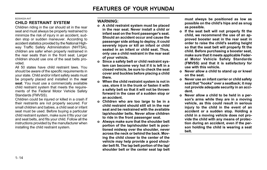#### B230A02A-AAT

## CHILD RESTRAINT SYSTEM

Children riding in the car should sit in the rear seat and must always be properly restrained to minimize the risk of injury in an accident, sudden stop or sudden maneuver. According to accident statistics provided by the National Highway Traffic Safety Administration (NHTSA), children are safer when properly restrained in the rear seats than in the front seat. Larger children should use one of the seat belts provided.

All 50 states have child restraint laws. You should be aware of the specific requirements in your state. Child and/or infant safety seats must be properly placed and installed in the rear seat. You must use a commercially available child restraint system that meets the requirements of the Federal Motor Vehicle Safety Standards (FMVSS).

Children could be injured or killed in a crash if their restraints are not properly secured. For small children and babies, a child seat or infant seat must be used. Before buying a particular child restraint system, make sure it fits your car and seat belts, and fits your child. Follow all the instructions provided by the manufacturer when installing the child restraint system.

#### WARNING:

- o A child restraint system must be placed in the rear seat. Never install a child or infant seat on the front passenger's seat. Should an accident occur and cause the passenger side airbag to deploy, it could severely injure or kill an infant or child seated in an infant or child seat. Thus, only use a child restraint in the rear seat of your vehicle.
- o Since a safety belt or child restraint system can become very hot if it is left in a closed vehicle, be sure to check the seat cover and buckles before placing a child there.
- o When the child restraint system is not in use, store it in the trunk or fasten it with a safety belt so that it will not be thrown forward in the case of a sudden stop or an accident.
- o Children who are too large to be in a child restraint should still sit in the rear seat and be restrained with the available lap/shoulder belts. Never allow children to ride in the front passenger seat.
- o Always make sure that the shoulder belt portion of the lap/shoulder belt is positioned midway over the shoulder, never across the neck or behind the back. Moving the child closer to the center of the vehicle may help provide a good shoulder belt fit. The lap belt portion of the lap/ shoulder belt or the center seat lap belt

must always be positioned as low as possible on the child's hips and as snug as possible.

- o If the seat belt will not properly fit the child, we recommend the use of an approved booster seat in the rear seat in order to raise the child's seating height so that the seat belt will properly fit the child. Before purchasing a booster seat, make sure that it meets applicable Federal Motor Vehicle Safety Standards (FMVSS) and that it is satisfactory for use with this vehicle.
- o Never allow a child to stand up or kneel on the seat.
- o Never use an infant carrier or child safety seat that "hooks" over a seatback; it may not provide adequate security in an accident.
- o Never allow a child to be held in a person's arms while they are in a moving vehicle, as this could result in serious injury to the child in the event of an accident or a sudden stop. Holding a child in a moving vehicle does not provide the child with any means of protection during an accident, even if the person holding the child is wearing a seat belt.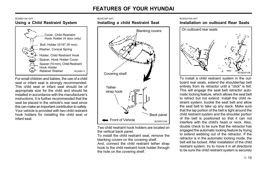B230C02F-AAT

#### B230B01GK-GAT Using a Child Restraint System



For small children and babies, the use of a child seat or infant seat is strongly recommended. This child seat or infant seat should be of appropriate size for the child and should be installed in accordance with the manufacturer's instructions. It is further recommended that the seat be placed in the vehicle's rear seat since this can make an important contribution to safety. Your vehicle is provided with two child restraint hook holders for installing the child seat or infant seat.



Two child restraint hook holders are located on the vertical back panel.

To install the child restraint seat, remove the blanking covers on the covering shelf.

And, connect the child restraint tether strap hook to the child restraint hook holder through the hole on the covering shelf.

#### B230G01GK-AAT

Installation on outboard Rear Seats



To install a child restraint system in the outboard rear seats, extend the shoulder/lap belt entirely from its retractor until a "click" is felt. This will engage the seat belt retractor automatic locking feature, which allows the seat belt to retract but not extend. Install the child restraint system, buckle the seat belt and allow the seat belt to take up any slack. Make sure that the lap portion of the belt is tight around the child restraint system and the shoulder portion of the belt is positioned so that it can not interfere with the child's head or neck. Also, double check to be sure that the retractor has engaged the automatic locking feature by trying to extend webbing out of the retractor. If the retractor is in the automatic locking mode, the belt will be locked. After installation of the child restraint system, try to move it in all directions to be sure the child restraint system is securely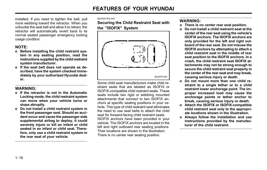installed. If you need to tighten the belt, pull more webbing toward the retractor. When you unbuckle the seat belt and allow it to retract, the retractor will automatically revert back to its normal seated passenger emergency locking usage condition.

## NOTE:

- o Before installing the child restraint system in any seating position, read the instructions supplied by the child restraint system manufacturer.
- o If the seat belt does not operate as described, have the system checked immediately by your authorized Hyundai dealer.

## WARNING:

- o If the retractor is not in the Automatic Locking mode, the child restraint system can move when your vehicle turns or stops abruptly.
- o Do not install a child restraint system in the front passenger seat. Should an accident occur and cause the passenger side supplemental airbag to deploy, it could severely injure or kill an infant or child seated in an infant or child seat. Therefore, only use a child restraint system in the rear seat of your vehicle.

#### B230D01GK-AAT

Securing the Child Restraint Seat with the "ISOFIX" System



Some child seat manufacturers make child restraint seats that are labeled as ISOFIX or ISOFIX-compatible child restraint seats. These seats include two rigid or webbing mounted attachments that connect to two ISOFIX anchors at specific seating positions in your vehicle. This type of child restraint seat eliminates the need to use seat belts to attach the child seat for forward-facing child restraint seats. ISOFIX anchors have been provided in your vehicle. The ISOFIX anchors are located in the left and right outboard rear seating positions. Their locations are shown in the illustration. There is no center rear seating position.

## WARNING:

- o There is no center rear seat position.
- o Do not install a child restraint seat at the center of the rear seat using the vehicle's ISOFIX anchors. The ISOFIX anchors are only provided for the left and right outboard of the rear seat. Do not misuse the ISOFIX anchors by attempting to attach a child restraint seat in the middle of rear seat position to the ISOFIX anchors. In a crash, the child restraint seat ISOFIX attachments may not be strong enough to secure the child restraint seat properly in the center of the rear seat and may break, causing serious injury or death.
- o Do not mount more than one child restraint to a single tether or to a child restraint lower anchorage point. The improper increased load may cause the anchorage points or tether anchor to break, causing serious injury or death.
- o Attach the ISOFIX or ISOFIX-compatible child restraint seat only to the appropriate locations shown in the illustration.
- o Always follow the installation and use instructions provided by the manufacturer of the child restraint.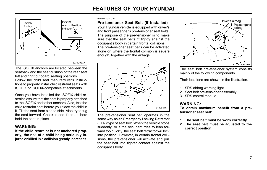

The ISOFIX anchors are located between the seatback and the seat cushion of the rear seat left and right outboard seating positions. Follow the child seat manufacturer's instructions to properly install child restraint seats with ISOFIX or ISOFIX-compatible attachments.

Once you have installed the ISOFIX child restraint, assure that the seat is properly attached to the ISOFIX and tether anchors. Also, test the child restraint seat before you place the child in it. Tilt the seat from side to side. Also try to tug the seat forward. Check to see if the anchors hold the seat in place.

## WARNING:

If the child restraint is not anchored properly, the risk of a child being seriously injured or killed in a collision greatly increases.

#### B180B01GK-GAT

#### Pre-tensioner Seat Belt (If Installed)

Your Hyundai vehicle is equipped with driver's and front passenger's pre-tensioner seat belts. The purpose of the pre-tensioner is to make sure that the seat belts fit tightly against the occupant's body in certain frontal collisions. The pre-tensioner seat belts can be activated alone or, where the frontal collision is severe enough, together with the airbags.



The pre-tensioner seat belt operates in the same way as an Emergency Locking Retractor (ELR) type of seat belt. When the vehicle stops suddenly, or if the occupant tries to lean forward too quickly, the seat belt retractor will lock into position. However, in certain frontal collisions, the pre-tensioner will activate and pull the seat belt into tighter contact against the occupant's body.



The seat belt pre-tensioner system consists mainly of the following components.

Their locations are shown in the illustration.

- 1. SRS airbag warning light
- 2. Seat belt pre-tensioner assembly
- 3. SRS control module

#### WARNING:

To obtain maximum benefit from a pretensioner seat belt:

- 1. The seat belt must be worn correctly.
- 2. The seat belt must be adjusted to the correct position.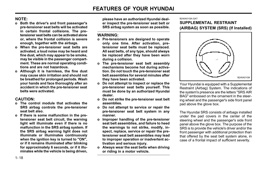## NOTE:

- o Both the driver's and front passenger's pre-tensioner seat belts will be activated in certain frontal collisions. The pretensioner seat belts can be activated alone or, where the frontal collision is severe enough, together with the airbags.
- o When the pre-tensioner seat belts are activated, a loud noise may be heard and fine dust, which may appear to be smoke, may be visible in the passenger compartment. These are normal operating conditions and are not hazardous.
- o Although it is harmless, the fine dust may cause skin irritation and should not be breathed for prolonged periods. Wash your hands and face thoroughly after an accident in which the pre-tensioner seat belts were activated.

#### CAUTION:

- o The control module that activates the SRS airbag controls the pre-tensioner seat belt also.
- o If there is some malfunction in the pretensioner seat belt circuit, the warning light will illuminate even if there is no malfunction in the SRS airbag system. If the SRS airbag warning light does not illuminate or illuminates continuously when the ignition key is turned to "ON". or if it remains illuminated after blinking for approximately 6 seconds, or if it illuminates while the vehicle is being driven,

please have an authorized Hyundai dealer inspect the pre-tensioner seat belt or SRS airbag system as soon as possible.

#### WARNING:

- o Pre-tensioners are designed to operate only one time. After activation, pretensioner seat belts must be replaced. All seat belts, of any type, should always be replaced after they have been worn during a collision.
- o The pre-tensioner seat belt assembly mechanisms become hot during activation. Do not touch the pre-tensioner seat belt assemblies for several minutes after they have been activated.
- o Do not attempt to inspect or replace the pre-tensioner seat belts yourself. This must be done by an authorized Hyundai dealer.
- o Do not strike the pre-tensioner seat belt assemblies.
- o Do not attempt to service or repair the pre-tensioner seat belt system in any manner.
- o Improper handling of the pre-tensioner seat belt assemblies, and failure to heed the warnings to not strike, modify, inspect, replace, service or repair the pretensioner seat belt assemblies may lead to improper operation or inadvertent activation and serious injury.
- o Always wear the seat belts when driving or riding in a motor vehicle.

#### B240A01GK-GAT

## SUPPLEMENTAL RESTRAINT (AIRBAG) SYSTEM (SRS) (If Installed)



Your Hyundai is equipped with a Supplemental Restraint (Airbag) System. The indications of the system's presence are the letters "SRS AIR BAG" embossed on the ornament in the steering wheel and the passenger's side front panel pad above the glove box.

The Hyundai SRS consists of airbags installed under the pad covers in the center of the steering wheel and the passenger's side front panel above the glove box. The purpose of the SRS is to provide the vehicle's driver and/or the front passenger with additional protection than that offered by the seat belt system alone, in case of a frontal impact of sufficient severity.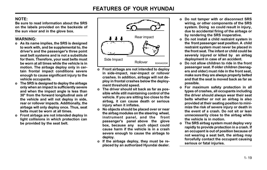## NOTE:

Be sure to read information about the SRS on the labels provided on the backside of the sun visor and in the glove box.

## WARNING:

- o As its name implies, the SRS is designed to work with, and be supplemental to, the driver's and the passenger's three point seat belt systems and is not a substitute for them. Therefore, your seat belts must be worn at all times while the vehicle is in motion. The airbags deploy only in certain frontal impact conditions severe enough to cause significant injury to the vehicle occupants.
- o The SRS is designed to deploy the airbags only when an impact is sufficiently severe and when the impact angle is less than 30° from the forward longitudinal axis of the vehicle and will not deploy in side, rear or rollover impacts. Additionally, the airbags will only deploy once. Thus, seat belts must be worn at all times.
- o Front airbags are not intended deploy in light collisions in which protection can be provided by the seat belt.



- o Front airbags are not intended to deploy in side-impact, rear-impact or rollover crashes. In addition, airbags will not deploy in frontal crashes below the deployment threshold speed.
- o The driver should sit back as far as possible while still maintaining control of the vehicle. If you are sitting too close to the airbag, it can cause death or serious injury when it inflates.
- o No objects should be placed over or near the airbag modules on the steering wheel, instrument panel, and the front passenger's panel above the glove box, because any such object could cause harm if the vehicle is in a crash severe enough to cause the airbags to deploy.
- o If the airbags deploy, they must be replaced by an authorized Hyundai dealer.
- o Do not tamper with or disconnect SRS wiring, or other components of the SRS system. Doing so could result in injury, due to accidental firing of the airbags or by rendering the SRS inoperative.
- o Do not install a child restraint system in the front passenger seat position. A child restraint system must never be placed in the front seat. The infant or child could be severely injured or killed by an airbag deployment in case of an accident.
- o Do not allow children to ride in the front passenger seat. If older children (teenagers and older) must ride in the front seat, make sure they are always properly belted and that the seat is moved back as far as possible.
- o For maximum safety protection in all types of crashes, all occupants including the driver should always wear their seat belts whether or not an airbag is also provided at their seating position to minimize the risk of severe injury or death in the event of a crash. Do not sit or lean unnecessarily close to the airbag while the vehicle is in motion.
- o The SRS airbag system must deploy very rapidly to provide protection in a crash. If an occupant is out of position because of not wearing a seat belt, the airbag may forcefully contact the occupant causing serious or fatal injuries.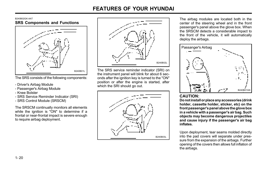B240B02GK-AAT SRS Components and Functions



The SRS consists of the following components:

- Driver's Airbag Module
- Passenger's Airbag Module
- Knee Bolster
- SRS Service Reminder Indicator (SRI)
- SRS Control Module (SRSCM)

The SRSCM continually monitors all elements while the ignition is "ON" to determine if a frontal or near-frontal impact is severe enough to require airbag deployment.



The SRS service reminder indicator (SRI) on the instrument panel will blink for about 6 seconds after the ignition key is turned to the "ON" position or after the engine is started, after which the SRI should go out.



The airbag modules are located both in the center of the steering wheel and in the front passenger's panel above the glove box. When the SRSCM detects a considerable impact to the front of the vehicle, it will automatically deploy the airbags.



## CAUTION:

Do not install or place any accessories (drink holder, cassette holder, sticker, etc) on the front passenger's panel above the glove box in a vehicle with a passenger's air bag. Such objects may become dangerous projectiles and cause injury if the passenger's air bag inflates.

Upon deployment, tear seams molded directly into the pad covers will separate under pressure from the expansion of the airbags. Further opening of the covers then allows full inflation of the airbags.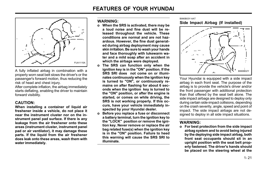

A fully inflated airbag in combination with a properly worn seat belt slows the driver's or the passenger's forward motion, thus reducing the risk of head and chest injury.

After complete inflation, the airbag immediately starts deflating, enabling the driver to maintain forward visibility.

#### CAUTION:

When installing a container of liquid air freshener inside a vehicle, do not place it near the instrument cluster nor on the instrument panel pad surface. If there is any leakage from the air freshener onto these areas (instrument cluster, instrument panel pad or air ventilator), it may damage these parts. If the liquid from the air freshener does leak onto these areas, wash them with water immediately.

#### WARNING:

- o When the SRS is activated, there may be a loud noise and fine dust will be released throughout the vehicle. These conditions are normal and are not hazardous. However, the fine dust generated during airbag deployment may cause skin irritation. Be sure to wash your hands and face thoroughly with lukewarm water and a mild soap after an accident in which the airbags were deployed.
- The SRS can function only when the ignition key is in the "ON" position. If the SRS SRI does not come on or illuminates continuously when the ignition key is turned to "ON", or continuously remains on after flashing for about 6 seconds when the ignition key is turned to the "ON" position, or after the engine is started, or comes on while driving, the SRS is not working properly. If this occurs, have your vehicle immediately inspected by your Hyundai dealer.
- o Before you replace a fuse or disconnect a battery terminal, turn the ignition key to the "LOCK" position or remove the ignition key. Never remove or replace the air bag related fuse(s) when the ignition key is in the "ON" position. Failure to heed this warning will cause the SRS SRI to illuminate.

#### B990B03Y-AAT Side Impact Airbag (If installed)



Your Hyundai is equipped with a side impact airbag in each front seat. The purpose of the airbag is to provide the vehicle's driver and/or the front passenger with additional protection than that offered by the seat belt alone. The side impact airbags are designed to deploy only during certain side-impact collisions, depending on the crash severity, angle, speed and point of impact. The side impact airbags are not designed to deploy in all side impact situations.

#### WARNING:

o For best protection from the side impact airbag system and to avoid being injured by the deploying side impact airbag, both front seat occupants should sit in an upright position with the seat belt properly fastened. The driver's hands should be placed on the steering wheel at the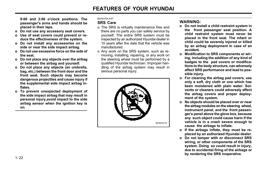9:00 and 3:00 o'clock positions. The passenger's arms and hands should be placed in their laps.

- o Do not use any accessory seat covers.
- o Use of seat covers could prevent or reduce the effectiveness of the system.
- o Do not install any accessories on the side or near the side impact airbag.
- o Do not use excessive force on the side of the seat.
- o Do not place any objects over the airbag or between the airbag and yourself.
- o Do not place any objects (an umbrella, bag, etc.) between the front door and the front seat. Such objects may become dangerous projectiles and cause injury if the supplemental side impact airbag inflates.
- o To prevent unexpected deployment of the side impact airbag that may result in personal injury,avoid impact to the side airbag sensor when the ignition key is on.

#### B240C02A-AAT

#### SRS Care

- o The SRS is virtually maintenance free and there are no parts you can safely service by yourself. The entire SRS system must be inspected by an authorized Hyundai dealer in 10 years after the date that the vehicle was manufactured.
- o Any work on the SRS system, such as removing, installing, repairing, or any work on the steering wheel must be performed by a qualified Hyundai technician. Improper handling of the airbag system may result in serious personal injury.



## WARNING:

- o Do not install a child restraint system in the front passenger seat position. A child restraint system must never be placed in the front seat. The infant or child could be severely injured or killed by an airbag deployment in case of an accident.
- o Modification to SRS components or wiring, including the addition of any kind of badges to the pad covers or modifications to the body structure, can adversely affect SRS performance and lead to possible injury.
- o For cleaning the airbag pad covers, use only a soft, dry cloth or one which has been moistened with plain water. Solvents or cleaners could adversely affect the airbag covers and proper deployment of the system.
- o No objects should be placed over or near the airbag modules on the steering wheel, instrument panel, and the front passenger's panel above the glove box, because any such object could cause harm if the vehicle is in a crash severe enough to cause the airbags to inflate.
- o If the airbags inflate, they must be replaced by an authorized Hyundai dealer.
- o Do not tamper with or disconnect SRS wiring, or other components of the SRS system. Doing so could result in injury, due to accidental firing of the airbags or by rendering the SRS inoperative.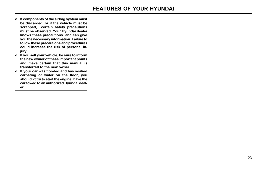- o If components of the airbag system must be discarded, or if the vehicle must be scrapped, certain safety precautions must be observed. Your Hyundai dealer knows these precautions and can give you the necessary information. Failure to follow these precautions and procedures could increase the risk of personal injury.
- o If you sell your vehicle, be sure to inform the new owner of these important points and make certain that this manual is transferred to the new owner.
- o If your car was flooded and has soaked carpeting or water on the floor, you shouldn't try to start the engine; have the car towed to an authorized Hyundai dealer.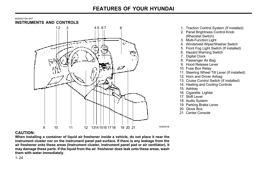#### B250A01GK-AAT INSTRUMENTS AND CONTROLS



- 1. Traction Control System (If installed)
- 2. Panel Brightness Control Knob (Rheostat Switch)
- 3. Multi-Function Light
- 4. Windshield Wiper/Washer Switch
- 5. Front Fog Light Switch (If installed)
- 6. Hazard Warning Switch
- 7. Digital Clock
- 8. Passenger Air Bag
- 9. Hood Release Lever
- 10. Fuse Box Relay
- 11. Steering Wheel Tilt Lever (If installed)
- 12. Horn and Driver Airbag
- 13. Cruise Control Switch (If installed)
- 14. Heating and Cooling Controls
- 15. Ashtray
- 16. Cigarette Lighter
- 17. Shift Lever
- 18. Audio System
- 19. Parking Brake Lever
- 20. Glove Box

HGK001B

21. Center Console

#### CAUTION:

When installing a container of liquid air freshener inside a vehicle, do not place it near the instrument cluster nor on the instrument panel pad surface. If there is any leakage from the air freshener onto these areas (Instrument cluster, instrument panel pad or air ventilator), it may damage these parts. If the liquid from the air freshener does leak onto these areas, wash them with water immediately.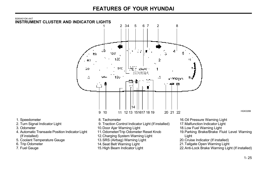

- 3. Odometer
- 4. Automatic Transaxle Position Indicator Light (If installed)
- 5. Coolant Temperature Gauge
- 6. Trip Odometer
- 7. Fuel Gauge
- 
- 10.Door Ajar Warning Light
- 11.Odometer/Trip Odometer Reset Knob
- 12. Charging System Warning Light
- 13.SRS (Airbag) Warning Light
- 14.Seat Belt Warning Light
- 15.High Beam Indicator Light
- 
- 18.Low Fuel Warning Light
- 19.Parking Brake/Brake Fluid Level Warning Light
- 20.Cruise Indicator (If installed)
- 21.Tailgate Open Warning Light
- 22.Anti-Lock Brake Warning Light (If installed)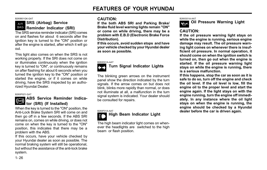B260B01GK-GAT

#### SRS (Airbag) Service AIR **BAG** Reminder Indicator (SRI)

The SRS service reminder indicator (SRI) comes on and flashes for about 6 seconds after the ignition key is turned to the "ON" position or after the engine is started, after which it will go out.

This light also comes on when the SRS is not working properly. If the SRI does not come on or illuminates continuously when the ignition key is turned to "ON", or continuously remains on after flashing for about 6 seconds when you turned the ignition key to the "ON" position or started the engine, or if it comes on while driving, have the SRS inspected by an authorized Hyundai Dealer.

#### B260P02Y-GAT

## ABS Service Reminder Indicator (SRI) (If Installed)

When the key is turned to the "ON" position, the Anti-Lock Brake System SRI will come on and then go off in a few seconds. If the ABS SRI remains on, comes on while driving, or does not come on when the key is turned to the "ON" position, this indicates that there may be a problem with the ABS.

If this occurs, have your vehicle checked by your Hyundai dealer as soon as possible. The normal braking system will still be operational, but without the assistance of the anti-lock brake system.

## CAUTION:

If the both ABS SRI and Parking Brake/ Brake fluid level warning lights remain "ON" or come on while driving, there may be a problem with E.B.D (Electronic Brake Force Distribution).

If this occurs, avoid sudden stops and have your vehicle checked by your Hyundai dealer as soon as possible.

#### B260D01A-AAT



## Turn Signal Indicator Lights

The blinking green arrows on the instrument panel show the direction indicated by the turn signals. If the arrow comes on but does not blink, blinks more rapidly than normal, or does not illuminate at all, a malfunction in the turn signal system is indicated. Your dealer should be consulted for repairs.

# B260F01A-AAT<br>Ending beam Indicator Light

The high beam indicator light comes on whenever the headlights are switched to the high beam or flash position.

B260G01A-AAT



Oil Pressure Warning Light

## CAUTION:

If the oil pressure warning light stays on while the engine is running, serious engine damage may result. The oil pressure warning light comes on whenever there is insufficient oil pressure. In normal operation, it should come on when the ignition switch is turned on, then go out when the engine is started. If the oil pressure warning light stays on while the engine is running, there is a serious malfunction.

If this happens, stop the car as soon as it is safe to do so, turn off the engine and check the oil level. If the oil level is low, fill the engine oil to the proper level and start the engine again. If the light stays on with the engine running, turn the engine off immediately. In any instance where the oil light stays on when the engine is running, the engine should be checked by a Hyundai dealer before the car is driven again.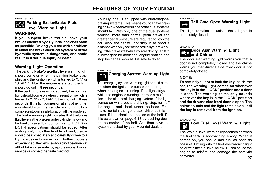B260H01GK-AAT



Parking Brake/Brake Fluid Level Warning Light

#### WARNING:

If you suspect brake trouble, have your brakes checked by a Hyundai dealer as soon as possible. Driving your car with a problem in either the brake electrical system or brake hydraulic system is dangerous, and could result in a serious injury or death.

## Warning Light Operation

The parking brake/brake fluid level warning light should come on when the parking brake is applied and the ignition switch is turned to "ON" or "START". After the engine is started, the light should go out in three seconds.

If the parking brake is not applied, the warning light should come on when the ignition switch is turned to "ON" or "START", then go out in three seconds. If the light comes on at any other time, you should slow the vehicle and bring it to a complete stop in a safe location off the roadway. The brake warning light indicates that the brake fluid level in the brake master cylinder is low and hydraulic brake fluid conforming to DOT 3 or DOT 4 specifications should be added. After adding fluid, if no other trouble is found, the car should be immediately and carefully driven to a Hyundai dealer for inspection. If further trouble is experienced, the vehicle should not be driven at all but taken to a dealer by a professional towing service or some other safe method.

Your Hyundai is equipped with dual-diagonal braking systems. This means you still have braking on two wheels even if one of the dual systems should fail. With only one of the dual systems working, more than normal pedal travel and greater pedal pressure are required to stop the car. Also, the car will not stop in as short a distance with only half of the brake system working. If the brakes fail while you are driving, shift to a lower gear for additional engine braking and stop the car as soon as it is safe to do so.

#### B260J01A-AAT



# Charging System Warning Light

The charging system warning light should come on when the ignition is turned on, then go out when the engine is running. If the light stays on while the engine is running, there is a malfunction in the electrical charging system. If the light comes on while you are driving, stop, turn off the engine and check under the hood. First, make certain the generator drive belt is in place. If it is, check the tension of the belt. Do this as shown on page 6-13 by pushing down on the center of the belt. And then have the system checked by your Hyundai dealer.

B260K01F-AAT



This light remains on unless the tail gate is completely closed.

#### B260L01Y-AAT

#### Door Ajar Warning Light Ú and Chime

The door ajar warning light warns you that a door is not completely closed and the chime warns you that driver's side front door is not completely closed.

## NOTE:

To remind you not to lock the key inside the car, the warning light comes on whenever the key is in the "LOCK" position and a door is open. The warning chime only sounds whenever the key is in the "LOCK" position and the driver's side front door is open. The chime sounds and the light remains on until the key is removed from the ignition.

#### B260M01A-AAT

#### Low Fuel Level Warning Light P)

1- 27 The low fuel level warning light comes on when the fuel tank is approaching empty. When it comes on, you should add fuel as soon as possible. Driving with the fuel level warning light on or with the fuel level below "E" can cause the engine to misfire and damage the catalytic converter.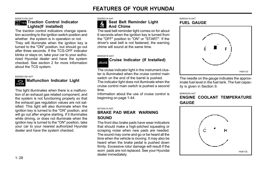B260C01GK-GAT

#### Tes <sub>Tes</sub> Traction Control Indicator Lights(If installed)

The traction control indicators change operation according to the ignition switch position and whether the system is in operation or not. They will illuminate when the ignition key is turned to the "ON" position, but should go out after three seconds. If the TCS-OFF indicator blinks or stays on, take your car to your authorized Hyundai dealer and have the system checked. See section 2 for more information about the TCS system.

#### B260N01GK-AAT

#### **Regional Malfunction Indicator Light** CHECK

This light illuminates when there is a malfunction of an exhaust gas related component, and the system is not functioning properly so that the exhaust gas regulation values are not satisfied. This light will also illuminate when the ignition key is turned to the "ON" position, and will go out after engine starting. If it illuminates while driving, or does not illuminate when the ignition key is turned to the "ON" position, take your car to your nearest authorized Hyundai dealer and have the system checked.

B260E01A-AAT

#### Seat Belt Reminder Light And Chime ヘラ

The seat belt reminder light comes on for about 6 seconds when the ignition key is turned from the "OFF" position to "ON" or "START". If the driver's seat belt is not fastened, the warning chime will sound at the same time.

B260Q01E-GAT

#### Cruise Indicator (If Installed) CRUISE

The cruise indicator light in the instrument cluster is illuminated when the cruise control main switch on the end of the barrel is pushed.

The indicator light does not illuminate when the cruise control main switch is pushed a second time.

Information about the use of cruise control is beginning on page 1-44.

#### B270A01A-AAT

#### BRAKE PAD WEAR WARNING **SOUND**

The front disc brake pads have wear indicators that should make a high-pitched squealing or scraping noise when new pads are needed. The sound may come and go or be heard all the time when the vehicle is moving. It may also be heard when the brake pedal is pushed down firmly. Excessive rotor damage will result if the worn pads are not replaced. See your Hyundai dealer immediately.

#### B280A01A-AAT FUEL GAUGE



The needle on the gauge indicates the approximate fuel level in the fuel tank. The fuel capacity is given in Section 9.

B290A02A-AAT

## ENGINE COOLANT TEMPERATURE GAUGE

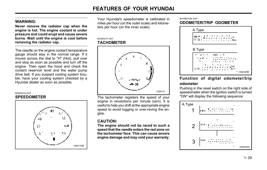### WARNING:

Never remove the radiator cap when the engine is hot. The engine coolant is under pressure and could erupt and cause severe burns. Wait until the engine is cool before removing the radiator cap.

The needle on the engine coolant temperature gauge should stay in the normal range. If it moves across the dial to "H" (Hot), pull over and stop as soon as possible and turn off the engine. Then open the hood and check the coolant reservoir level and the water pump drive belt. If you suspect cooling system trouble, have your cooling system checked by a Hyundai dealer as soon as possible.

#### B300A01A-AAT

### SPEEDOMETER



Your Hyundai's speedometer is calibrated in miles per hour (on the outer scale) and kilometers per hour (on the inner scale).

#### B330A01F-AAT **TACHOMETER**



The tachometer registers the speed of your engine in revolutions per minute (rpm). It is useful to help you shift at the appropriate engine speed to avoid lugging or over-reving the engine.

### CAUTION:

The engine should not be raced to such a speed that the needle enters the red zone on the tachometer face. This can cause severe engine damage and may void your warranty.

### B310B01GK-GAT ODOMETER/TRIP ODOMETER



## Function of digital odometer/trip odometer

Pushing in the reset switch on the right side of speedometer when the ignition switch is turned "ON" will display the following sequence:

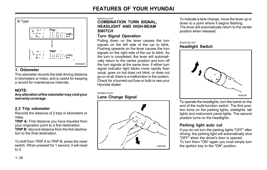

## 1. Odometer

The odometer records the total driving distance in kilometers or miles, and is useful for keeping a record for maintenance intervals.

# NOTE:

Any alteration of the odometer may void your warranty coverage.

# 2,3 Trip odometer

Records the distance of 2 trips in kilometers or miles.

TRIP A: First distance you have traveled from your origination point to a first destination.

TRIP B: Second distance from the first destination to the final destination.

To shift from TRIP A to TRIP B, press the reset switch. When pressed for 1 second, it will reset to 0.

#### B340A01A-AAT

### COMBINATION TURN SIGNAL, HEADLIGHT AND HIGH-BEAM **SWITCH**

## Turn Signal Operation

Pulling down on the lever causes the turn signals on the left side of the car to blink. Pushing upwards on the lever causes the turn signals on the right side of the car to blink. As the turn is completed, the lever will automatically return to the center position and turn off the turn signals at the same time. If either turn signal indicator light blinks more rapidly than usual, goes on but does not blink, or does not go on at all, there is a malfunction in the system. Check for a burned-out fuse or bulb or see your Hyundai dealer.

#### B340B01A-AAT

### Lane Change Signal



To indicate a lane change, move the lever up or down to a point where it begins flashing. The lever will automatically return to the center position when released.

### B340C02E-AAT Headlight Switch



To operate the headlights, turn the barrel on the end of the multi-function switch. The first position turns on the parking lights, sidelights, tail lights and instrument panel lights. The second position turns on the headlights.

# Parking light auto cut

If you do not turn the parking lights "OFF" after driving, the parking light will automatically shut "OFF" when the driver's door is opened. To turn them "ON" again you must simply turn the ignition key to the "ON" position.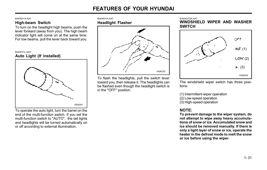#### B340D01A-AAT

### High-beam Switch

To turn on the headlight high beams, push the lever forward (away from you). The high beam indicator light will come on at the same time. For low beams, pull the lever back toward you.

B340F01L-GAT Auto Light (If installed)



To operate the auto light, turn the barrel on the end of the multi-function switch. If you set the multi-function switch to "AUTO", the tail lights and headlights will be turned automatically on or off according to external illumination.

#### B340E01A-AAT Headlight Flasher



To flash the headlights, pull the switch lever toward you, then release it. The headlights can be flashed even though the headlight switch is in the "OFF" position.

B350A01GK-AAT

WINDSHIELD WIPER AND WASHER **SWITCH** 



The windshield wiper switch has three positions:

(1) Intermittent wiper operation (2) Low-speed operation (3) High-speed operation

## NOTE:

To prevent damage to the wiper system, do not attempt to wipe away heavy accumulations of snow or ice. Accumulated snow and ice should be removed manually. If there is only a light layer of snow or ice, operate the heater in the defrost mode to melt the snow or ice before using the wiper.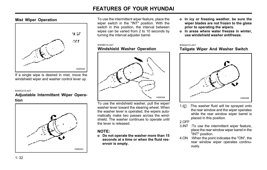### Mist Wiper Operation



If a single wipe is desired in mist, move the windshield wiper and washer control lever up.

#### B350C01S-AAT

### Adjustable Intermittent Wiper Operation



To use the intermittent wiper feature, place the wiper switch in the "INT" position. With the switch in this position, the interval between wipes can be varied from 2 to 10 seconds by turning the interval adjuster barrel.

#### B350B01A-AAT Windshield Washer Operation



To use the windshield washer, pull the wiper/ washer lever toward the steering wheel. When the washer lever is operated, the wipers automatically make two passes across the windshield. The washer continues to operate until the lever is released.

## NOTE:

o Do not operate the washer more than 15 seconds at a time or when the fluid reservoir is empty.

- o In icy or freezing weather, be sure the wiper blades are not frozen to the glass prior to operating the wipers.
- o In areas where water freezes in winter, use windshield washer antifreeze.

#### B350A01O-AAT

### Tailgate Wiper And Washer Switch



1. **:The washer fluid will be sprayed onto** the rear window and the wiper operates while the rear window wiper barrel is placed in this position.

2.OFF

- 3.INT :To use the intermittent wiper feature, place the rear window wiper barrel in the "INT" position.
- 4.ON :When the point indicates the "ON", the rear window wiper operates continuously.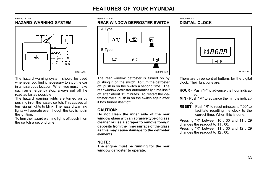### B370A01A-AAT HAZARD WARNING SYSTEM



The hazard warning system should be used whenever you find it necessary to stop the car in a hazardous location. When you must make such an emergency stop, always pull off the road as far as possible.

The hazard warning lights are turned on by pushing in on the hazard switch. This causes all turn signal lights to blink. The hazard warning lights will operate even though the key is not in the ignition.

To turn the hazard warning lights off, push in on the switch a second time.

#### B380A01A-AAT

### REAR WINDOW DEFROSTER SWITCH



The rear window defroster is turned on by pushing in on the switch. To turn the defroster off, push in on the switch a second time. The rear window defroster automatically turns itself off after about 15 minutes. To restart the defroster cycle, push in on the switch again after it has turned itself off.

### CAUTION:

Do not clean the inner side of the rear window glass with an abrasive type of glass cleaner or use a scraper to remove foreign deposits from the inner surface of the glass as this may cause damage to the defroster elements.

### NOTE:

The engine must be running for the rear window defroster to operate.

#### B400A01F-AAT DIGITAL CLOCK



There are three control buttons for the digital clock. Their functions are:

- HOUR Push "H" to advance the hour indicated.
- MIN Push "M" to advance the minute indicated.
- RESET Push "R" to reset minutes to ":00" to facilitate resetting the clock to the correct time. When this is done:

Pressing "R" between 10 : 30 and 11 : 29 changes the readout to 11 : 00.

Pressing "R" between 11 : 30 and 12 : 29 changes the readout to 12 : 00.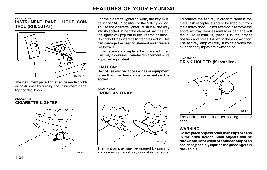B410A01A-AAT

INSTRUMENT PANEL LIGHT CON-TROL (RHEOSTAT)



The instrument panel lights can be made brighter or dimmer by turning the instrument panel light control knob.

### B420A02A-AAT CIGARETTE LIGHTER



For the cigarette lighter to work, the key must be in the "ACC" position or the "ON" position. To use the cigarette lighter, push it all the way into its socket. When the element has heated, the lighter will pop out to the "ready" position. Do not hold the cigarette lighter pressed in. This can damage the heating element and create a fire hazard.

If it is necessary to replace the cigarette lighter. use only a genuine Hyundai replacement or its approved equivalent.

# CAUTION:

Do not use electric accessories or equipment other than the Hyundai genuine parts in the socket.

### B430A01GK-AAT FRONT ASHTRAY



The front ashtray may be opened by pushing and releasing the ashtray door at its top edge. To remove the ashtray in order to clean it, the metal ash receptacle should be lifted out from the ashtray door. Do not attempt to remove the entire ashtray door assembly or damage will result. To reinstall it, place it in the proper position and press it down in the ashtray door. The ashtray lamp will only illuminate when the exterior body lights are switched on.

### B450A01GK-AAT DRINK HOLDER (If Installed)



The drink holder is used for holding cups or cans.

## WARNING:

Do not place objects other than cups or cans in the drink holder. Such objects can be thrown out in the event of a sudden stop or an accident, possibly injuring the passengers in the vehicle.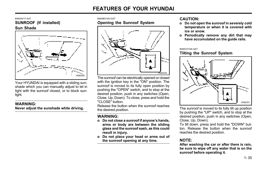B460A01Y-AAT SUNROOF (If installed) Sun Shade



Your HYUNDAI is equipped with a sliding sunshade which you can manually adjust to let in light with the sunroof closed, or to block sunlight.

## WARNING:

Never adjust the sunshade while driving.

B460B01GK-GAT

## Opening the Sunroof System



The sunroof can be electrically opened or closed with the ignition key in the "ON" position. The sunroof is moved to its fully open position by pushing the "OPEN" switch, and to stop at the desired position, push in any switches (Open, Close, Up, Down). To close, press and hold the "CLOSE" button.

Release the button when the sunroof reaches the desired position.

# WARNING:

- o Do not close a sunroof if anyone's hands, arms or body are between the sliding glass and the sunroof sash, as this could result in injury.
- o Do not place your head or arms out of the sunroof opening at any time.

## CAUTION:

- o Do not open the sunroof in severely cold temperature or when it is covered with ice or snow.
- o Periodically remove any dirt that may have accumulated on the guide rails.

#### B460C01GK-GAT

## Tilting the Sunroof System



The sunroof is moved to its fully tilt up position by pushing the "UP" switch, and to stop at the desired position, push in any switches (Open, Close, Up, Down).

To tilt down, press and hold the "DOWN" button. Release the button when the sunroof reaches the desired position.

# NOTE:

After washing the car or after there is rain, be sure to wipe off any water that is on the sunroof before operating it.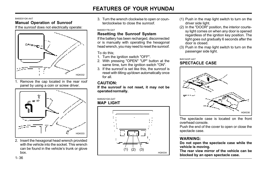#### B460D01GK-AAT

## Manual Operation of Sunroof

If the sunroof does not electrically operate:



1. Remove the cap located in the rear roof panel by using a coin or screw driver.



2. Insert the hexagonal head wrench provided with the vehicle into the socket. This wrench can be found in the vehicle's trunk or glove box.

3. Turn the wrench clockwise to open or counterclockwise to close the sunroof

#### B460E01TB-GAT

## Resetting the Sunroof System

If the battery has been recharged, disconnected or is manually with operating the hexagonal head wrench, you may need to reset the sunroof.

### To do this;

- 1. Turn the ignition switch "OFF".
- 2. With pressing "OPEN" "UP" button at the same time, turn the ignition switch "ON".
- 3. If the sunroof is set like this, the sunroof is reset with tilting up/down automatically once for all.

# CAUTION:

If the sunroof is not reset, it may not be operated normally.

#### B480A01GK-GAT MAP **LIGHT**



- (1) Push in the map light switch to turn on the driver side light.
- (2) In the "DOOR" position, the interior courtesy light comes on when any door is opened regardless of the ignition key position. The light goes out gradually 6 seconds after the door is closed.
- (3) Push in the map light switch to turn on the passenger side light.

B491A02F-AAT

# SPECTACLE CASE



The spectacle case is located on the front overhead console.

Push the end of the cover to open or close the spectacle case.

## WARNING:

Do not open the spectacle case while the vehicle is moving.

The rear view mirror of the vehicle can be blocked by an open spectacle case.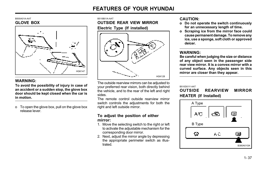#### B500A01A-AAT GLOVE BOX



## WARNING:

To avoid the possibility of injury in case of an accident or a sudden stop, the glove box door should be kept closed when the car is in motion.

o To open the glove box, pull on the glove box release lever.

B510B01A-AAT

OUTSIDE REAR VIEW MIRROR

Electric Type (If installed)



The outside rearview mirrors can be adjusted to your preferred rear vision, both directly behind the vehicle, and to the rear of the left and right sides.

The remote control outside rearview mirror switch controls the adjustments for both the right and left outside mirror.

### To adjust the position of either mirror:

- 1. Move the selecting switch to the right or left to activate the adjustable mechanism for the corresponding door mirror.
- 2. Next, adjust the mirror angle by depressing the appropriate perimeter switch as illustrated.

### CAUTION:

- o Do not operate the switch continuously for an unnecessary length of time.
- o Scraping ice from the mirror face could cause permanent damage. To remove any ice, use a sponge, soft cloth or approved deicer.

### WARNING:

Be careful when judging the size or distance of any object seen in the passenger side rear view mirror. It is a convex mirror with a curved surface. Any objects seen in this mirror are closer than they appear.

#### B510D01Y-AAT

## OUTSIDE REARVIEW MIRROR HEATER (If Installed)

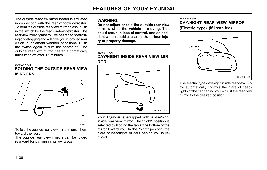The outside rearview mirror heater is actuated in connection with the rear window defroster. To heat the outside rearview mirror glass, push in the switch for the rear window defroster. The rearview mirror glass will be heated for defrosting or defogging and will give you improved rear vision in inclement weather conditions. Push the switch again to turn the heater off. The outside rearview mirror heater automatically turns itself off after 15 minutes.

#### B510C01A-AAT

## FOLDING THE OUTSIDE REAR VIEW MIRRORS



To fold the outside rear view mirrors, push them toward the rear.

The outside rear view mirrors can be folded rearward for parking in narrow areas.

### WARNING:

Do not adjust or fold the outside rear view mirrors while the vehicle is moving. This could result in loss of control, and an accident which could cause death, serious injury or property damage.

#### B520A01A-AAT

DAY/NIGHT INSIDE REAR VIEW MIR-ROR



Your Hyundai is equipped with a day/night inside rear view mirror. The "night" position is selected by flipping the tab at the bottom of the mirror toward you. In the "night" position, the glare of headlights of cars behind you is reduced.

#### B520B01O-GAT

DAY/NIGHT REAR VIEW MIRROR

(Electric type) (If installed)



The electric type day/night inside rearview mirror automatically controls the glare of headlights of the car behind you. Adjust the rearview mirror to the desired position.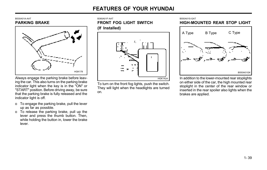### B530A01A-AAT PARKING BRAKE



Always engage the parking brake before leaving the car. This also turns on the parking brake indicator light when the key is in the "ON" or "START" position. Before driving away, be sure that the parking brake is fully released and the indicator light is off.

- o To engage the parking brake, pull the lever up as far as possible.
- o To release the parking brake, pull up the lever and press the thumb button. Then, while holding the button in, lower the brake lever.





To turn on the front fog lights, push the switch. They will light when the headlights are turned on.

B550A01S-GAT HIGH-MOUNTED REAR STOP LIGHT



In addition to the lower-mounted rear stoplights on either side of the car, the high mounted rear stoplight in the center of the rear window or inserted in the rear spoiler also lights when the brakes are applied.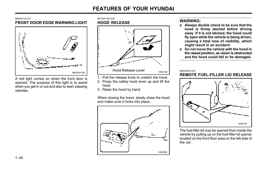### B620A01S-AAT FRONT DOOR EDGE WARNING LIGHT



A red light comes on when the front door is opened. The purpose of this light is to assist when you get in or out and also to warn passing vehicles.

#### B570A01GK-GAT HOOD RELEASE



- 1. Pull the release knob to unlatch the hood.
- 2. Press the safety hook lever up and lift the hood.
- 3. Raise the hood by hand.

When closing the hood, slowly close the hood and make sure it locks into place.



## WARNING:

- o Always double check to be sure that the hood is firmly latched before driving away. If it is not latched, the hood could fly open while the vehicle is being driven, causing a total loss of visibility, which might result in an accident.
- o Do not move the vehicle with the hood in the raised position, as vision is obstructed and the hood could fall or be damaged.

#### B560A02S-AAT

## REMOTE FUEL-FILLER LID RELEASE



The fuel-filler lid may be opened from inside the vehicle by pulling up on the fuel-filler lid opener located on the front floor area on the left side of the car.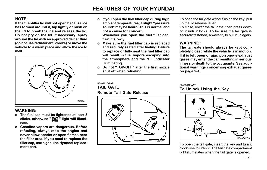## NOTE:

If the fuel-filler lid will not open because ice has formed around it, tap lightly or push on the lid to break the ice and release the lid. Do not pry on the lid. If necessary, spray around the lid with an approved deicer fluid (do not use radiator anti-freeze) or move the vehicle to a warm place and allow the ice to melt.



### WARNING:

- o The fuel cap must be tightened at least 3 clicks, otherwise " say" light will illuminate.
- o Gasoline vapors are dangerous. Before refueling, always stop the engine and never allow sparks or open flames near the filler area. If you need to replace the filler cap, use a genuine Hyundai replacement part.

o If you open the fuel filler cap during high ambient temperatures, a slight "pressure sound" may be heard. This is normal and not a cause for concern.

Whenever you open the fuel filler cap, turn it slowly.

- o Make sure the fuel filler cap is replaced and securely seated after fueling. Failure to replace or fully seat the fuel filler cap will result in fuel vapors escaping into the atmosphere and the MIL indicator illuminating.
- o Do not "TOP-OFF" after the first nozzle shut off when refueling.

B540A01F-AAT TAIL GATE

Remote Tail Gate Release



To open the tail gate without using the key, pull up the lid release lever.

To close, lower the tail gate, then press down on it until it locks. To be sure the tail gate is securely fastened, always try to pull it up again.

### WARNING:

The tail gate should always be kept completely closed while the vehicle is in motion. If it is left open or ajar, poisonous exhaust gases may enter the car resulting in serious illness or death to the occupants. See additional warnings concerning exhaust gases on page 2-1.

B540C01F-AAT

To Unlock Using the Key



To open the tail gate, insert the key and turn it clockwise to unlock. The tail gate compartment light illuminates when the tail gate is opened.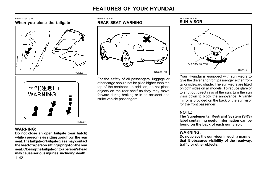



## WARNING:

Do not close an open tailgate (rear hatch) while a person(s) is sitting upright on the rear seat. The tailgate or tailgate glass may contact the head of a person sitting upright on the rear seat. Closing the tailgate onto a person's head may cause serious injuries, including death.



For the safety of all passengers, luggage or other cargo should not be piled higher than the top of the seatback. In addition, do not place objects on the rear shelf as they may move forward during braking or in an accident and strike vehicle passengers.



Your Hyundai is equipped with sun visors to give the driver and front passenger either frontal or sideward shade. The sun visors are fitted on both sides on all models. To reduce glare or to shut out direct rays of the sun, turn the sun visor down to block the annoyance. A vanity mirror is provided on the back of the sun visor for the front passenger.

## NOTE:

The Supplemental Restraint System (SRS) label containing useful information can be found on the back of each sun visor.

### WARNING:

Do not place the sun visor in such a manner that it obscures visibility of the roadway, traffic or other objects.

 $1 - 42$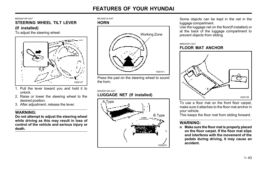#### B600A01HP-AAT

### STEERING WHEEL TILT LEVER

### (If installed)

To adjust the steering wheel:



- 1. Pull the lever toward you and hold it to unlock.
- 2. Raise or lower the steering wheel to the desired position.
- 3. After adjustment, release the lever.

## WARNING:

Do not attempt to adjust the steering wheel while driving as this may result in loss of control of the vehicle and serious injury or death.





Press the pad on the steering wheel to sound the horn.

B540D01GK-GAT

# LUGGAGE NET (If installed)



Some objects can be kept in the net in the luggage compartment.

Use the luggage net on the floor(If installed) or at the back of the luggage compartment to prevent objects from sliding.

### B990A03Y-AAT FLOOR MAT ANCHOR



To use a floor mat on the front floor carpet, make sure it attaches to the floor mat anchor in your vehicle.

This keeps the floor mat from sliding forward.

# WARNING:

o Make sure the floor mat is properly placed on the floor carpet. If the floor mat slips and interferes with the movement of the pedals during driving, it may cause an accident.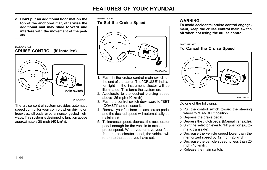o Don't put an additional floor mat on the top of the anchored mat, otherwise the additional mat may slide forward and interfere with the movement of the pedals.

### B660A01S-AAT CRUISE CONTROL (If Installed)



The cruise control system provides automatic speed control for your comfort when driving on freeways, tollroads, or other noncongested highways. This system is designed to function above approximately 25 mph (40 km/h).

### B660B01E-AAT To Set the Cruise Speed



- 1. Push in the cruise control main switch on the end of the barrel. The "CRUISE" indicator light in the instrument cluster will be illuminated. This turns the system on.
- 2. Accelerate to the desired cruising speed above 25 mph (40 km/h).
- (COAST)" and release it.
- 4. Remove your foot from the accelerator pedal and the desired speed will automatically be maintained.
- 5. To increase speed, depress the accelerator pedal enough for the vehicle to exceed the preset speed. When you remove your foot from the accelerator pedal, the vehicle will return to the speed you have set.

## WARNING:

To avoid accidental cruise control engagement, keep the cruise control main switch off when not using the cruise control

#### B660C02E-AAT

### To Cancel the Cruise Speed



Do one of the following:

- o Pull the control switch toward the steering wheel to "CANCEL" position.
- o Depress the brake pedal.
- o Depress the clutch pedal (Manual transaxle).
- o Shift the selector lever to "N" position (Automatic transaxle).
- o Decrease the vehicle speed lower than the memorized speed by 12 mph (20 km/h).
- o Decrease the vehicle speed to less than 25 mph (40 km/h).
- o Release the main switch.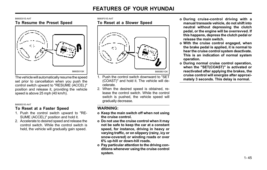#### B660D01E-AAT To Resume the Preset Speed



The vehicle will automatically resume the speed set prior to cancellation when you push the control switch upward to "RESUME (ACCEL)" position and release it, providing the vehicle speed is above 25 mph (40 km/h).

#### B660E01E-AAT

## To Reset at a Faster Speed

- 1. Push the control switch upward to "RE-SUME (ACCEL)" position and hold it.
- 2. Accelerate to desired speed and release the control switch. While the control switch is held, the vehicle will gradually gain speed.

#### B660F01E-AAT

## To Reset at a Slower Speed



- 1. Push the control switch downward to "SET (COAST)" and hold it. The vehicle will decelerate.
- 2. When the desired speed is obtained, release the control switch. While the control switch is pushed, the vehicle speed will gradually decrease.

### WARNING:

- o Keep the main switch off when not using the cruise control.
- o Do not use the cruise control when it may not be safe to keep the car at a constant speed, for instance, driving in heavy or varying traffic, or on slippery (rainy, icy or snow-covered) or winding roads or over 6% up-hill or down-hill roads.
- o Pay particular attention to the driving conditions whenever using the cruise control system.
- o During cruise-control driving with a manual transaxle vehicle, do not shift into neutral without depressing the clutch pedal, or the engine will be overrevved. If this happens, depress the clutch pedal or release the main switch.
- o With the cruise control engaged, when the brake pedal is applied, it is normal to hear the cruise control system deactivate. This is an indication of normal system operation.
- o During normal cruise control operation, when the "SET(COAST)" is activated or reactivated after applying the brakes, the cruise control will energize after approximately 3 seconds. This delay is normal.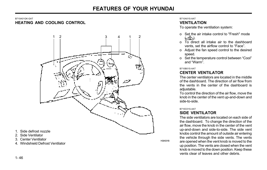### B710A01GK-GAT HEATING AND COOLING CONTROL



### 1. Side defrost nozzle

- 2. Side Ventilator
- 3. Center Ventilator
- 3. Center ventilator<br>4. Windshield Defrost Ventilator

#### B710A01S-AAT

### VENTILATION

To operate the ventilation system:

- o Set the air intake control to "Fresh" mode (حصّ
- o To direct all intake air to the dashboard vents, set the airflow control to "Face".
- o Adjust the fan speed control to the desired speed.
- o Set the temperature control between "Cool" and "Warm".

#### B710B01S-AAT

## CENTER VENTILATOR

The center ventilators are located in the middle of the dashboard. The direction of air flow from the vents in the center of the dashboard is adiustable.

To control the direction of the air flow, move the knob in the center of the vent up-and-down and side-to-side.

#### B710C01S-AAT

### SIDE VENTILATOR

The side ventilators are located on each side of the dashboard. To change the direction of the air flow, move the knob in the center of the vent up-and-down and side-to-side. The side vent knobs control the amount of outside air entering the vehicle through the side vents. The vents are opened when the vent knob is moved to the up position. The vents are closed when the vent knob is moved to the down position. Keep these vents clear of leaves and other debris.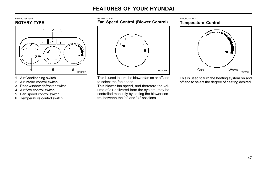

- 1. Air Conditioning switch
- 2. Air intake control switch
- 3. Rear window defroster switch
- 4. Air flow control switch
- 5. Fan speed control switch
- 6. Temperature control switch

B670B01A-AAT Fan Speed Control (Blower Control)



This is used to turn the blower fan on or off and to select the fan speed.

This blower fan speed, and therefore the volume of air delivered from the system, may be controlled manually by setting the blower control between the "1" and "4" positions.

B670E01A-AAT Temperature Control



This is used to turn the heating system on and off and to select the degree of heating desired.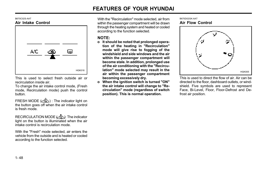#### B670C02S-AAT Air Intake Control



This is used to select fresh outside air or recirculation inside air.

To change the air intake control mode, (Fresh mode, Recirculation mode) push the control button.

FRESH MODE ( ) : The indicator light on the button goes off when the air intake control is fresh mode.

RECIRCULATION MODE  $\overbrace{(\mathbf{c}, \mathbf{c})}$ : The indicator light on the button is illuminated when the air intake control is recirculation mode.

With the "Fresh" mode selected, air enters the vehicle from the outside and is heated or cooled according to the function selected.

With the "Recirculation" mode selected, air from within the passenger compartment will be drawn through the heating system and heated or cooled according to the function selected.

### NOTE:

- o It should be noted that prolonged operation of the heating in "Recirculation" mode will give rise to fogging of the windshield and side windows and the air within the passenger compartment will become stale. In addition, prolonged use of the air conditioning with the "Recirculation" mode selected may result in the air within the passenger compartment becoming excessively dry.
- o When the ignition switch is turned "ON" the air intake control will change to "Recirculation" mode (regardless of switch position). This is normal operation.

#### B670D02GK-AAT Air Flow Control



This is used to direct the flow of air. Air can be directed to the floor, dashboard outlets, or windshield. Five symbols are used to represent Face, Bi-Level, Floor, Floor-Defrost and Defrost air position.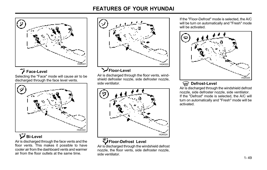

# Face-Level

Selecting the "Face" mode will cause air to be discharged through the face level vents.



# Bi-Level

Air is discharged through the face vents and the floor vents. This makes it possible to have cooler air from the dashboard vents and warmer air from the floor outlets at the same time.



Air is discharged through the floor vents, windshield defroster nozzle, side defroster nozzle, side ventilator.



Air is discharged through the windshield defrost nozzle, the floor vents, side defroster nozzle, side ventilator.

If the "Floor-Defrost" mode is selected, the A/C will be turn on automatically and "Fresh" mode will be activated.



# W Defrost-Level

Air is discharged through the windshield defrost nozzle, side defroster nozzle, side ventilator. If the "Defrost" mode is selected, the A/C will turn on automatically and "Fresh" mode will be activated.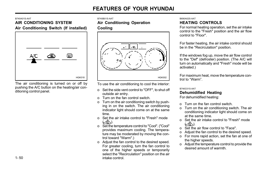#### B740A01S-AAT

## AIR CONDITIONING SYSTEM Air Conditioning Switch (If installed)



The air conditioning is turned on or off by pushing the A/C button on the heating/air conditioning control panel.

B740B01S-AAT

### Air Conditioning Operation

Cooling



To use the air conditioning to cool the interior:

- o Set the side vent control to "OFF", to shut off outside air entry.
- o Turn on the fan control switch.
- o Turn on the air conditioning switch by pushing in on the switch. The air conditioning indicator light should come on at the same time.
- o Set the air intake control to "Fresh" mode  $(\sim \stackrel{\circ}{\infty})$ .
- o Set the temperature control to "Cool". ("Cool" provides maximum cooling. The temperature may be moderated by moving the control toward "Warm".)
- o Adjust the fan control to the desired speed. For greater cooling, turn the fan control to one of the higher speeds or temporarily select the "Recirculation" position on the air intake control.

### B690A02S-AAT HEATING CONTROLS

For normal heating operation, set the air intake control to the "Fresh" position and the air flow control to "Floor".

For faster heating, the air intake control should be in the "Recirculation" position.

If the windows fog up, move the air flow control to the "Def" (defroster) position. (The A/C will turn on automatically and "Fresh" mode will be activated.)

For maximum heat, move the temperature control to "Warm".

B740C01S-AAT

### Dehumidified Heating

For dehumidified heating:

- o Turn on the fan control switch.
- o Turn on the air conditioning switch. The air conditioning indicator light should come on at the same time.
- o Set the air intake control to "Fresh" mode  $(\tilde{\mathcal{L}})$ .
- o Set the air flow control to "Face".
- o Adjust the fan control to the desired speed.
- o For more rapid action, set the fan at one of the higher speeds.
- o Adjust the temperature control to provide the desired amount of warmth.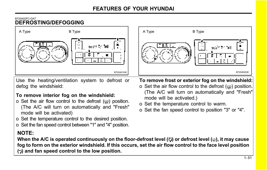## B720A02FC-GAT DEFROSTING/DEFOGGING



Use the heating/ventilation system to defrost or defog the windshield:

# To remove interior fog on the windshield:

- o Set the air flow control to the defrost  $(\omega)$  position. (The A/C will turn on automatically and "Fresh" mode will be activated)
- o Set the temperature control to the desired position.
- o Set the fan speed control between "1" and "4" position.

# NOTE:

When the A/C is operated continuously on the floor-defrost level ( $\ddot{\psi}$ ) or defrost level ( $\dddot{\psi}$ ), it may cause fog to form on the exterior windshield. If this occurs, set the air flow control to the face level position  $(\rightarrow)$  and fan speed control to the low position.



# To remove frost or exterior fog on the windshield:

- o Set the air flow control to the defrost  $(\omega)$  position. (The A/C will turn on automatically and "Fresh" mode will be activated.)
- o Set the temperature control to warm.
- o Set the fan speed control to position "3" or "4".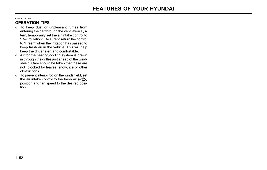### B730A01FC-GAT

## OPERATION TIPS

- o To keep dust or unpleasant fumes from entering the car through the ventilation system, temporarily set the air intake control to "Recirculation". Be sure to return the control to "Fresh" when the irritation has passed to keep fresh air in the vehicle. This will help keep the driver alert and comfortable.
- o Air for the heating/cooling system is drawn in through the grilles just ahead of the windshield. Care should be taken that these are not blocked by leaves, snow, ice or other obstructions.
- o To prevent interior fog on the windshield, set the air intake control to the fresh air  $\left(\angle \mathbb{C}\right)$ position and fan speed to the desired position.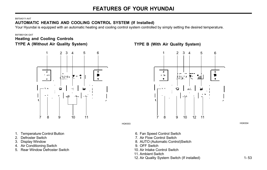#### B970A01Y-AAT

# AUTOMATIC HEATING AND COOLING CONTROL SYSTEM (If lnstalled)

Your Hyundai is equipped with an automatic heating and cooling control system controlled by simply setting the desired temperature.

#### B970B01GK-GAT

# Heating and Cooling Controls



- 1. Temperature Control Button
- 2. Defroster Switch
- 3. Display Window
- 4. Air Conditioning Switch
- 5. Rear Window Defroster Switch

## TYPE A (Without Air Quality System) TYPE B (With Air Quality System)



- 6. Fan Speed Control Switch
- 7. Air Flow Control Switch
- 8. AUTO (Automatic Control)Switch
- 9. OFF Switch
- 10. Air lntake Control Switch
- 11. Ambient Switch
- 12. Air Quality System Switch (If installed)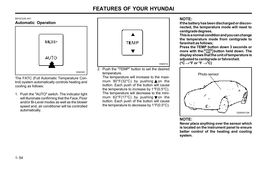#### B970C02E-AAT Automatic Operation



The FATC (Full Automatic Temperature Control) system automatically controls heating and cooling as follows:

1. Push the "AUTO" switch. The indicator light will illuminate confirming that the Face, Floor and/or Bi-Level modes as well as the blower speed and, air conditioner will be controlled automatically.



2. Push the "TEMP" button to set the desired temperature.

The temperature will increase to the maximum  $90^{\circ}F(32^{\circ}C)$  by pushing  $\triangle$  on the button. Each push of the button will cause the temperature to increase by 1°F(0.5°C). The temperature will decrease to the minimum  $62^{\circ}F(17^{\circ}C)$  by pushing von the button. Each push of the button will cause the temperature to decrease by 1°F(0.5°C).

## NOTE:

If the battery has been discharged or disconnected, the temperature mode will reset to centigrade degrees.

This is a normal condition and you can change the temperature mode from centigrade to farenheit as follows;

Press the TEMP button down 3 seconds or more with the  $\frac{\text{course}}{\text{response}}$  button held down. The display shows that the unit of temperature is adjusted to centigrade or fahrenheit. ( $^{\circ}C \rightarrow ^{\circ}F$  or  $^{\circ}F \rightarrow ^{\circ}C$ )



### NOTE:

Never place anything over the sensor which is located on the instrument panel to ensure better control of the heating and cooling system.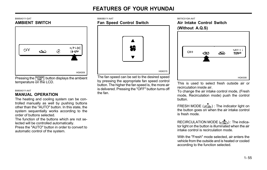### B995A01Y-GAT AMBIENT SWITCH



Pressing the  $\left|\frac{\text{oursine}}{\text{Temp}}\right|$  button displays the ambient temperature on the LCD.

# B980A01Y-AAT **the fan.**<br>**MANUAL OPERATION** the fan.

The heating and cooling system can be controlled manually as well by pushing buttons other than the "AUTO" button. In this state, the system sequentially works according to the order of buttons selected.

The function of the buttons which are not selected will be controlled automatically.

Press the "AUTO" button in order to convert to automatic control of the system.

### B980B01Y-AAT

# Fan Speed Control Switch



The fan speed can be set to the desired speed by pressing the appropriate fan speed control button. The higher the fan speed is, the more air is delivered. Pressing the "OFF" button turns off

#### B670C01GK-AAT

Air Intake Control Switch (Without A.Q.S)



This is used to select fresh outside air or recirculation inside air.

To change the air intake control mode, (Fresh mode, Recirculation mode) push the control button.

FRESH MODE  $(\overline{\sim})$  : The indicator light on the button goes on when the air intake control is fresh mode.

RECIRCULATION MODE  $\left(\frac{a}{2}\right)$  : The indicator light on the button is illuminated when the air intake control is recirculation mode.

With the "Fresh" mode selected, air enters the vehicle from the outside and is heated or cooled according to the function selected.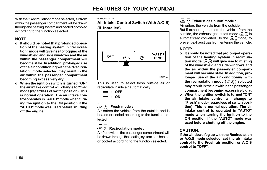With the "Recirculation" mode selected, air from within the passenger compartment will be drawn through the heating system and heated or cooled according to the function selected.

# NOTE:

- o It should be noted that prolonged operation of the heating system in "recirculation" mode will give rise to fogging of the windshield and side windows and the air within the passenger compartment will become stale. In addition, prolonged use of the air conditioning with the "Recirculation" mode selected may result in the air within the passenger compartment becoming excessively dry.
- o When the ignition switch is turned "ON" the air intake control will change to " $\leq$ " mode (regardless of switch position). This is normal operation. The air intake control operates in "AUTO" mode when turning the ignition to the ON position if the "AUTO" mode was used before shutting off the engine.

#### B980C01GK-GAT

Air Intake Control Switch (With A.Q.S) (If Installed)



This is used to select fresh outside air or recirculate inside air automatically.



#### $\qquad \qquad \qquad \qquad \qquad$ A Fresh mode:

Air enters the vehicle from the outside and is heated or cooled according to the function selected.

## $\textcircled{a}$  Recirculation mode :

Air from within the passenger compartment will be drawn through the heating system and heated or cooled according to the function selected.

### $\textcircled{a}$  ( $\textcircled{a}$ ) Exhaust gas cutoff mode :

Air enters the vehicle from the outside. But if exhaust gas enters the vehicle from the outside, the exhaust gas cutoff mode  $(\bar{\epsilon}, \bar{\epsilon})$  is automatically converted to the  $\sqrt{m}$  mode, to prevent exhaust gas from entering the vehicle.

## NOTE:

- o It should be noted that prolonged operation of the heating system in recirculation mode ( $\overline{\circ}$ ) will give rise to misting of the windshield and side windows and the air within the passenger compartment will become stale. In addition, prolonged use of the air conditioning with the recirculation mode ( $\overline{\circ}$ ) selected may result in the air within the passenger compartment becoming excessively dry.
- o When the ignition switch is turned "ON" the air intake control will change to "Fresh" mode (regardless of switch position). This is normal operation. The air intake control is operated in "AUTO" mode when turning the ignition to the ON position if the "AUTO" mode was used before shutting off the engine.

### CAUTION:

If the windows fog up with the Recirculation or A.Q.S mode selected, set the air intake control to the Fresh air position or A.Q.S control to "OFF".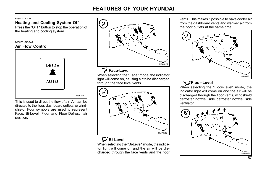B980D01Y-AAT

# Heating and Cooling System Off

Press the "OFF" button to stop the operation of the heating and cooling system.

#### B980E01GK-GAT

### Air Flow Control



This is used to direct the flow of air. Air can be directed to the floor, dashboard outlets, or windshield. Four symbols are used to represent Face, Bi-Level, Floor and Floor-Defrost air position.



### Face-Level

When selecting the "Face" mode, the indicator light will come on, causing air to be discharged through the face level vents.



# Bi-Level

When selecting the "Bi-Level" mode, the indicator light will come on and the air will be discharged through the face vents and the floor

vents. This makes it possible to have cooler air from the dashboard vents and warmer air from the floor outlets at the same time.



# **N**:Floor-Level

When selecting the "Floor-Level" mode, the indicator light will come on and the air will be discharged through the floor vents, windshield defroster nozzle, side defroster nozzle, side ventilator.

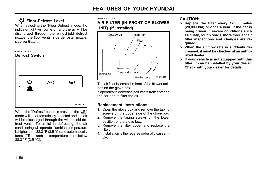# Floor-Defrost Level

When selecting the "Floor-Defrost" mode, the indicator light will come on and the air will be discharged through the windshield defrost nozzle, the floor vents, side defroster nozzle, side ventilator.

B980F02E-AAT

### Defrost Switch



When the "Defrost" button is pressed, the " $\approx$ " mode will be automatically selected and the air will be discharged through the windshield defrost vents. To assist in defrosting, the air conditioning will operate if ambient temperature is higher than 38.3 °F (3.5 °C) and automatically turns off if the ambient temperature drops below 38.3 °F (3.5 °C).

#### B760A02GK-AAT

AIR FILTER (IN FRONT OF BLOWER UNIT) (If Installed)



The air filter is located in front of the blower uniit behind the glove box.

It operates to decrease pollutants from entering the car and to filter the air.

### Replacement instructions:

- 1. Open the glove box and remove the taping screws on the upper side of the glove box.
- 2. Remove the taping screws on the lower position of the glove box.
- 3. Remove the filter cover and replace the filter.
- 4. Installation is the reverse order of disassembly.

### CAUTION:

- o Replace the filter every 12,000 miles (20,000 km) or once a year. If the car is being driven in severe conditions such as dusty, rough roads, more frequent air filter inspections and changes are required.
- o When the air flow rate is suddenly decreased, it must be checked at an authorized dealer.
- o If your vehicle is not equipped with this filter, it can be installed by your dealer. Check with your dealer for details.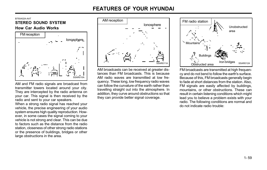B750A02A-AAT<br>STEREO SOUND SYSTEM AM reception How Car Audio Works FM reception



AM and FM radio signals are broadcast from transmitter towers located around your city. They are intercepted by the radio antenna on your car. This signal is then received by the radio and sent to your car speakers.

When a strong radio signal has reached your vehicle, the precise engineering of your audio system ensures high quality reproduction. However, in some cases the signal coming to your vehicle is not strong and clear. This can be due to factors such as the distance from the radio station, closeness of other strong radio stations or the presence of buildings, bridges or other large obstructions in the area.



AM broadcasts can be received at greater distances than FM broadcasts. This is because AM radio waves are transmitted at low frequency. These long, low frequency radio waves can follow the curvature of the earth rather than travelling straight out into the atmosphere. In addition, they curve around obstructions so that they can provide better signal coverage.



FM broadcasts are transmitted at high frequency and do not bend to follow the earth's surface. Because of this, FM broadcasts generally begin to fade at short distances from the station. Also, FM signals are easily affected by buildings, mountains, or other obstructions. These can result in certain listening conditions which might lead you to believe a problem exists with your radio. The following conditions are normal and do not indicate radio trouble: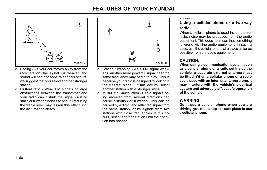

- o Fading As your car moves away from the radio station, the signal will weaken and sound will begin to fade. When this occurs, we suggest that you select another stronger station.
- o Flutter/Static Weak FM signals or large obstructions between the transmitter and your radio can disturb the signal causing static or fluttering noises to occur. Reducing the treble level may lessen this effect until the disturbance clears.



- o Station Swapping As a FM signal weakens, another more powerful signal near the same frequency may begin to play. This is because your radio is designed to lock onto the clearest signal. If this occurs, select another station with a stronger signal.
- o Multi-Path Cancellation Radio signals being received from several directions can cause distortion or fluttering. This can be caused by a direct and reflected signal from the same station, or by signals from two stations with close frequencies. If this occurs, select another station until the condition has passed.

#### B750B02Y-AAT

### Using a cellular phone or a two-way radio

When a cellular phone is used inside the vehicle, noise may be produced from the audio equipment. This does not mean that something is wrong with the audio equipment. In such a case, use the cellular phone at a place as far as possible from the audio equipment.

# CAUTION:

When using a communication system such as a cellular phone or a radio set inside the vehicle, a separate external antenna must be fitted. When a cellular phone or a radio set is used with an internal antenna alone, it may interfere with the vehicle's electrical system and adversely affect safe operation of the vehicle.

### WARNING:

Don't use a cellular phone when you are driving, you must stop at a safe place to use a cellular phone.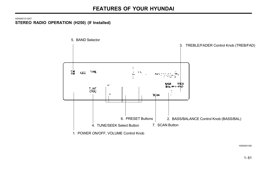H240A01O-GAT STEREO RADIO OPERATION (H250) (If Installed)



H250A01GK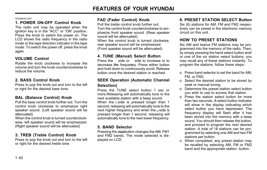H240B03O-GAT

# 1. POWER ON-OFF Control Knob

The radio unit may be operated when the ignition key is in the "ACC" or "ON" position. Press the knob to switch the power on. The LCD shows the radio frequency in the radio mode or the tape direction indicator in the tape mode. To switch the power off, press the knob again.

# VOLUME Control

Rotate the knob clockwise to increase the volume and turn the knob counterclockwise to reduce the volume.

# 2. BASS Control Knob

Press to pop the knob out and turn to the left or right for the desired bass tone.

# BAL (Balance Control) Knob

Pull the bass control knob further out. Turn the control knob clockwise to emphasize right speaker sound. (Left speaker sound will be attenuated)

When the control knob is turned counterclockwise, left speaker sound will be emphasized. (Right speaker sound will be attenuated)

# 3. TREB (Treble Control) Knob

Press to pop the knob out and turn to the left or right for the desired treble tone.

## FAD (Fader Control) Knob

Pull the treble control knob further out. Turn the control knob counterclockwise to emphasize front speaker sound. (Rear speaker sound will be attenuated)

When the control knob is turned clockwise, rear speaker sound will be emphasized. (Front speaker sound will be attenuated)

## 4. TUNE (Manual) Select Button

Press the side or side to increase or to decrease the frequency. Press either button and hold down to continuously scroll. Release button once the desired station is reached.

### SEEK Operation (Automatic Channel Selection)

Press the TUNE select button 1 sec or more.Releasing will automatically tune to the next available station with a beep sound. When the  $\wedge$  side is pressed longer than 1 second, releasing will automatically tune to the next higher frequency and when the  $\sqrt{\text{side}}$  is pressed longer than 1 second, releasing will automatically tune to the next lower frequency.

## 5. BAND Selector

Pressing the ENIMAN button changes the AM, FM1 and FM2 bands. The mode selected is displayed on LCD.

## 6. PRESET STATION SELECT Button

Six (6) stations for AM, FM and FM2 respectively can be preset in the electronic memory circuit on this unit.

## HOW TO PRESET STATIONS

Six AM and twelve FM stations may be programmed into the memory of the radio. Then, by simply pressing the band select button and/ or one of the six station select buttons, you may recall any of these stations instantly. To program the stations, follow these steps:

- o Press band selector to set the band for AM, FM, or FM2.
- o Select the desired station to be stored by seek or manual tuning.
- o Determine the preset station select button you wish to use to access that station.
- o Press the station select button for more than two seconds. A select button indicator will show in the display indicating which select button you have depressed. The frequency display will flash after it has been stored into the memory with a beep sound. You should then release the button, and proceed to program the next desired station. A total of 18 stations can be programmed by selecting one AM and two FM stations per button.
- o When completed, any preset station may be recalled by selecting AM, FM or FM2 band and the appropriate station button.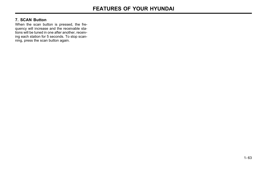### 7. SCAN Button

When the scan button is pressed, the frequency will increase and the receivable stations will be tuned in one after another, receiving each station for 5 seconds. To stop scanning, press the scan button again.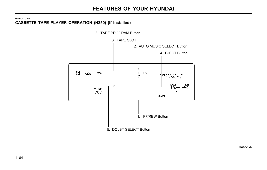H240C01O-GAT CASSETTE TAPE PLAYER OPERATION (H250) (If Installed)



H250A01GK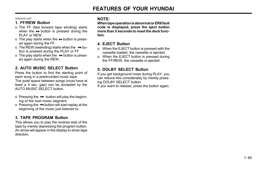#### H240A03O-GAT

## 1. FF/REW Button

- o The FF (fast forward tape winding) starts when the  $\rightarrow$  button is pressed during the PLAY or REW.
- o The play starts when the  $\blacktriangleright$  button is pressed again during the FF.
- o The REW (rewinding) starts when the  $\leftrightarrow$  button is pressed during the PLAY or FF.
- o The play starts when the  $\leftrightarrow$  button is pressed again during the REW.

# 2. AUTO MUSIC SELECT Button

Press the button to find the starting point of each song in a prerecorded music tape. The quiet space between songs (must have at least a 4 sec. gap) can be accepted by the AUTO MUSIC SELECT button.

- o Pressing the  $\rightarrow$  button will play the beginning of the next music segment.
- o Pressing the  $\blacktriangleright$  button will start replay at the beginning of the music just listened to.

## 3. TAPE PROGRAM Button

This allows you to play the reverse side of the tape by merely depressing the program button. An arrow will appear in the display to show tape direction.

## NOTE:

When tape operation is abnormal or ER8 fault code is displayed, press the eject button more than 5 seconds to reset the deck function.

## 4. EJECT Button

- o When the EJECT button is pressed with the cassette loaded, the cassette is ejected.
- o When the EJECT button is pressed during the FF/REW, the cassette is ejected.

## 5. DOLBY SELECT Button

If you get background noise during PLAY, you can reduce this considerably by merely pressing DOLBY SELECT button.

If you want to release, press the button again.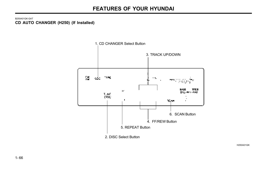B250A01GK-GAT CD AUTO CHANGER (H250) (If Installed)



H250A01GK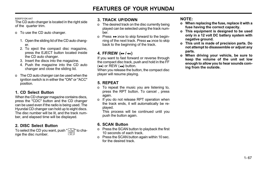B260F01GK-AAT

The CD auto changer is located in the right side of the quarter trim.

- o To use the CD auto changer.
	- 1. Open the sliding lid of the CD auto changer.
	- 2. To eject the compact disc magazine, press the EJECT button located inside the CD auto changer.
	- 3. Insert the discs into the magazine.
	- 4. Push the magazine into the CD auto changer and close the sliding lid.
- o The CD auto changer can be used when the ignition switch is in either the "ON" or "ACC" position.

# 1. CD Select Button

When the CD changer magazine contains discs, press the "CDC" button and the CD changer can be used even if the radio is being used. The Hyundai CD changer can hold up to eight discs. The disc number will be lit, and the track number, and elapsed time will be displayed.

# 2. DISC Select Button

To select the CD you want, push " $\big| \hat{u}^{\infty}_{\text{\tiny{DISC}}}\big|$ " to change the disc number.

# 3. TRACK UP/DOWN

- o The desired track on the disc currently being played can be selected using the track number.
- o Press  $\rightarrow$  once to skip forward to the beginning of the next track. Press << once to skip back to the beginning of the track.

# 4. FF/REW  $(*}/4)$

If you want to fast forward or reverse through the compact disc track, push and hold in the FF  $(\rightarrow)$  or REW  $(\rightarrow)$  button.

When you release the button, the compact disc player will resume playing.

# 5. REPEAT

- o To repeat the music you are listening to, press the RPT button. To cancel , press again.
- o If you do not release RPT operation when the track ends, it will automatically be replayed.

This process will be continued until you push the button again.

# 6. SCAN Button

- o Press the SCAN button to playback the first 10 seconds of each track.
- o Press the SCAN button again within 10 sec. for the desired track.

# NOTE:

- o When replacing the fuse, replace it with a fuse having the correct capacity.
- o This equipment is designed to be used only in a 12 volt DC battery system with negative ground.
- o This unit is made of precision parts. Do not attempt to disassemble or adjust any parts.
- o When driving your vehicle, be sure to keep the volume of the unit set low enough to allow you to hear sounds coming from the outside.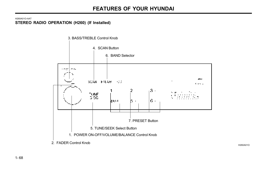#### H260A01O-AAT STEREO RADIO OPERATION (H260) (If Installed)



H260A01O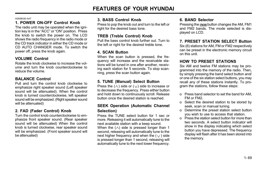H260B03E-AAT

# 1. POWER ON-OFF Control Knob

The radio unit may be operated when the ignition key is in the "ACC" or "ON" position. Press the knob to switch the power on. The LCD shows the radio frequency in the radio mode or the CD track indicator in either the CD mode or CD AUTO CHANGER mode. To switch the power off, press the knob again.

# VOLUME Control

Rotate the knob clockwise to increase the volume and turn the knob counterclockwise to reduce the volume.

# BALANCE Control

Pull and turn the control knob clockwise to emphasize right speaker sound (Left speaker sound will be attenuated). When the control knob is turned counterclockwise, left speaker sound will be emphasized. (Right speaker sound will be attenuated)

## 2. FAD (Fader Control) Knob

Turn the control knob counterclockwise to emphasize front speaker sound. (Rear speaker sound will be attenuated) When the control knob is turned clockwise, rear speaker sound will be emphasized. (Front speaker sound will be attenuated)

## 3. BASS Control Knob

Press to pop the knob out and turn to the left or right for the desired bass tone.

## TREB (Treble Control) Knob

Pull the bass control knob further out. Turn to the left or right for the desired treble tone.

## 4. SCAN Button

When the scan button is pressed, the frequency will increase and the receivable stations will be tuned in one after another, receiving each station for 5 seconds. To stop scanning, press the scan button again.

# 5. TUNE (Manual) Select Button

Press the  $(\wedge)$  side or  $(\vee)$  side to increase or to decrease the frequency. Press either button and hold down to continuously scroll. Release button once the desired station is reached.

## SEEK Operation (Automatic Channel Selection)

Press the TUNE select button for 1 sec or more. Releasing it will automatically tune to the next available station with a beep sound. When the  $(\wedge)$  side is pressed longer than 1 second, releasing will automatically tune to the next higher frequency and when the  $(y)$  side is pressed longer than 1 second, releasing will automatically tune to the next lower frequency.

## 6. BAND Selector

Pressing the EMAM button changes the AM, FM1 and FM2 bands. The mode selected is displayed on LCD.

## 7. PRESET STATION SELECT Button

Six (6) stations for AM, FM or FM2 respectively can be preset in the electronic memory circuit on this unit.

# HOW TO PRESET STATIONS

Six AM and twelve FM stations may be programmed into the memory of the radio. Then, by simply pressing the band select button and/ or one of the six station select buttons, you may recall any of these stations instantly. To program the stations, follow these steps:

- o Press band selector to set the band for AM, FM or FM2.
- o Select the desired station to be stored by seek, scan or manual tuning.
- o Determine the preset station select button you wish to use to access that station.
- o Press the station select button for more than two seconds. A select button indicator will show in the display indicating which select button you have depressed. The frequency display will flash after it has been stored into the memory.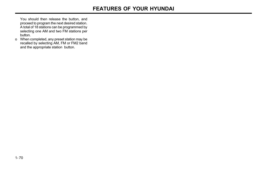You should then release the button, and proceed to program the next desired station. A total of 18 stations can be programmed by selecting one AM and two FM stations per button.

o When completed, any preset station may be recalled by selecting AM, FM or FM2 band and the appropriate station button.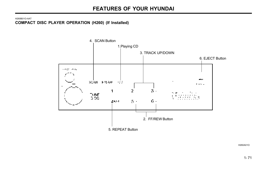H260B01O-AAT COMPACT DISC PLAYER OPERATION (H260) (If Installed)



H260A01O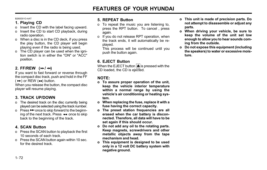B260D01O-AAT

# 1. Playing CD

- o Insert the CD with the label facing upward.
- o Insert the CD to start CD playback, during radio operation.
- o When a disc is in the CD deck, if you press the play button, the CD player will begin playing even if the radio is being used.
- o The CD player can be used when the ignition switch is in either the "ON" or "ACC" position.

# 2. FF/REW  $(\rightarrow)$   $\rightarrow$

If you want to fast forward or reverse through the compact disc track, push and hold in the FF  $( \rightarrow )$  or REW  $( \rightarrow )$  button.

When you release the button, the compact disc player will resume playing.

# 3. TRACK UP/DOWN

- o The desired track on the disc currently being played can be selected using the track number.
- $\circ$  Press  $\rightarrow$  once to skip forward to the beginning of the next track. Press  $H = 0$  once to skip back to the beginning of the track.

# 4. SCAN Button

- o Press the SCAN button to playback the first 10 seconds of each track.
- o Press the SCAN button again within 10 sec. for the desired track.

## 5. REPEAT Button

- o To repeat the music you are listening to, press the RPT button. To cancel , press again.
- o If you do not release RPT operation, when the track ends, it will automatically be replayed.

This process will be continued until you push the button again.

# 6. EJECT Button

When the EJECT button  $\blacksquare$  is pressed with the CD loaded, the CD is ejected.

# NOTE:

- o To assure proper operation of the unit, keep the vehicle interior temperature within a normal range by using the vehicle's air conditioning or heating system.
- o When replacing the fuse, replace it with a fuse having the correct capacity.
- o The preset station frequencies are all erased when the car battery is disconnected. Therefore, all data will have to be set again if this should occur.
- o Do not add any oil to the rotating parts. Keep magnets, screwdrivers and other metallic objects away from the tape mechanism and head.
- o This equipment is designed to be used only in a 12 volt DC battery system with negative ground.
- o This unit is made of precision parts. Do not attempt to disassemble or adjust any parts.
- o When driving your vehicle, be sure to keep the volume of the unit set low enough to allow you to hear sounds coming from the outside.
- o Do not expose this equipment (including the speakers) to water or excessive moisture.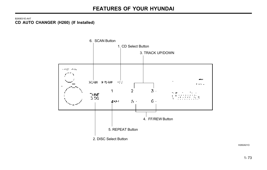B260E01E-AAT CD AUTO CHANGER (H260) (If Installed)



H260A01O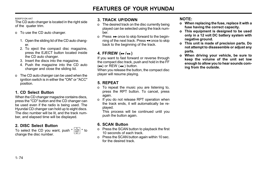B260F01GK-AAT

The CD auto changer is located in the right side of the quater trim.

- o To use the CD auto changer.
	- 1. Open the sliding lid of the CD auto changer.
	- 2. To eject the compact disc magazine, press the EJECT button located inside the CD auto changer.
	- 3. Insert the discs into the magazine.
	- 4. Push the magazine into the CD auto changer and close the sliding lid.
- o The CD auto changer can be used when the ignition switch is in either the "ON" or "ACC" position.

# 1. CD Select Button

When the CD changer magazine contains discs, press the "CD" button and the CD changer can be used even if the radio is being used. The Hyundai CD changer can hold up to eight discs. The disc number will be lit, and the track number, and elapsed time will be displayed.

# 2. DISC Select Button

To select the CD you want, push "  $\vert^{\text{\tiny TUNE}}_{\text{\tiny DISC}}\vert$  " to change the disc number.

# 3. TRACK UP/DOWN

- o The desired track on the disc currently being played can be selected using the track number.
- o Press  $\rightarrow$  once to skip forward to the beginning of the next track. Press << once to skip back to the beginning of the track.

# 4. FF/REW  $(\rightarrow \rightarrow / \rightarrow )$

If you want to fast forward or reverse through the compact disc track, push and hold in the FF  $(\rightarrow)$  or REW  $(\rightarrow)$  button.

When you release the button, the compact disc player will resume playing.

# 5. REPEAT

- o To repeat the music you are listening to, press the RPT button. To cancel, press again.
- o If you do not release RPT operation when the track ends, it will automatically be replayed.

This process will be continued until you push the button again.

# 6. SCAN Button

- o Press the SCAN button to playback the first 10 seconds of each track.
- o Press the SCAN button again within 10 sec. for the desired track.

## NOTE:

- o When replacing the fuse, replace it with a fuse having the correct capacity.
- o This equipment is designed to be used only in a 12 volt DC battery system with negative ground.
- o This unit is made of precision parts. Do not attempt to disassemble or adjust any parts.
- o When driving your vehicle, be sure to keep the volume of the unit set low enough to allow you to hear sounds coming from the outside.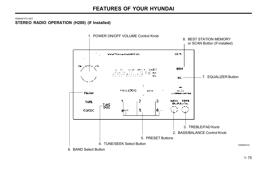#### H290A01FC-GAT STEREO RADIO OPERATION (H280) (If Installed)

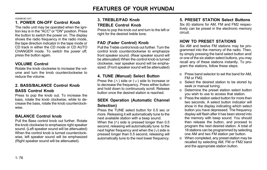H290B03E-GAT

# 1. POWER ON-OFF Control Knob

The radio unit may be operated when the ignition key is in the "ACC" or "ON" position. Press the button to switch the power on. The display shows the radio frequency in the radio mode. the tape direction indicator in the tape mode or CD track in either the CD mode or CD AUTO CHANGER mode. To switch the power off, press the button again.

# VOLUME Control

Rotate the knob clockwise to increase the volume and turn the knob counterclockwise to reduce the volume.

# 2. BASS/BALANCE Control Knob BASS Control Knob

Press to pop the knob out. To increase the bass, rotate the knob clockwise, while to decrease the bass, rotate the knob counterclockwise.

# BALANCE Control knob

Pull the Bass control knob out further. Rotate the knob clockwise to emphasize right speaker sound. (Left speaker sound will be attenuated) When the control knob is turned counterclockwise, left speaker sound will be emphasized (Right speaker sound will be attenuated).

# 3. TREBLE/FAD Knob TREBLE Control Knob

Press to pop the knob out and turn to the left or right for the desired treble tone.

# FAD (Fader Control) Knob

Pull the Treble control knob out further. Turn the control knob counterclockwise to emphasize front speaker sound. (Rear speaker sound will be attenuated) When the control knob is turned clockwise, rear speaker sound will be emphasized. (Front speaker sound will be attenuated)

# 4. TUNE (Manual) Select Button

Press the  $(\wedge)$  side or  $(\vee)$  side to increase or to decrease the frequency. Press either button and hold down to continuously scroll. Release button once the desired station is reached.

## SEEK Operation (Automatic Channel Selection)

Press the TUNE select button for 0.5 sec or more. Releasing it will automatically tune to the next available station with a beep sound. When the  $(\wedge)$  side is pressed longer than 0.5 second, releasing will automatically tune to the next higher frequency and when the  $(\vee)$  side is pressed longer than 0.5 second, releasing will automatically tune to the next lower frequency.

# 5. PRESET STATION Select Buttons

Six (6) stations for AM, FM and FM2 respectively can be preset in the electronic memory circuit.

# HOW TO PRESET STATIONS

Six AM and twelve FM stations may be programmed into the memory of the radio. Then, by simply pressing the band select button and/ or one of the six station select buttons, you may recall any of these stations instantly. To program the stations, follow these steps:

- o Press band selector to set the band for AM, FM or FM2.
- o Select the desired station to be stored by seek or manual tuning.
- o Determine the preset station select button you wish to use to access that station.
- o Press the station select button for more than two seconds. A select button indicator will show in the display indicating which select button you have depressed. The frequency display will flash after it has been stored into the memory with beep sound. You should then release the button, and proceed to program the next desired station. A total of 18 stations can be programmed by selecting one AM and two FM station per button.
- o When completed, any preset station may be recalled by selecting AM, FM or FM2 band and the appropriate station button.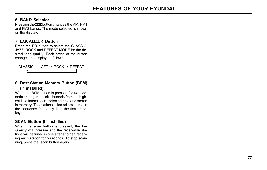## 6. BAND Selector

Pressing the EMIAM button changes the AM, FM1 and FM2 bands. The mode selected is shown on the display.

# 7. EQUALIZER Button

Press the EQ button to select the CLASSIC, JAZZ, ROCK and DEFEAT MODE for the desired tone quality. Each press of the button changes the display as follows;

 $CI ASSIC \rightarrow JA77 \rightarrow ROCK \rightarrow DFFFAT$ ↑

## 8. Best Station Memory Button (BSM) (If installed)

When the BSM button is pressed for two seconds or longer, the six channels from the highest field intensity are selected next and stored in memory. The stations selected are stored in the sequence frequency from the first preset key.

## SCAN Button (If installed)

When the scan button is pressed, the frequency will increase and the receivable stations will be tuned in one after another, receiving each station for 5 seconds. To stop scanning, press the scan button again.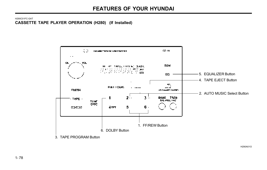H290C01FC-GAT CASSETTE TAPE PLAYER OPERATION (H280) (If Installed)



H290A01O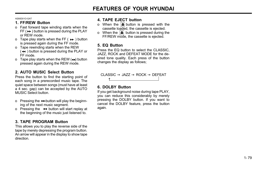H290D01O-GAT

# 1. FF/REW Button

- o Fast forward tape winding starts when the  $FF$  ( $\blacktriangleright$ ) button is pressed during the PLAY or REW mode.
- o Tape play starts when the FF ( $\rightarrow$ ) button is pressed again during the FF mode.
- o Tape rewinding starts when the REW  $(44)$  button is pressed during the PLAY or FF mode.
- o Tape play starts when the REW  $(4)$  button pressed again during the REW mode.

# 2. AUTO MUSIC Select Button

Press the button to find the starting point of each song in a prerecorded music tape. The quiet space between songs (must have at least a 4 sec. gap) can be accepted by the AUTO MUSIC Select button.

- o Pressing the  $\rightarrow$ -button will play the beginning of the next music segment.
- o Pressing the  $\leftrightarrow$  button will start replay at the beginning of the music just listened to.

# 3. TAPE PROGRAM Button

This allows you to play the reverse side of the tape by merely depressing the program button. An arrow will appear in the display to show tape direction.

## 4. TAPE EJECT button

- o When the  $\triangle$  button is pressed with the cassette loaded, the cassette is ejected.
- o When the  $\left| \triangle \right|$  button is pressed during the FF/REW mode, the cassette is ejected.

## 5. EQ Button

Press the EQ button to select the CLASSIC, JAZZ, ROCK and DEFEAT MODE for the desired tone quality. Each press of the button changes the display as follows;

 $\mathsf{CLASSIC} \rightarrow \mathsf{JAZZ} \rightarrow \mathsf{ROCK} \rightarrow \mathsf{DEFEAT}$ 

# 6. DOLBY Button

↑

If you get background noise during tape PLAY, you can reduce this considerably by merely pressing the DOLBY button. If you want to cancel the DOLBY feature, press the button again.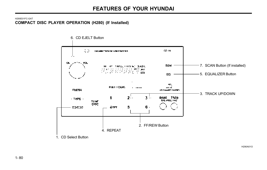#### H290E01FC-GAT COMPACT DISC PLAYER OPERATION (H280) (If Installed)



H290A01O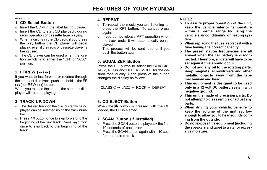H290F01O-GAT

# 1. CD Select Button

- o Insert the CD with the label facing upward.
- o Insert the CD to start CD playback, during radio operation or cassette tape playing.
- o When a disc is in the CD deck, if you press the play button the CD player will begin playing even if the radio or cassette player is being used.
- o The CD player can be used when the ignition switch is in either the "ON" or "ACC" position.

# 2. FF/REW  $(\rightarrow \rightarrow / \rightarrow \rightarrow)$

If you want to fast forward or reverse through the compact disc track, push and hold in the FF  $(\rightarrow)$  or REW  $(\rightarrow)$  button.

When you release the button, the compact disc player will resume playing.

# 3. TRACK UP/DOWN

- o The desired track on the disc currently being played can be selected using the track number.
- o Press  $\rightarrow$  button once to skip forward to the beginning of the next track. Press  $\leftrightarrow$  button once to skip back to the beginning of the track.

# 4. REPEAT

- o To repeat the music you are listening to, press the RPT button. To cancel, press again.
- o If you do not release RPT operation when the track ends, it will automatically be replayed.

This process will be continued until you push the button again.

# 5. EQUALIZER Button

Press the EQ button to select the CLASSIC, JAZZ, ROCK and DEFEAT MODE for the desired tone quality. Each press of the button changes the display as follows;

CLASSIC  $\rightarrow$  JAZZ  $\rightarrow$  ROCK  $\rightarrow$  DEFEAT ↑

# 6. CD EJECT Button

When the  $\triangleq$  button is pressed with the CD loaded, the CD is ejected.

# 7. SCAN Button (If installed)

- o Press the SCAN button to playback the first 10 seconds of each track.
- o Press the SCAN button again within 10 sec. for the desired track.

# NOTE:

- o To assure proper operation of the unit, keep the vehicle interior temperature within a normal range by using the vehicle's air conditioning or heating system.
- o When replacing the fuse, replace it with a fuse having the correct capacity.
- o The preset station frequencies are all erased when the car battery is disconnected. Therefore, all data will have to be set again if this should occur.
- o Do not add any oil to the rotating parts. Keep magnets, screwdrivers and other metallic objects away from the tape mechanism and head.
- o This equipment is designed to be used only in a 12 volt DC battery system with negative ground.
- o This unit is made of precision parts. Do not attempt to disassemble or adjust any parts.
- o When driving your vehicle, be sure to keep the volume of the unit set low enough to allow you to hear sounds coming from the outside.
- o Do not expose this equipment (including the speakers and tape) to water or excessive moisture.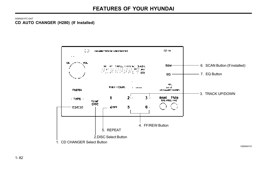H290G01FC-GAT CD AUTO CHANGER (H280) (If Installed)

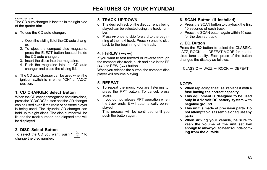B290H01GK-GAT

The CD auto changer is located in the right side of the quater trim.

- o To use the CD auto changer.
	- 1. Open the sliding lid of the CD auto changer.
	- 2. To eject the compact disc magazine, press the EJECT button located inside the CD auto changer.
	- 3. Insert the discs into the magazine.
	- 4. Push the magazine into the CD auto changer and close the sliding lid.
- o The CD auto changer can be used when the ignition switch is in either "ON" or "ACC" position.

# 1. CD CHANGER Select Button

When the CD changer magazine contains discs, press the "CD/CDC" button and the CD changer can be used even if the radio or cassette player is being used. The Hyundai CD changer can hold up to eight discs. The disc number will be lit, and the track number, and elapsed time will be displayed.

# 2. DISC Select Button

To select the CD you want, push "  $\vert^{\text{true}}_{\text{Disc}} \vert$  " to change the disc number.

## 3. TRACK UP/DOWN

- o The desired track on the disc currently being played can be selected using the track number.
- o Press  $\rightarrow$  once to skip forward to the beginning of the next track. Press << once to skip back to the beginning of the track.

# 4. FF/REW  $(\rightarrow \rightarrow / \rightarrow \rightarrow)$

If you want to fast forward or reverse through the compact disc track, push and hold in the FF  $(\rightarrow \rightarrow)$  or REW ( $\rightarrow$ ) button.

When you release the button, the compact disc player will resume playing.

# 5. REPEAT

- o To repeat the music you are listening to, press the RPT button. To cancel, press again.
- o If you do not release RPT operation when the track ends, it will automatically be replayed.

This process will be continued until you push the button again.

## 6. SCAN Button (If installed)

- o Press the SCAN button to playback the first 10 seconds of each track.
- o Press the SCAN button again within 10 sec. for the desired track.

## 7. EQ Button

Press the EQ button to select the CLASSIC. JAZZ, ROCK and DEFEAT MODE for the desired tone quality. Each press of the button changes the display as follows;



# NOTE:

- o When replacing the fuse, replace it with a fuse having the correct capacity.
- o This equipment is designed to be used only in a 12 volt DC battery system with negative ground.
- o This unit is made of precision parts. Do not attempt to disassemble or adjust any parts.
- o When driving your vehicle, be sure to keep the volume of the unit set low enough to allow you to hear sounds coming from the outside.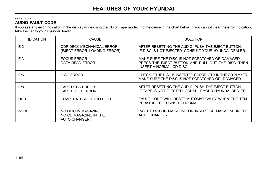#### B890A01Y-AAT AUDIO FAULT CODE

If you see any error indication in the display while using the CD or Tape mode, find the cause in the chart below. If you cannot clear the error indication, take the car to your Hyundai dealer.

| <b>INDICATION</b> | <b>CAUSE</b>                                                        | SOLUTION                                                                                                                          |
|-------------------|---------------------------------------------------------------------|-----------------------------------------------------------------------------------------------------------------------------------|
| Er2               | CDP DECK MECHANICAL ERROR<br>(EJECT ERROR, LOADING ERROR)           | AFTER RESETTING THE AUDIO, PUSH THE EJECT BUTTON.<br>IF DISC IS NOT EJECTED, CONSULT YOUR HYUNDAI DEALER.                         |
| Er3               | <b>FOCUS ERROR</b><br>DATA READ ERROR                               | MAKE SURE THE DISC IS NOT SCRATCHED OR DAMAGED.<br>PRESS THE EJECT BUTTON AND PULL OUT THE DISC. THEN<br>INSERT A NORMAL CD DISC. |
| Er <sub>6</sub>   | <b>DISC ERROR</b>                                                   | CHECK IF THE DISC IS INSERTED CORRECTLY IN THE CD PLAYER.<br>MAKE SURE THE DISC IS NOT SCRATCHED OR DAMAGED.                      |
| Er <sub>8</sub>   | <b>TAPE DECK ERROR</b><br><b>TAPE EJECT ERROR</b>                   | AFTER RESETTING THE AUDIO, PUSH THE EJECT BUTTON.<br>IF TAPE IS NOT EJECTED, CONSULT YOUR HYUNDAI DEALER.                         |
| HHH               | TEMPERATURE IS TOO HIGH                                             | FAULT CODE WILL RESET AUTOMATICALLY WHEN THE TEM-<br>PERATURE RETURNS TO NORMAL.                                                  |
| no CD             | NO DISC IN MAGAZINE<br>NO CD MAGAZINE IN THE<br><b>AUTO CHANGER</b> | INSERT DISC IN MAGAZINE OR INSERT CD MAGAZINE IN THE<br>AUTO CHANGER.                                                             |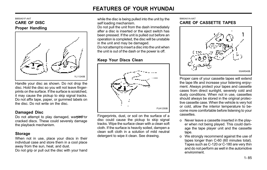#### B850A01F-AAT CARE OF DISC Proper Handling



Handle your disc as shown. Do not drop the disc. Hold the disc so you will not leave fingerprints on the surface. If the surface is scratched, it may cause the pickup to skip signal tracks. Do not affix tape, paper, or gummed labels on the disc. Do not write on the disc.

## Damaged Disc

Do not attempt to play damaged, warped<sup>3</sup>or cracked discs. These could severely damage the playback mechanism.

## Storage

When not in use, place your discs in their individual case and store them in a cool place away from the sun, heat, and dust. Do not grip or pull out the disc with your hand

while the disc is being pulled into the unit by the self loading mechanism.

Do not pull the unit from the dash immediately after a disc is inserted or the eject switch has been pressed. If the unit is pulled out before an operation is completed, the disc will be unstable in the unit and may be damaged.

Do not attempt to insert a disc into the unit when the unit is out of the dash or the power is off.

# Keep Your Discs Clean



Fingerprints, dust, or soil on the surface of a disc could cause the pickup to skip signal tracks. Wipe the surface clean with a clean soft cloth. If the surface is heavily soiled, dampen a clean soft cloth in a solution of mild neutral detergent to wipe it clean. See drawing.

#### B860A01A-AAT CARE OF CASSETTE TAPES



Proper care of your cassette tapes will extend the tape life and increase your listening enjoyment. Always protect your tapes and cassette cases from direct sunlight, severely cold and dusty conditions. When not in use, cassettes should always be stored in the original protective cassette case. When the vehicle is very hot or cold, allow the interior temperature to become more comfortable before listening to your cassettes.

- o Never leave a cassette inserted in the player when not being played. This could damage the tape player unit and the cassette tape.
- o We strongly recommend against the use of tapes longer than C-60 (60 minutes total). Tapes such as C-120 or C-180 are very thin and do not perform as well in the automotive environment.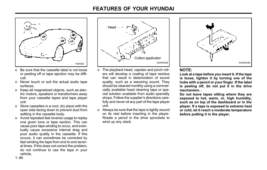

- o Be sure that the cassette label is not loose or peeling off or tape ejection may be difficult.
- o Never touch or soil the actual audio tape surfaces.
- o Keep all magnetized objects, such as electric motors, speakers or transformers away from your cassette tapes and tape player unit.
- o Store cassettes in a cool, dry place with the open side facing down to prevent dust from settling in the cassette body.
- o Avoid repeated fast reverse usage to replay one given tune or tape section. This can cause poor tape winding to occur, and eventually cause excessive internal drag and poor audio quality in the cassette. If this occurs, it can sometimes be corrected by fast winding the tape from end to end several times. If this does not correct the problem, do not continue to use the tape in your vehicle.



- o The playback head, capstan and pinch rollers will develop a coating of tape residue that can result in deterioration of sound quality, such as a wavering sound. They should be cleaned monthly using a commercially available head cleaning tape or special solution available from audio specialty shops. Follow the supplier's directions carefully and never oil any part of the tape player unit.
- o Always be sure that the tape is tightly wound on its reel before inserting in the player. Rotate a pencil in the drive sprockets to wind up any slack.



# NOTE:

Look at a tape before you insert it. If the tape is loose, tighten it by turning one of the hubs with a pencil or your finger. If the label is peeling off, do not put it in the drive mechanism. .

Do not leave tapes sitting where they are exposed to hot, warm, or, high humidity, such as on top of the dashboard or in the player. If a tape is exposed to extreme heat or cold, let it reach a moderate temperature before putting it in the player.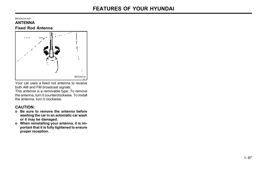#### B870A01A-AAT ANTENNA Fixed Rod Antenna



Your car uses a fixed rod antenna to receive both AM and FM broadcast signals. This antenna is a removable type. To remove the antenna, turn it counterclockwise. To install the antenna, turn it clockwise.

# CAUTION:

- o Be sure to remove the antenna before washing the car in an automatic car wash or it may be damaged.
- o When reinstalling your antenna, it is important that it is fully tightened to ensure proper reception.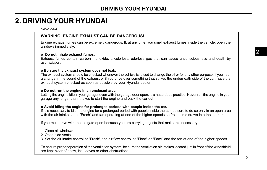C010A01O-AAT

## WARNING: ENGINE EXHAUST CAN BE DANGEROUS!

Engine exhaust fumes can be extremely dangerous. If, at any time, you smell exhaust fumes inside the vehicle, open the windows immediately.

#### o Do not inhale exhaust fumes.

Exhaust fumes contain carbon monoxide, a colorless, odorless gas that can cause unconsciousness and death by asphyxiation.

#### o Be sure the exhaust system does not leak.

The exhaust system should be checked whenever the vehicle is raised to change the oil or for any other purpose. If you hear a change in the sound of the exhaust or if you drive over something that strikes the underneath side of the car, have the exhaust system checked as soon as possible by your Hyundai dealer.

#### o Do not run the engine in an enclosed area.

Letting the engine idle in your garage, even with the garage door open, is a hazardous practice. Never run the engine in your garage any longer than it takes to start the engine and back the car out.

#### o Avoid idling the engine for prolonged periods with people inside the car.

If it is necessary to idle the engine for a prolonged period with people inside the car, be sure to do so only in an open area with the air intake set at "Fresh" and fan operating at one of the higher speeds so fresh air is drawn into the interior.

If you must drive with the tail gate open because you are carrying objects that make this necessary:

- 1. Close all windows.
- 2. Open side vents.
- 3. Set the air intake control at "Fresh", the air flow control at "Floor" or "Face" and the fan at one of the higher speeds.

To assure proper operation of the ventilation system, be sure the ventilation air intakes located just in front of the windshield are kept clear of snow, ice, leaves or other obstructions.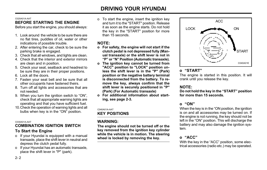#### C020A01A-AAT

# BEFORE STARTING THE ENGINE

Before you start the engine, you should always:

- 1. Look around the vehicle to be sure there are no flat tires, puddles of oil, water or other indications of possible trouble.
- 2. After entering the car, check to be sure the parking brake is engaged.
- 3. Check that all windows, and lights are clean.
- 4. Check that the interior and exterior mirrors are clean and in position.
- 5. Check your seat, seatback and headrest to be sure they are in their proper positions.
- 6. Lock all the doors.
- 7. Fasten your seat belt and be sure that all other occupants have fastened theirs.
- 8. Turn off all lights and accessories that are not needed.
- 9. When you turn the ignition switch to "ON", check that all appropriate warning lights are operating and that you have sufficient fuel.
- 10.Check the operation of warning lights and all bulbs when key is in the "ON" position.

#### C030A01A-AAT

## COMBINATION IGNITION SWITCH To Start the Engine

- o If your Hyundai is equipped with a manual transaxle, place the shift lever in neutral and depress the clutch pedal fully.
- o If your Hyundai has an automatic transaxle, place the shift lever in "P" (park).

o To start the engine, insert the ignition key and turn it to the "START" position. Release it as soon as the engine starts. Do not hold the key in the "START" position for more than 15 seconds.

# NOTE:

- o For safety, the engine will not start if the clutch pedal is not depressed fully (Manual transaxle) or the shift lever is not in "P" or "N" Position (Automatic transaxle).
- o The ignition key cannot be turned from "ACC" position to "LOCK" position unless the shift lever is in the "P" (Park) position or the negative battery terminal is disconnected from the battery. To remove the key, always confirm that the shift lever is securely positioned in "P" (Park) (For Automatic transaxle)
- o For additional information about starting, see page 2-3.

### C040A01A-AAT

# KEY POSITIONS

# WARNING:

The engine should not be turned off or the key removed from the ignition key cylinder while the vehicle is in motion. The steering wheel is locked by removing the key.



# o "START"

The engine is started in this position. It will crank until you release the key.

# NOTE:

Do not hold the key in the "START" position for more than 15 seconds.

# o "ON"

When the key is in the "ON position, the ignition is on and all accessories may be turned on. If the engine is not running, the key should not be left in the "ON" position. This will discharge the battery and may also damage the ignition system.

# o "ACC"

With the key in the "ACC" position, some electrical accessories (radio etc.) may be operated.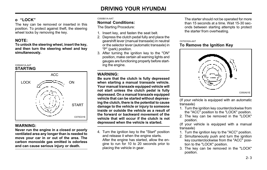# o "LOCK"

The key can be removed or inserted in this position. To protect against theft, the steering wheel locks by removing the key.

# NOTE:

To unlock the steering wheel, insert the key, and then turn the steering wheel and key simultaneously.





# WARNING:

Never run the engine in a closed or poorly ventilated area any longer than is needed to move your car in or out of the area. The carbon monoxide gas emitted is odorless and can cause serious injury or death.

#### C050B01A-AAT

# Normal Conditions:

The Starting Procedure:

- 1. Insert key, and fasten the seat belt.
- 2. Depress the clutch pedal fully and place the gearshift lever (manual transaxle) in neutral or the selector lever (automatic transaxle) in "P" (park) position.
- 3. After turning the ignition key to the "ON" position, make certain all warning lights and gauges are functioning properly before starting the engine.

# WARNING:

Be sure that the clutch is fully depressed when starting a manual transaxle vehicle. Your manual transaxle equipped vehicle will not start unless the clutch pedal is fully depressed. On a manual transaxle equipped vehicle that can be started without depressing the clutch, there is the potential to cause damage to the vehicle or injury to someone inside or outside the vehicle as a result of the forward or backward movement of the vehicle that will occur if the clutch is not depressed when the vehicle is started.

4. Turn the ignition key to the "Start" position and release it when the engine starts. After the engine has started, allow the engine to run for 10 to 20 seconds prior to placing the vehicle in gear.

The starter should not be operated for more than 15 seconds at a time. Wait 15-30 seconds between starting attempts to protect the starter from overheating.

#### C070C02A-AAT

# To Remove the Ignition Key



(If your vehicle is equipped with an automatic transaxle)

- 1. Turn the ignition key counterclockwise from the "ACC" position to the "LOCK" position.
- 2. The key can be removed in the "LOCK" position.

(If your vehicle is equipped with a manual transaxle)

- 1. Turn the ignition key to the "ACC" position.
- 2. Simultaneously push and turn the ignition key counterclockwise from the "ACC" position to the "LOCK" position.
- 3. The key can be removed in the "LOCK" position.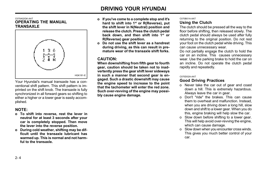#### C070A02GK-AAT OPERATING THE MANUAL **TRANSAXLE**



Your Hyundai's manual transaxle has a conventional shift pattern. This shift pattern is imprinted on the shift knob. The transaxle is fully synchronized in all forward gears so shifting to either a higher or a lower gear is easily accomplished.

# NOTE:

- o To shift into reverse, rest the lever in neutral for at least 3 seconds after your car is completely stopped. Then move the lever into the reverse position.
- o During cold weather, shifting may be difficult until the transaxle lubricant has warmed up. This is normal and not harmful to the transaxle.
- o If you've come to a complete stop and it's hard to shift into 1<sup>st</sup> or R(Reverse), put the shift lever in N(Neutral) position and release the clutch. Press the clutch pedal back down, and then shift into 1<sup>st</sup> or R(Reverse) gear position.
- o Do not use the shift lever as a handrest during driving, as this can result in premature wear of the transaxle shift forks.

## CAUTION:

When downshifting from fifth gear to fourth gear, caution should be taken not to inadvertently press the gear shift lever sideways in such a manner that second gear is engaged. Such a drastic downshift may cause the engine speed to increase to the point that the tachometer will enter the red zone. Such over-revving of the engine may possibly cause engine damage.

#### C070B01A-AAT Using the Clutch

The clutch should be pressed all the way to the floor before shifting, then released slowly. The clutch pedal should always be used after fully returning to the original position. Do not rest your foot on the clutch pedal while driving. This can cause unnecessary wear.

Do not partially engage the clutch to hold the car on an incline. This causes unnecessary wear. Use the parking brake to hold the car on an incline. Do not operate the clutch pedal rapidly and repeatedly.

#### C070D02A-AAT

## Good Driving Practices

- o Never take the car out of gear and coast down a hill. This is extremely hazardous. Always leave the car in gear.
- o Don't "ride" the brakes. This can cause them to overheat and malfunction. Instead, when you are driving down a long hill, slow down and shift to a lower gear. When you do this, engine braking will help slow the car.
- o Slow down before shifting to a lower gear. This will help avoid over-revving the engine, which can cause damage.
- o Slow down when you encounter cross winds. This gives you much better control of your car.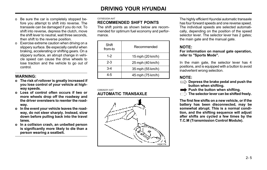- o Be sure the car is completely stopped before you attempt to shift into reverse. The transaxle can be damaged if you do not. To shift into reverse, depress the clutch, move the shift lever to neutral, wait three seconds, then shift to the reverse position.
- o Exercise extreme caution when driving on a slippery surface. Be especially careful when braking, accelerating or shifting gears. On a slippery surface, an abrupt change in vehicle speed can cause the drive wheels to lose traction and the vehicle to go out of control.

### WARNING:

- o The risk of rollover is greatly increased if you lose control of your vehicle at highway speeds.
- o Loss of control often occurs if two or more wheels drop off the roadway and the driver oversteers to reenter the roadway.
- o In the event your vehicle leaves the roadway, do not steer sharply. Instead, slow down before pulling back into the travel lanes.
- o In a collision crash, an unbelted person is significantly more likely to die than a person wearing a seatbelt.

#### C070E02GK-AAT

## RECOMMENDED SHIFT POINTS

The shift points as shown below are recommended for optimum fuel economy and performance.

| Shift<br>from-to | Recommended      |
|------------------|------------------|
| $1 - 2$          | 15 mph (20 km/h) |
| $2-3$            | 25 mph (40 km/h) |
| $3-4$            | 35 mph (55 km/h) |
| 4-5              | 45 mph (75 km/h) |

#### C090A03Y-AAT **AUTOMATIC TRANSAXLE**



The highly efficient Hyundai automatic transaxle has four forward speeds and one reverse speed. The individual speeds are selected automatically, depending on the position of the speed selector lever. The selector lever has 2 gates; the main gate and the manual gate.

# NOTE:

#### For information on manual gate operation, refer to "Sports Mode".

In the main gate, the selector lever has 4 positions, and is equipped with a button to avoid inadvertent wrong selection.

## NOTE:

- $\Rightarrow$  Depress the brake pedal and push the button when shifting.
- Push the button when shifting.
- The selector lever can be shifted freely.

The first few shifts on a new vehicle, or if the battery has been disconnected, may be somewhat abrupt. This is a normal condition, and the shifting sequence will adjust after shifts are cycled a few times by the T.C.M (Transmission Control Module).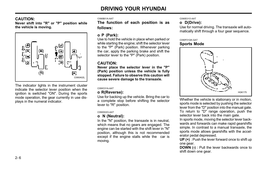## CAUTION:

Never shift into "R" or "P" position while the vehicle is moving.



The indicator lights in the instrument cluster indicate the selector lever position when the ignition is switched "ON". During the sports mode operation, the gear currently in use displays in the numeral indicator.

#### C090B01A-AAT

The function of each position is as follows:

## o P (Park):

Use to hold the vehicle in place when parked or while starting the engine; shift the selector lever to the "P" (Park) position. Whenever parking the car, apply the parking brake and shift the selector lever to the "P" (Park) position.

## CAUTION:

Never place the selector lever in the "P" (Park) position unless the vehicle is fully stopped. Failure to observe this caution will cause severe damage to the transaxle.

#### C090C01A-AAT

## o R(Reverse):

Use for backing up the vehicle. Bring the car to a complete stop before shifting the selector lever to "R" position.

#### C090D02O-AAT

## o N (Neutral):

In the "N" position, the transaxle is in neutral. which means that no gears are engaged. The engine can be started with the shift lever in "N" position, although this is not recommended except if the engine stalls while the car is moving.

#### C090E01O-AAT

## o D(Drive):

Use for normal driving. The transaxle will automatically shift through a four gear sequence.

#### C090F01GK-GAT

## Sports Mode



Whether the vehicle is stationary or in motion, sports mode is selected by pushing the selector lever from the "D" position into the manual gate. To return to "D" range operation, push the selector lever back into the main gate.

In sports mode, moving the selector lever backwards and forwards can make rapid gearshifts simple. In contrast to a manual transaxle, the sports mode allows gearshifts with the accelerator pedal depressed.

UP (+) : Push the lever forward once to shift up one gear.

DOWN (-) : Pull the lever backwards once to shift down one gear.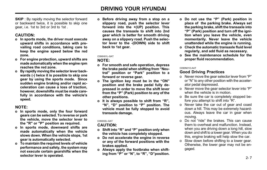**SKIP** : By rapidly moving the selector forward or backward twice, it is possible to skip one gear, i.e. 1st to 3rd or 3rd to 1st .

## CAUTION:

- o In sports mode, the driver must execute upward shifts in accordance with prevailing road conditions, taking care to keep the engine speed below the red zone.
- o For engine protection, upward shifts are made automatically when the engine rpm reaches the red zone.
- o By rapidly moving the selector lever backwards (-) twice it is possible to skip one gear by using the sports mode. Since sudden engine braking and/or rapid acceleration can cause a loss of traction, however, downshifts must be made carefully in accordance with the vehicle's speed.

## NOTE:

- o In sports mode, only the four forward gears can be selected. To reverse or park the vehicle, move the selector lever to the "R" or "P" position as required.
- o In sports mode, downward shifts are made automatically when the vehicle slows down. When the vehicle stops, 1st gear is automatically selected.
- o To maintain the required levels of vehicle performance and safety, the system may not execute certain gearshifts when the selector lever is operated.

o Before driving away from a stop on a slippery road, push the selector lever forward into the +(UP) position. This causes the transaxle to shift into 2nd gear which is better for smooth driving away on a slippery road. Push the selector lever to the -(DOWN) side to shift back to 1st gear.

#### C090H01L-GAT

## NOTE:

- o For smooth and safe operation, depress the brake pedal when shifting from "Neutral" position or "Park" position to a forward or reverse gear.
- o The ignition key must be in the "ON" position and the brake pedal fully depressed in order to move the shift lever from the "P" (Park) position to any of the other positions.
- o It is always possible to shift from "R", "N", "D" position to "P" position. The vehicle must be fully stopped to avoid transaxle damage.

## C090I02L-GAT

### CAUTION:

- o Shift into "R" and "P" position only when the vehicle has completely stopped.
- o Do not accelerate the engine in reverse or any of the forward positions with the brakes applied.
- o Always apply the footbrake when shifting from "P" or "N", to "R", "D"position.
- o Do not use the "P" (Park) position in place of the parking brake. Always set the parking brake, shift the transaxle into "P" (Park) position and turn off the ignition when you leave the vehicle, even momentarily. Never leave the vehicle unattended while the engine is running.
- o Check the automatic transaxle fluid level regularly, and add fluid as necessary.
- o See the maintenance schedule for the proper fluid recommendation.

#### C090N01O-AAT

# Good Driving Practices

- o Never move the gear selector lever from "P" or "N" to any other position with the accelerator pedal depressed.
- o Never move the gear selector lever into "P" when the vehicle is in motion.
- o Be sure the car is completely stopped before you attempt to shift into "R".
- o Never take the car out of gear and coast down a hill. This may be extremely hazardous. Always leave the car in gear when moving.
- o Do not "ride" the brakes. This can cause them to overheat and malfunction. Instead, when you are driving down a long hill, slow down and shift to a lower gear. When you do this, engine braking will help slow the car.
- o Slow down before shifting to a lower gear. Otherwise, the lower gear may not be engaged.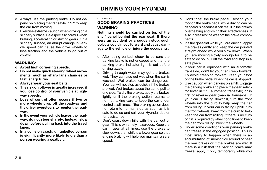- o Always use the parking brake. Do not depend on placing the transaxle in "P" to keep the car from moving.
- o Exercise extreme caution when driving on a slippery surface. Be especially careful when braking, accelerating or shifting gears. On a slippery surface, an abrupt change in vehicle speed can cause the drive wheels to lose traction and the vehicle to go out of control.

### WARNING:

- o Avoid high cornering speeds.
- o Do not make quick steering wheel movements, such as sharp lane changes or fast, sharp turns.
- o Always wear your seat belts.
- o The risk of rollover is greatly increased if you lose control of your vehicle at highway speeds.
- o Loss of control often occurs if two or more wheels drop off the roadway and the driver oversteers to reenter the roadway.
- o In the event your vehicle leaves the roadway, do not steer sharply. Instead, slow down before pulling back into the travel lanes.
- o In a collision crash, un unbelted person is significantly more likely to die than a person wearing a seatbelt.

#### C130A01A-AAT

## GOOD BRAKING PRACTICES WARNING:

Nothing should be carried on top of the shelf panel behind the rear seat. If there were an accident or a sudden stop, such objects could move forward and cause damage to the vehicle or injure the occupants.

- o After being parked, check to be sure the parking brake is not engaged and that the parking brake indicator light is out before driving away.
- o Driving through water may get the brakes wet. They can also get wet when the car is washed. Wet brakes can be dangerous! Your car will not stop as quickly if the brakes are wet. Wet brakes cause the car to pull to one side. To dry the brakes, apply the brakes lightly until the braking action returns to normal, taking care to keep the car under control at all times. If the braking action does not return to normal, stop as soon as it is safe to do so and call your Hyundai dealer for assistance.
- o Don't coast down hills with the car out of gear. This is extremely hazardous. Keep the car in gear at all times, use the brakes to slow down, then shift to a lower gear so that engine braking will help you maintain a safe speed.
- o Don't "ride" the brake pedal. Resting your foot on the brake pedal while driving can be dangerous because it can result in the brakes overheating and losing their effectiveness. It also increases the wear of the brake components.
- o If a tire goes flat while you are driving, apply the brakes gently and keep the car pointed straight ahead while you slow down. When you are moving slowly enough for it to be safe to do so, pull off the road and stop in a safe place.
- o If your car is equipped with an automatic transaxle, don't let your car creep forward. To avoid creeping forward, keep your foot on the brake pedal when the car is stopped.
- o Use caution when parking on a hill. Engage the parking brake and place the gear selector lever in "P" (automatic transaxle) or in first or reverse gear (manual transaxle). If your car is facing downhill, turn the front wheels into the curb to help keep the car from rolling. If your car is facing uphill, turn the front wheels away from the curb to help keep the car from rolling. If there is no curb or if it is required by other conditions to keep the car from rolling, block the wheels.
- o Under some conditions your parking brake can freeze in the engaged position. This is most likely to happen when there is an accumulation of snow or ice around or near the rear brakes or if the brakes are wet. If there is a risk that the parking brake may freeze, apply it only temporarily while you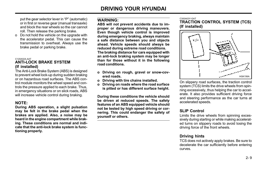put the gear selector lever in "P" (automatic) or in first or reverse gear (manual transaxle) and block the rear wheels so the car cannot roll. Then release the parking brake.

o Do not hold the vehicle on the upgrade with the accelerator pedal. This can cause the transmission to overheat. Always use the brake pedal or parking brake.

#### C120A02A-AAT

## ANTI-LOCK BRAKE SYSTEM (If installed)

The Anti-Lock Brake System (ABS) is designed to prevent wheel lock-up during sudden braking or on hazardous road surfaces. The ABS control module monitors the wheel speed and controls the pressure applied to each brake. Thus, in emergency situations or on slick roads, ABS will increase vehicle control during braking.

## NOTE:

During ABS operation, a slight pulsation may be felt in the brake pedal when the brakes are applied. Also, a noise may be heard in the engine compartment while braking. These conditions are normal and indicate that the anti-lock brake system is functioning properly.

## WARNING:

ABS will not prevent accidents due to improper or dangerous driving maneuvers. Even though vehicle control is improved during emergency braking, always maintain a safe distance between you and objects ahead. Vehicle speeds should always be reduced during extreme road conditions. The braking distance for cars equipped with an anti-lock braking system may be longer than for those without it in the following road conditions.

- o Driving on rough, gravel or snow-covered roads.
- o Driving with tire chains installed.
- o Driving on roads where the road surface is pitted or has different surface height.

During these conditions the vehicle should be driven at reduced speeds. The safety features of an ABS equipped vehicle should not be tested by high speed driving or cornering. This could endanger the safety of yourself or others.

#### C300A03Y-GAT

TRACTION CONTROL SYSTEM (TCS) (If installed)



On slippery road surfaces, the traction control system (TCS) limits the drive wheels from spinning excessively, thus helping the car to accelerate. It also provides sufficient driving force and steering performance as the car turns at accelerated speeds.

# SLIP Control

Limits the drive wheels from spinning excessively during starting or while making accelerated turns on slippery roads to avoid losing the driving force of the front wheels.

## Driving hints

TCS does not actively apply brakes. Be sure to decelerate the car sufficiently before entering curves.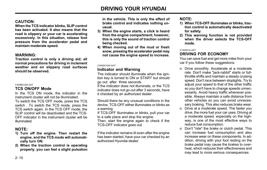# CAUTION:

When the TCS indicator blinks, SLIP control has been activated. It also means that the road is slippery or your car is accelerating excessively. In this situation, release foot pressure from the accelerator pedal and maintain moderate speed.

### WARNING:

Traction control is only a driving aid; all normal precautions for driving in inclement weather and on slippery road surfaces should be observed.

#### C300B01GK-GAT

### TCS ON/OFF Mode

In the TCS ON mode, the indicator in the instrument cluster will not be illuminated. To switch the TCS OFF mode, press the TCS

switch . To switch the TCS mode, press the TCS switch again. In the TCS OFF mode, the SLIP control will be deactivated and the TCS-OFF indicator in the instrument cluster will be illuminated.

# NOTE:

- 1) Turn off the engine. Then restart the engine, and the TCS mode will automatically turn ON.
- 2) When the traction control is operating properly, you can feel a slight pulsation

in the vehicle. This is only the effect of brake control and indicates nothing unusual.

- 3) When the engine starts, a click is heard from the engine compartment; however, this is only the sound of traction control being checked.
- 4) When moving out of the mud or fresh snow, pressing the accelerator pedal may not cause the engine speed to increase.

#### C300D01GK-GAT

### Indicator and Warning

The indicator should illuminate when the ignition key is turned to ON or START but should go out after three seconds.

If the indicator does not illuminate, or the TCS indicator does not go out after 3 seconds, have it checked by an authorized dealer.

Should there be any unusual conditions in the device, TCS-OFF either illuminates or blinks as a warning.

If TCS-OFF illuminates or blinks, pull your car to a safe place and stop the engine.

Then, start the engine again to check if the TCS-OFF indicator goes out.

If the indicator remains lit even after the engine has been started, have your car checked by an authorized Hyundai dealer.

## NOTE:

- 1) When TCS-OFF illuminates or blinks, traction control is automatically deactivated for safety.
- 2) This warning function is not provided when the driver selects the TCS-OFF mode.

#### C140A01A-AAT

## DRIVING FOR ECONOMY

You can save fuel and get more miles from your car if you follow these suggestions:

- o Drive smoothly. Accelerate at a moderate rate. Don't make "jack-rabbit" starts or fullthrottle shifts and maintain a steady cruising speed. Don't race between stoplights. Try to adjust your speed to that of the other traffic so you don't have to change speeds unnecessarily. Avoid heavy traffic whenever possible. Always maintain a safe distance from other vehicles so you can avoid unnecessary braking. This also reduces brake wear.
- o Drive at a moderate speed. The faster you drive, the more fuel your car uses. Driving at a moderate speed, especially on the highway, is one of the most effective ways to reduce fuel consumption.
- o Don't "ride" the brake or clutch pedal. This can increase fuel consumption and also increase wear on these components. In addition, driving with your foot resting on the brake pedal may cause the brakes to overheat, which reduces their effectiveness and may lead to more serious consequences.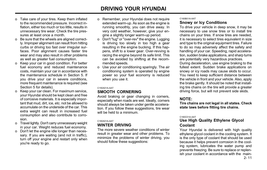- o Take care of your tires. Keep them inflated to the recommended pressure. Incorrect inflation, either too much or too little, results in unnecessary tire wear. Check the tire pressures at least once a month.
- o Be sure that the wheels are aligned correctly. Improper alignment can result from hitting curbs or driving too fast over irregular surfaces. Poor alignment causes faster tire wear and may also result in other problems as well as greater fuel consumption.
- o Keep your car in good condition. For better fuel economy and reduced maintenance costs, maintain your car in accordance with the maintenance schedule in Section 5. If you drive your car in severe conditions, more frequent maintenance is required (see Section 5 for details).
- o Keep your car clean. For maximum service, your Hyundai should be kept clean and free of corrosive materials. It is especially important that mud, dirt, ice, etc. not be allowed to accumulate on the underside of the car. This extra weight can result in increased fuel consumption and also contribute to corrosion.
- o Travel lightly. Don't carry unnecessary weight in your car. Weight reduces fuel economy.
- o Don't let the engine idle longer than necessary. If you are waiting (and not in traffic), turn off your engine and restart only when you're ready to go.
- o Remember, your Hyundai does not require extended warm-up. As soon as the engine is running smoothly, you can drive away. In very cold weather, however, give your engine a slightly longer warm-up period.
- o Don't "lug" or "over-rev" the engine. Lugging is driving too slowly in too high a gear resulting in the engine bucking. If this happens, shift to a lower gear. Over-revving is racing the engine beyond its safe limit. This can be avoided by shifting at the recommended speeds.
- o Use your air conditioning sparingly. The air conditioning system is operated by engine power so your fuel economy is reduced when you use it.

#### C150A01A-AAT

## SMOOTH CORNERING

Avoid braking or gear changing in corners, especially when roads are wet. Ideally, corners should always be taken under gentle acceleration. If you follow these suggestions, tire wear will be held to a minimum.

#### C160A01A-AAT

## WINTER DRIVING

The more severe weather conditions of winter result in greater wear and other problems. To minimize the problems of winter driving, you should follow these suggestions:

#### C160B01A-AAT

### Snowy or Icy Conditions

To drive your vehicle in deep snow, it may be necessary to use snow tires or to install tire chains on your tires. If snow tires are needed, it is necessary to select tires equivalent in size and type to the original equipment tires. Failure to do so may adversely affect the safety and handling of your car. Speeding, rapid acceleration, sudden brake applications, and sharp turns are potentially very hazardous practices. During deceleration, use engine braking to the fullest extent. Sudden brake applications on snowy or icy roads may cause skids to occur. You need to keep sufficient distance between the vehicle in front and your vehicle. Also, apply the brake gently. It should be noted that installing tire chains on the tire will provide a greater driving force, but will not prevent side skids.

## NOTE:

Tire chains are not legal in all states. Check state laws before fitting tire chains.

#### C160C01A-AAT

## Use High Quality Ethylene Glycol Coolant

Your Hyundai is delivered with high quality ethylene glycol coolant in the cooling system. It is the only type of coolant that should be used because it helps prevent corrosion in the cooling system, lubricates the water pump and prevents freezing. Be sure to replace or replenish your coolant in accordance with the main-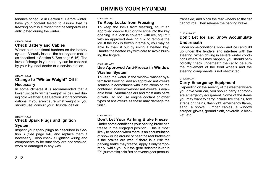tenance schedule in Section 5. Before winter, have your coolant tested to assure that its freezing point is sufficient for the temperatures anticipated during the winter.

#### C160D01F-AAT

## Check Battery and Cables

Winter puts additional burdens on the battery system. Visually inspect the battery and cables as described in Section 6 (See page 6-16). The level of charge in your battery can be checked by your Hyundai dealer or a service station.

#### C160E01A-AAT

### Change to "Winter Weight" Oil if Necessary

In some climates it is recommended that a lower viscosity "winter weight" oil be used during cold weather. See Section 9 for recommendations. If you aren't sure what weight oil you should use, consult your Hyundai dealer.

#### C160F01F-AAT

## Check Spark Plugs and Ignition System

Inspect your spark plugs as described in Section 6 (See page 6-6) and replace them if necessary. Also check all ignition wiring and components to be sure they are not cracked, worn or damaged in any way.

#### C160G01A-AAT

### To Keep Locks from Freezing

To keep the locks from freezing, squirt an approved de-icer fluid or glycerine into the key opening. If a lock is covered with ice, squirt it with an approved de-icing fluid to remove the ice. If the lock is frozen internally, you may be able to thaw it out by using a heated key. Handle the heated key with care to avoid burning the fingers.

#### C160H01A-AAT

## Use Approved Anti-Freeze in Window Washer System

To keep the water in the window washer system from freezing, add an approved anti-freeze solution in accordance with instructions on the container. Window washer anti-freeze is available from Hyundai dealers and most auto parts outlets. Do not use engine coolant or other types of anti-freeze as these may damage the finish.

#### C160I01A-AAT

## Don't Let Your Parking Brake Freeze

Under some conditions your parking brake can freeze in the engaged position. This is most likely to happen when there is an accumulation of snow or ice around or near the rear brakes or if the brakes are wet. If there is a risk the parking brake may freeze, apply it only temporarily while you put the gear selector lever in "P" (automatic) or in first or reverse gear (manual

transaxle) and block the rear wheels so the car cannot roll. Then release the parking brake.

#### C160J01A-AAT

## Don't Let Ice and Snow Accumulate Underneath

Under some conditions, snow and ice can build up under the fenders and interfere with the steering. When driving in severe winter conditions where this may happen, you should periodically check underneath the car to be sure the movement of the front wheels and the steering components is not obstructed.

#### C160K01A-AAT

## Carry Emergency Equipment

Depending on the severity of the weather where you drive your car, you should carry appropriate emergency equipment. Some of the items you may want to carry include tire chains, tow straps or chains, flashlight, emergency flares, sand, a shovel, jumper cables, a window scraper, gloves, ground cloth, coveralls, a blanket, etc.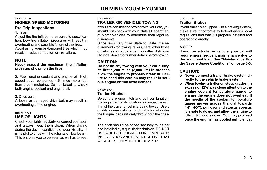#### C170A01A-AAT HIGHER SPEED MOTORING Pre-Trip Inspections

1. Tires:

Adjust the tire inflation pressures to specification. Low tire inflation pressures will result in overheating and possible failure of the tires. Avoid using worn or damaged tires which may result in reduced traction or tire failure.

## NOTE:

Never exceed the maximum tire inflation pressure shown on the tires.

2. Fuel, engine coolant and engine oil: High speed travel consumes 1.5 times more fuel than urban motoring. Do not forget to check both engine coolant and engine oil.

#### 3. Drive belt:

A loose or damaged drive belt may result in overheating of the engine.

#### C180A01A-AAT

## USE OF LIGHTS

Check your lights regularly for correct operation and always keep them clean. When driving during the day in conditions of poor visibility, it is helpful to drive with headlights on low beam. This enables you to be seen as well as to see.

#### C190A02S-AAT

## TRAILER OR VEHICLE TOWING

If you are considering towing with your car, you should first check with your State's Department of Motor Vehicles to determine their legal requirements.

Since laws vary from State to State, the requirements for towing trailers, cars, other types of vehicles, or apparatus may differ. Ask your Hyundai dealer for further details before towing.

## CAUTION:

Do not do any towing with your car during its first 1,200 miles (2,000 km) in order to allow the engine to properly break in. Failure to heed this caution may result in serious engine or transaxle damage.

#### C190B01S-AAT

## Trailer Hitches

Select the proper hitch and ball combination. making sure that its location is compatible with that of the trailer or vehicle being towed. Use a quality non-equalizing hitch which distributes the tongue load uniformly throughout the chassis.

The hitch should be bolted securely to the car and installed by a qualified technician. DO NOT USE A HITCH DESIGNED FOR TEMPORARY INSTALLATION AND NEVER USE ONE THAT ATTACHES ONLY TO THE BUMPER.

#### C190C02S-AAT

## Trailer Brakes

If your trailer is equipped with a braking system, make sure it conforms to federal and/or local regulations and that it is properly installed and operating correctly.

## NOTE:

If you tow a trailer or vehicle, your car will require more frequent maintenance due to the additional load. See "Maintenance Under Severe Usage Conditions" on page 5-5.

## CAUTION:

- o Never connect a trailer brake system directly to the vehicle brake system.
- o When towing a trailer on steep grades (in excess of 12%) pay close attention to the engine coolant temperature gauge to ensure the engine does not overheat. If the needle of the coolant temperature gauge moves across the dial towards "H" (HOT), pull over and stop as soon as it is safe to do so, and allow the engine to idle until it cools down. You may proceed once the engine has cooled sufficiently.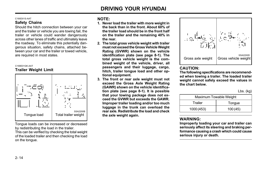# DRIVING YOUR HYUNDAI

#### C190D01S-AAT

## Safety Chains

Should the hitch connection between your car and the trailer or vehicle you are towing fail, the trailer or vehicle could wander dangerously across other lanes of traffic and ultimately leave the roadway. To eliminate this potentially dangerous situation, safety chains, attached between your car and the trailer or towed vehicle, are required in most states.



Trailer Weight Limit



Tongue loads can be increased or decreased by redistributing the load in the trailer.

This can be verified by checking the total weight of the loaded trailer and then checking the load on the tongue.

## NOTE:

- 1. Never load the trailer with more weight in the back than in the front. About 60% of the trailer load should be in the front half on the trailer and the remaining 40% in the rear.
- 2. The total gross vehicle weight with trailer must not exceed the Gross Vehicle Weight Rating (GVWR) shown on the vehicle identification plate (see page 8-1). The total gross vehicle weight is the combined weight of the vehicle, driver, all passengers and their luggage, cargo, hitch, trailer tongue load and other optional equipment.
- 3. The front or rear axle weight must not exceed the Gross Axle Weight Rating (GAWR) shown on the vehicle identification plate (see page 8-1). It is possible that your towing package does not exceed the GVWR but exceeds the GAWR. Improper trailer loading and/or too much luggage in the trunk can overload the rear axle. Redistribute the load and check the axle weight again.



## CAUTION:

The following specifications are recommended when towing a trailer. The loaded trailer weight cannot safely exceed the values in the chart below.

Lbs. (kg)

| Maximum Towable Weight |         |  |  |  |  |  |
|------------------------|---------|--|--|--|--|--|
| Trailer                | Tongue  |  |  |  |  |  |
| 1000 (453)             | 100(45) |  |  |  |  |  |

## WARNING:

Improperly loading your car and trailer can seriously affect its steering and braking performance causing a crash which could cause serious injury or death.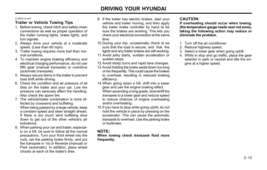# DRIVING YOUR HYUNDAI

#### C190F01S-AAT

## Trailer or Vehicle Towing Tips

- 1. Before towing, check hitch and safety chain connections as well as proper operation of the trailer running lights, brake lights, and turn signals.
- 2. Always drive your vehicle at a moderate speed. (Less than 60 mph)
- 3. Trailer towing requires more fuel than normal conditions.
- 4. To maintain engine braking efficiency and electrical charging performance, do not use fifth gear (manual transaxle) or overdrive (automatic transaxle).
- 5. Always secure items in the trailer to prevent load shift while driving.
- 6. Check the condition and air pressure of all tires on the trailer and your car. Low tire pressure can seriously affect the handling. Also check the spare tire.
- 7. The vehicle/trailer combination is more affected by crosswind and buffeting. When being passed by a large vehicle, keep a constant speed and steer straight ahead. If there is too much wind buffeting slow down to get out of the other vehicle's air turbulence.
- 8. When parking your car and trailer, especially on a hill, be sure to follow all the normal precautions. Turn your front wheel into the curb, set the parking brake firmly, and put the transaxle in 1st or Reverse (manual) or Park (automatic). In addition, place wheel chocks at each of the trailer's tires.
- 9. If the trailer has electric brakes, start your vehicle and trailer moving, and then apply the trailer brake controller by hand to be sure the brakes are working. This lets you check your electrical connection at the same time.
- 10.During your trip, occasionally check to be sure that the load is secure, and that the lights and any trailer brakes are still working.
- 11.Avoid jerky starts, sudden acceleration or sudden stops.
- 12.Avoid sharp turns and rapid lane changes.
- 13.Avoid holding the brake pedal down too long or too frequently. This could cause the brakes to overheat, resulting in reduced braking efficiency.
- 14. When going down a hill, shift into a lower gear and use the engine braking effect. When ascending a long grade, downshift the transaxle to a lower gear and reduce speed to reduce chances of engine overloading and/or overheating.
- 15.If you have to stop while going uphill, do not hold the vehicle in place by pressing on the accelerator. This can cause the automatic transaxle to overheat. Use the parking brake or footbrake.

## NOTE:

#### When towing check transaxle fluid more frequently.

## CAUTION:

If overheating should occur when towing, (the temperature gauge reads near red zone), taking the following action may reduce or eliminate the problem.

- 1. Turn off the air conditioner.
- 2. Reduce highway speed.
- 3. Select a lower gear when going uphill.
- 4. While in stop and go traffic, place the gear selector in park or neutral and idle the engine at a higher speed.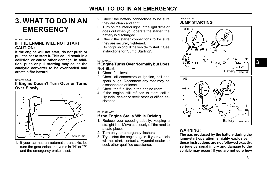# **EMERGENCY**

#### D010A01A-AAT

## IF THE ENGINE WILL NOT START CAUTION:

If the engine will not start, do not push or pull the car to start it. This could result in a collision or cause other damage. In addition, push or pull starting may cause the catalytic converter to be overloaded and create a fire hazard.

D010B02A-AAT

## If Engine Doesn't Turn Over or Turns Over Slowly



1. If your car has an automatic transaxle, be sure the gear selector lever is in "N" or "P" and the emergency brake is set.

- 2. Check the battery connections to be sure they are clean and tight. **3. WHAT TO DO IN AN** 2. Check the battery connections to be sure DO20A02A-AAT JUMP STARTING
	- 3. Turn on the interior light. If the light dims or goes out when you operate the starter, the battery is discharged.
	- 4. Check the starter connections to be sure they are securely tightened.
	- 5. Do not push or pull the vehicle to start it. See instructions for "Jump Starting".

#### D010C01A-AAT

#### If Engine Turns Over Normally but Does Not Start

- 1. Check fuel level.
- 2. Check all connectors at ignition, coil and spark plugs. Reconnect any that may be disconnected or loose.
- 3. Check the fuel line in the engine room.
- 4. If the engine still refuses to start, call a Hyundai dealer or seek other qualified assistance.

D010D01A-AAT

## If the Engine Stalls While Driving

- 1. Reduce your speed gradually, keeping a straight line. Move cautiously off the road to a safe place.
- 2. Turn on your emergency flashers.
- 3. Try to start the engine again. If your vehicle will not start, contact a Hyundai dealer or seek other qualified assistance.



## WARNING:

The gas produced by the battery during the jump-start operation is highly explosive. If these instructions are not followed exactly, serious personal injury and damage to the vehicle may occur! If you are not sure how 3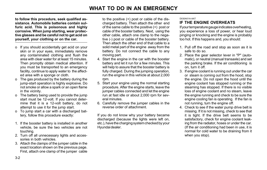to follow this procedure, seek qualified assistance. Automobile batteries contain sulfuric acid. This is poisonous and highly corrosive. When jump starting, wear protective glasses and be careful not to get acid on yourself, your clothing or on the car.

- o If you should accidentally get acid on your skin or in your eyes, immediately remove any contaminated clothing and flush the area with clear water for at least 15 minutes. Then promptly obtain medical attention. If you must be transported to an emergency facility, continue to apply water to the affected area with a sponge or cloth.
- o The gas produced by the battery during the jump-start operation is highly explosive. Do not smoke or allow a spark or an open flame in the vicinity.
- o The battery being used to provide the jump start must be 12-volt. If you cannot determine that it is a 12-volt battery, do not attempt to use it for the jump start.
- o To jump start a car with a discharged battery, follow this procedure exactly:
- 1. If the booster battery is installed in another vehicle, be sure the two vehicles are not touching.
- 2. Turn off all unnecessary lights and accessories in both vehicles.
- 3. Attach the clamps of the jumper cable in the exact location shown on the previous page. First, attach one clamp of the jumper cable

to the positive (+) post or cable of the discharged battery. Then attach the other end of the same cable to the positive (+) post or cable of the booster battery. Next, using the other cable, attach one clamp to the negative (-) post or cable of the booster battery. Then attach the other end of that cable to a solid metal part of the engine away from the battery. Do not connect the cable to any moving part.

- 4. Start the engine in the car with the booster battery and let it run for a few minutes. This will help to assure that the booster battery is fully charged. During the jumping operation, run the engine in this vehicle at about 2,000 rpm.
- 5. Start your engine using the normal starting procedure. After the engine starts, leave the jumper cables connected and let the engine run at fast idle or about 2,000 rpm for several minutes.
- 6. Carefully remove the jumper cables in the reverse order of attachment.

If you do not know why your battery became discharged (because the lights were left on, etc.), have the charging system checked by your Hyundai dealer.

#### D030A01A-AAT IF THE ENGINE OVERHEATS

If your temperature gauge indicates overheating, you experience a loss of power, or hear loud pinging or knocking and the engine is probably too hot. If this happens and, you should:

- 1. Pull off the road and stop as soon as it is safe to do so.
- 2. Place the gear selector lever in "P" (automatic), or neutral (manual transaxle) and set the parking brake. If the air conditioning is on, turn it off.
- 3. If engine coolant is running out under the car or steam is coming out from the hood, stop the engine. Do not open the hood until the engine coolant has stopped running or the steaming has stopped. If there is no visible loss of engine coolant and no steam, leave the engine running and check to be sure the engine cooling fan is operating. If the fan is not running, turn the engine off.
- 4. Check to see if the water pump drive belt is missing. If it is not missing, check to see that it is tight. If the drive belt seems to be satisfactory, check for engine coolant leaking from the radiator, hoses or under the car. (If the air conditioning had been in use, it is normal for cold water to be draining from it when you stop).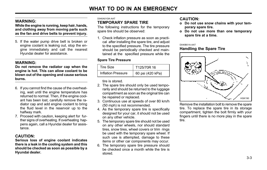## WARNING:

While the engine is running, keep hair, hands, and clothing away from moving parts such as the fan and drive belts to prevent injury.

5. If the water pump drive belt is broken or engine coolant is leaking out, stop the engine immediately and call the nearest Hyundai dealer for assistance.

## WARNING:

Do not remove the radiator cap when the engine is hot. This can allow coolant to be blown out of the opening and cause serious burns.

- 6. If you cannot find the cause of the overheating, wait until the engine temperature has returned to normal. Then, if the engine coolant has been lost, carefully remove the radiator cap and add engine coolant to bring the fluid level in the reservoir up to the halfway mark.
- 7. Proceed with caution, keeping alert for further signs of overheating. If overheating happens again, call a Hyundai dealer for assistance.

## CAUTION:

Serious loss of engine coolant indicates there is a leak in the cooling system and this should be checked as soon as possible by a Hyundai dealer.

#### D040A01GK-AAT

## TEMPORARY SPARE TIRE

The following instructions for the temporary spare tire should be observed:

1. Check inflation pressure as soon as practical after installing the spare tire, and adjust to the specified pressure. The tire pressure should be periodically checked and maintained at the specified pressure while the

#### Spare Tire Pressure

| Tire Size                 | T125/70R16       |
|---------------------------|------------------|
| <b>Inflation Pressure</b> | 60 psi (420 kPa) |

tire is stored.

- 2. The spare tire should only be used temporarily and should be returned to the luggage compartment as soon as the original tire can be repaired or replaced.
- 3. Continuous use at speeds of over 80 km/h (50 mph) is not recommended.
- 4. As the temporary spare tire is specifically designed for your car, it should not be used on any other vehicle.
- 5. The temporary spare tire should not be used on any other wheels, nor should standard tires, snow tires, wheel covers or trim rings be used with the temporary spare wheel. If such use is attempted, damage to these items or other car components may occur.
- 6. The temporary spare tire pressure should be checked once a month while the tire is stored.

## CAUTION:

- o Do not use snow chains with your temporary spare tire.
- o Do not use more than one temporary spare tire at a time.

#### D040B01A-AAT

## Handling the Spare Tire



Remove the installation bolt to remove the spare tire. To replace the spare tire in its storage compartment, tighten the bolt firmly with your fingers until there is no more play in the spare tire.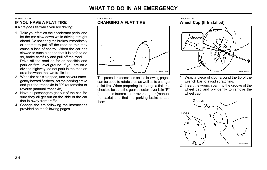D060A01A-AAT

#### D050A01A-AAT IF YOU HAVE A FLAT TIRE

If a tire goes flat while you are driving:

- 1. Take your foot off the accelerator pedal and let the car slow down while driving straight ahead. Do not apply the brakes immediately or attempt to pull off the road as this may cause a loss of control. When the car has slowed to such a speed that it is safe to do so, brake carefully and pull off the road. Drive off the road as far as possible and park on firm, level ground. If you are on a divided highway, do not park in the median area between the two traffic lanes.
- 2. When the car is stopped, turn on your emergency hazard flashers, set the parking brake and put the transaxle in "P" (automatic) or reverse (manual transaxle).
- 3. Have all passengers get out of the car. Be sure they all get out on the side of the car that is away from traffic.
- 4. Change the tire following the instructions provided on the following pages.



The procedure described on the following pages can be used to rotate tires as well as to change a flat tire. When preparing to change a flat tire, check to be sure the gear selector lever is in "P" (automatic transaxle) or reverse gear (manual transaxle) and that the parking brake is set, then:

D060K02Y-AAT Wheel Cap (If Installed)



- 1. Wrap a piece of cloth around the tip of the wrench bar to avoid scratching.
- 2. Insert the wrench bar into the groove of the wheel cap and pry gently to remove the wheel cap.

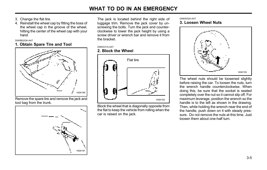- 3. Change the flat tire.
- 4. Reinstall the wheel cap by fitting the boss of the wheel cap in the groove of the wheel, hitting the center of the wheel cap with your hand.

D060B02GK-AAT

### 1. Obtain Spare Tire and Tool



Remove the spare tire and remove the jack and tool bag from the trunk.



The jack is located behind the right side of luggage trim. Remove the jack cover by unscrewing the bolts. Turn the jack end counterclockwise to lower the jack height by using a screw driver or wrench bar and remove it from the bracket.

#### D060C01A-AAT

# 2. Block the Wheel



Block the wheel that is diagonally opposite from the flat to keep the vehicle from rolling when the car is raised on the jack.

#### D060D02A-AAT 3. Loosen Wheel Nuts



The wheel nuts should be loosened slightly before raising the car. To loosen the nuts, turn the wrench handle counterclockwise. When doing this, be sure that the socket is seated completely over the nut so it cannot slip off. For maximum leverage, position the wrench so the handle is to the left as shown in the drawing. Then, while holding the wrench near the end of the handle, push down on it with steady pressure. Do not remove the nuts at this time. Just loosen them about one-half turn.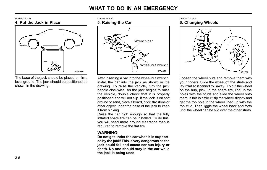D060E01A-AAT 4. Put the Jack in Place



The base of the jack should be placed on firm, level ground. The jack should be positioned as shown in the drawing.



After inserting a bar into the wheel nut wrench, install the bar into the jack as shown in the drawing. To raise the vehicle, turn the jack handle clockwise. As the jack begins to raise the vehicle, double check that it is properly positioned and will not slip. If the jack is on soft ground or sand, place a board, brick, flat stone or other object under the base of the jack to keep it from sinking.

Raise the car high enough so that the fully inflated spare tire can be installed. To do this, you will need more ground clearance than is required to remove the flat tire.

### WARNING:

Do not get under the car when it is supported by the jack! This is very dangerous as the jack could fall and cause serious injury or death. No one should stay in the car while the jack is being used.

D060G02Y-AAT 6. Changing Wheels



Loosen the wheel nuts and remove them with your fingers. Slide the wheel off the studs and lay it flat so it cannot roll away. To put the wheel on the hub, pick up the spare tire, line up the holes with the studs and slide the wheel onto them. If this is difficult, tip the wheel slightly and get the top hole in the wheel lined up with the top stud. Then jiggle the wheel back and forth until the wheel can be slid over the other studs.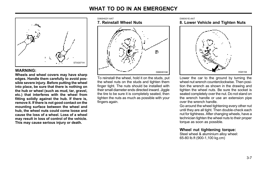

edges. Handle them carefully to avoid possible severe injury. Before putting the wheel into place, be sure that there is nothing on the hub or wheel (such as mud, tar, gravel, etc.) that interferes with the wheel from fitting solidly against the hub. If there is, remove it. If there is not good contact on the mounting surface between the wheel and hub, the wheel nuts could come loose and cause the loss of a wheel. Loss of a wheel may result in loss of control of the vehicle. This may cause serious injury or death.



To reinstall the wheel, hold it on the studs, put the wheel nuts on the studs and tighten them finger tight. The nuts should be installed with their small diameter ends directed inward. Jiggle the tire to be sure it is completely seated, then tighten the nuts as much as possible with your fingers again.

#### D060I01E-AAT 8. Lower Vehicle and Tighten Nuts



Lower the car to the ground by turning the wheel nut wrench counterclockwise. Then position the wrench as shown in the drawing and tighten the wheel nuts. Be sure the socket is seated completely over the nut. Do not stand on the wrench handle or use an extension pipe over the wrench handle.

Go around the wheel tightening every other nut until they are all tight. Then double-check each nut for tightness. After changing wheels, have a technician tighten the wheel nuts to their proper torque as soon as possible.

## Wheel nut tightening torque:

Steel wheel & aluminium alloy wheel: 65-80 lb.ft (900-1,100 kg.cm)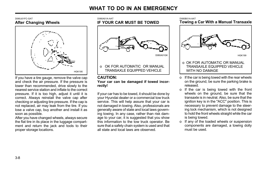#### D060J01EC-GAT After Changing Wheels



If you have a tire gauge, remove the valve cap and check the air pressure. If the pressure is lower than recommended, drive slowly to the nearest service station and inflate to the correct pressure. If it is too high, adjust it until it is correct. Always reinstall the valve cap after checking or adjusting tire pressure. If the cap is not replaced, air may leak from the tire. If you lose a valve cap, buy another and install it as soon as possible.

After you have changed wheels, always secure the flat tire in its place in the luggage compartment and return the jack and tools to their proper storage locations.

# D080A01A-AAT IF YOUR CAR MUST BE TOWED OK FOR AUTOMATIC OR MANUAL TRANSAXLE EQUIPPED VEHICLE

#### CAUTION: Your car can be damaged if towed incorrectly!

If your car has to be towed, it should be done by your Hyundai dealer or a commercial tow truck service. This will help assure that your car is not damaged in towing. Also, professionals are generally aware of state and local laws governing towing. In any case, rather than risk damage to your car, it is suggested that you show this information to the tow truck operator. Be sure that a safety chain system is used and that all state and local laws are observed.

#### D080B01A-AAT Towing a Car With a Manual Transaxle



- o If the car is being towed with the rear wheels on the ground, be sure the parking brake is released.
- o If the car is being towed with the front wheels on the ground, be sure that the transaxle is in neutral. Also, be sure that the ignition key is in the "ACC" position. This is necessary to prevent damage to the steering lock mechanism, which is not designed to hold the front wheels straight while the car is being towed.
- o If any of the loaded wheels or suspension components are damaged, a towing dolly must be used.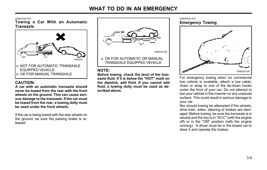D080C02A-AAT

Towing a Car With an Automatic **Transaxle** 



## CAUTION:

A car with an automatic transaxle should never be towed from the rear with the front wheels on the ground. This can cause serious damage to the transaxle. If the car must be towed from the rear, a towing dolly must be used under the front wheels.

If the car is being towed with the rear wheels on the ground, be sure the parking brake is released.



 o OK FOR AUTOMATIC OR MANUAL HGK200 | U O ON FOR AUTOMATIC OR MANOAL

## NOTE:

Before towing, check the level of the transaxle fluid. If it is below the "HOT" mark on the dipstick, add fluid. If you cannot add fluid, a towing dolly must be used as described above.

D080D02A-AAT Emergency Towing



For emergency towing when no commercial tow vehicle is available, attach a tow cable, chain or strap to one of the tie-down hooks under the front of your car. Do not attempt to tow your vehicle in this manner on any unpaved surface. This could result in serious damage to your car.

Nor should towing be attempted if the wheels, drive train, axles, steering or brakes are damaged. Before towing, be sure the transaxle is in neutral and the key is in "ACC" (with the engine off) or in the "ON" position (with the engine running). A driver must be in the towed car to steer it and operate the brakes.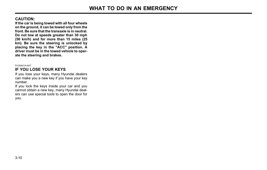## CAUTION:

If the car is being towed with all four wheels on the ground, it can be towed only from the front. Be sure that the transaxle is in neutral. Do not tow at speeds greater than 30 mph (50 km/h) and for more than 15 miles (25 km). Be sure the steering is unlocked by placing the key in the "ACC" position. A driver must be in the towed vehicle to operate the steering and brakes.

#### D120A01A-AAT

## IF YOU LOSE YOUR KEYS

If you lose your keys, many Hyundai dealers can make you a new key if you have your key number.

If you lock the keys inside your car and you cannot obtain a new key, many Hyundai dealers can use special tools to open the door for you.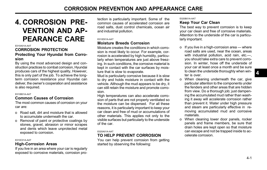# 4. CORROSION PRE-VENTION AND AP-PEARANCE CARE

#### E010A01A-AAT

## CORROSION PROTECTION Protecting Your Hyundai from Corrosion

By using the most advanced design and construction practices to combat corrosion, Hyundai produces cars of the highest quality, However, this is only part of the job. To achieve the longterm corrosion resistance your Hyundai can deliver, the owner's cooperation and assistance is also required.

#### E010B01A-AAT

#### Common Causes of Corrosion

The most common causes of corrosion on your car are:

- o Road salt, dirt and moisture that is allowed to accumulate underneath the car.
- o Removal of paint or protective coatings by stones, gravel, abrasion or minor scrapes and dents which leave unprotected metal exposed to corrosion.

#### E010C01A-AAT

#### High-Corrosion Areas

If you live in an area where your car is regularly exposed to corrosive materials, corrosion protection is particularly important. Some of the common causes of accelerated corrosion are road salts, dust control chemicals, ocean air and industrial pollution.

#### E010D01A-AAT

#### Moisture Breeds Corrosion

Moisture creates the conditions in which corrosion is most likely to occur. For example, corrosion is accelerated by high humidity, particularly when temperatures are just above freezing. In such conditions, the corrosive material is kept in contact with the car surfaces by moisture that is slow to evaporate.

Mud is particularly corrosive because it is slow to dry and holds moisture in contact with the vehicle. Although the mud appears to be dry, it can still retain the moisture and promote corrosion.

High temperatures can also accelerate corrosion of parts that are not properly ventilated so the moisture can be dispersed. For all these reasons, it is particularly important to keep your car clean and free of mud or accumulations of other materials. This applies not only to the visible surfaces but particularly to the underside of the car.

#### E020A01A-AAT

## TO HELP PREVENT CORROSION

You can help prevent corrosion from getting started by observing the following:

#### E020B01A-AAT

#### Keep Your Car Clean

The best way to prevent corrosion is to keep your car clean and free of corrosive materials. Attention to the underside of the car is particularly important.

- o If you live in a high-corrosion area where road salts are used, near the ocean, areas with industrial pollution, acid rain, etc.—, you should take extra care to prevent corrosion. In winter, hose off the underside of your car at least once a month and be sure to clean the underside thoroughly when winter is over.
- o When cleaning underneath the car, give particular attention to the components under the fenders and other areas that are hidden from view. Do a thorough job; just dampening the accumulated mud rather than washing it away will accelerate corrosion rather than prevent it. Water under high pressure and steam are particularly effective in removing accumulated mud and corrosive materials.
- o When cleaning lower door panels, rocker panels and frame members, be sure that drain holes are kept open so that moisture can escape and not be trapped inside to accelerate corrosion.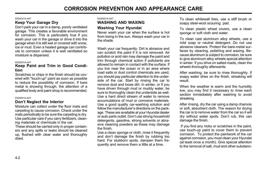# CORROSION PREVENTION AND APPEARANCE CARE

#### E020C01A-AAT

## Keep Your Garage Dry

Don't park your car in a damp, poorly ventilated garage. This creates a favorable environment for corrosion. This is particularly true if you wash your car in the garage or drive it into the garage when it is still wet or covered with snow, ice or mud. Even a heated garage can contribute to corrosion unless it is well ventilated so moisture is dispersed.

#### E020D01A-AAT

#### Keep Paint and Trim in Good Condition

Scratches or chips in the finish should be covered with "touch-up" paint as soon as possible to reduce the possibility of corrosion. If bare metal is showing through, the attention of a qualified body and paint shop is recommended.

#### E020E01A-AAT

#### Don't Neglect the Interior

Moisture can collect under the floor mats and carpeting to cause corrosion. Check under the mats periodically to be sure the carpeting is dry. Use particular care if you carry fertilizers, cleaning materials or chemicals in the car.

These should be carried only in proper containers and any spills or leaks should be cleaned up, flushed with clear water and thoroughly dried.

#### E030A01A-AAT

## WASHING AND WAXING

## Washing Your Hyundai

Never wash your car when the surface is hot from being in the sun. Always wash your car in the shade.

Wash your car frequently. Dirt is abrasive and can scratch the paint if it is not removed. Air pollution or acid rain may damage the paint and trim through chemical action if pollutants are allowed to remain in contact with the surface. If you live near the ocean or in an area where road salts or dust control chemicals are used, you should pay particular attention to the underside of the car. Start by rinsing the car to remove dust and loose dirt. In winter, or if you have driven through mud or muddy water, be sure to thoroughly clean the underside as well. Use a hard direct stream of water to remove accumulations of mud or corrosive materials. Use a good quality car-washing solution and follow the manufacturer's directions on the package. These are available at your Hyundai dealer or auto parts outlet. Don't use strong household detergents, gasoline, strong solvents or abrasive cleaning powders as these may damage the finish.

Use a clean sponge or cloth, rinse it frequently and don't damage the finish by rubbing too hard. For stubborn spots, dampen them frequently and remove them a little at a time.

To clean whitewall tires, use a stiff brush or soapy steel-wool scouring pad.

To clean plastic wheel covers, use a clean sponge or soft cloth and water.

To clean cast aluminum alloy wheels, use a mild soap or neutral detergent. Do not use abrasive cleaners. Protect the bare-metal surfaces by cleaning, polishing and waxing. Because aluminum is subject to corrosion, be sure to give aluminum alloy wheels special attention in winter. If you drive on salted roads, clean the wheels thoroughly afterwards.

After washing, be sure to rinse thoroughly. If soapy water dries on the finish, streaking will result.

When the weather is warm and the humidity low, you may find it necessary to rinse each section immediately after washing to avoid streaking.

After rinsing, dry the car using a damp chamois or soft, absorbent cloth. The reason for drying the car is to remove water from the car so it will dry without water spots. Don't rub, this can damage the finish.

 If you find any nicks or scratches in the paint, use touch-up paint to cover them to prevent corrosion. To protect the paintwork of the car against corrosion, you must clean your Hyundai (at least once a month). Give special attention to the removal of salt, mud and other substanc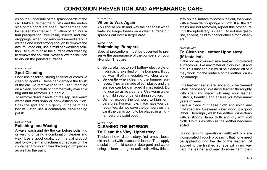es on the underside of the splashboards of the car. Make sure that the outlets and the underside of the doors are open. Paint damage can be caused by small accumulation of tar, industrial precipitation, tree resin, insects and bird droppings, when not removed immediately. If water alone is not strong enough to remove the accumulated dirt, use a mild car washing solution. Be sure to rinse the surface after washing to remove the solution. Never allow the solution to dry on the painted surfaces.

#### E030B01A-AAT

## Spot Cleaning

Don't use gasoline, strong solvents or corrosive cleaning agents. These can damage the finish of the car. To remove road tar, use turpentine on a clean, soft cloth or commercially available bug and tar remover. Be gentle.

To remove dead insects or tree sap, use warm water and mild soap or car-washing solution. Soak the spot and rub gently. If the paint has lost its luster, use a commercial car-cleaning polish.

#### E030C01A-AAT

#### Polishing and Waxing

Always wash and dry the car before polishing or waxing or using a combination cleaner and wax. Use a good quality commercial product and follow the manufacturer's directions on the container. Polish and wax the bright trim pieces as well as the paint.

#### E030D01A-AAT

## When to Wax Again

You should polish and wax the car again when water no longer beads on a clean surface but spreads out over a larger area.

#### E030E01A-AAT

### Maintaining Bumpers

Special precautions must be observed to preserve the appearance of the bumpers on your Hyundai. They are:

- o Be careful not to spill battery electrolyte or hydraulic brake fluid on the bumpers. If you do, wash it off immediately with clear water.
- o Be gentle when cleaning the bumper surfaces. They are made of soft plastic and the surface can be damaged if mistreated. Do not use abrasive cleaners. Use warm water and mild soap or car-washing solution.
- o Do not expose the bumpers to high temperatures. For example, if you have your car repainted, do not leave the bumpers on the car if the car is going to be placed in a hightemperature paint booth.

E040A01A-AAT

## CLEANING THE INTERIOR To Clean the Vinyl Upholstery

To clean the vinyl upholstery, first remove loose dirt and dust with a vacuum cleaner. Then apply a solution of mild soap or detergent and water using a clean sponge or soft cloth. Allow this to stay on the surface to loosen the dirt, then wipe with a clean damp sponge or cloth. If all the dirt stains are not removed, repeat this procedure until the upholstery is clean. Do not use gasoline, solvent, paint thinner or other strong cleaners.

#### E040B01A-AAT

## To Clean the Leather Upholstery (If installed)

In the normal course of use, leather upholstered surfaces will, like any material, pick-up dust and dirt. This dust and dirt must be cleaned off or it may work into the surface of the leather, causing damage.

Fine leather needs care, and should be cleaned when necessary. Washing leather thoroughly with soap and water will keep your leather lustrous, beautiful and ensure you have many years of wear.

Take a piece of cheese cloth and using any mild soap and lukewarm water, work up a good lather. Thoroughly wash the leather. Wipe clean with a slightly damp cloth and dry with soft cloth. Do this as often as the leather becomes soiled.

During tanning operations, sufficient oils are incorporated through processing that none need be applied during the life of the leather. Oil applied to the finished surface will in no way help the leather and may do more harm than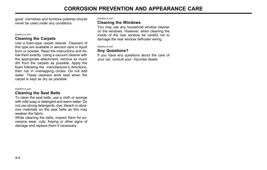good. Varnishes and furniture polishes should never be used under any conditions.

#### E040C01A-AAT

#### Cleaning the Carpets

Use a foam-type carpet cleaner. Cleaners of this type are available in aerosol cans in liquid form or powder. Read the instructions and follow them exactly. Using a vacuum cleaner with the appropriate attachment, remove as much dirt from the carpets as possible. Apply the foam following the manufacturer's directions, then rub in overlapping circles. Do not add water. These cleaners work best when the carpet is kept as dry as possible.

#### E040D01A-AAT

#### Cleaning the Seat Belts

To clean the seat belts, use a cloth or sponge with mild soap or detergent and warm water. Do not use strong detergents, dye, bleach or abrasive materials on the seat belts as this may weaken the fabric.

While cleaning the belts, inspect them for excessive wear, cuts, fraying or other signs of damage and replace them if necessary.

E040E01A-AAT

#### Cleaning the Windows

You may use any household window cleaner on the windows. However, when cleaning the inside of the rear window be careful not to damage the rear window defroster wiring.

E050A01A-AAT

## Any Questions?

If you have any questions about the care of your car, consult your Hyundai dealer.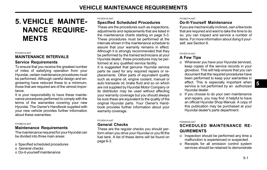# 5. VEHICLE MAINTE-NANCE REQUIRE-MENTS

#### F010A01A-AAT

#### **MAINTENANCE INTERVALS**

#### Service Requirements

To ensure that you receive the greatest number of miles of satisfying operation from your Hyundai, certain maintenance procedures must be performed. Although careful design and engineering have reduced these to a minimum, those that are required are of the utmost importance.

It is your responsibility to have these maintenance procedures performed to comply with the terms of the warranties covering your new Hyundai. The Owner's Handbook supplied with your new vehicle provides further information about these warranties.

#### F010B01A-AAT

## Maintenance Requirements

The maintenance required for your Hyundai can be divided into three main areas:

- o Specified scheduled procedures
- o General checks
- o Do-it-yourself maintenance

#### F010C01A-AAT

## Specified Scheduled Procedures

These are the procedures such as inspections, adjustments and replacements that are listed in the maintenance charts starting on page 5-3. These procedures must be performed at the intervals shown in the maintenance schedule to assure that your warranty remains in effect. Although it is strongly recommended that they be performed by the trained technicians at your Hyundai dealer, these procedures may be performed at any qualified service facility.

It is suggested that genuine Hyundai service parts be used for any required repairs or replacements. Other parts of equivalent quality such as engine oil, engine coolant, manual or auto transaxle oil, brake fluid and so on which are not supplied by Hyundai Motor Company or its distributor may be used without affecting your warranty coverage but you should always be sure these are equivalent to the quality of the original Hyundai parts. Your Owner's Handbook provides further information about your warranty coverage.

#### F010D01A-AAT

#### General Checks

These are the regular checks you should perform when you drive your Hyundai or you fill the fuel tank. A list of these items will be found on page 6-3.

#### F010E01A-AAT

## Do-It-Yourself Maintenance

If you are mechanically inclined, own a few tools that are required and want to take the time to do so, you can inspect and service a number of items. For more information about doing it yourself, see Section 6.

#### F010F01A-AAT

## A Few Tips

o Whenever you have your Hyundai serviced, keep copies of the service records in your glovebox. This will help ensure that you can document that the required procedures have been performed to keep your warranties in effect. This is especially important when service is not performed by an authorized Hyundai dealer.

o If you choose to do your own maintenance and repairs, you may find it helpful to have an official Hyundai Shop Manual. A copy of this publication may be purchased at your Hyundai dealer's parts department.

#### F020A02S-AAT

## SCHEDULED MAINTENANCE RE-**QUIREMENTS**

- o Inspection should be performed any time a malfunction is experienced or suspected.
- o Receipts for all emission control system services should be retained to demonstrate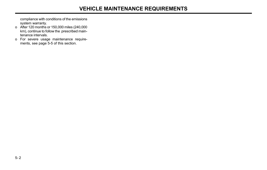compliance with conditions of the emissions system warranty.

- o After 120 months or 150,000 miles (240,000 km), continue to follow the prescribed maintenance intervals.
- o For severe usage maintenance requirements, see page 5-5 of this section.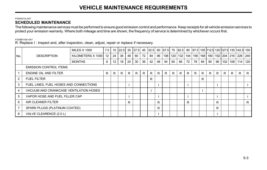#### F030A01A-AAT SCHEDULED MAINTENANCE

The following maintenance services must be performed to ensure good emission control and performance. Keep receipts for all vehicle emission services to protect your emission warranty. Where both mileage and time are shown, the frequency of service is determined by whichever occurs first.

F030B01GK-AAT

R :Replace I : Inspect and, after inspection, clean, adjust, repair or replace if necessary.

|                |                                        | <b>MILES X 1000</b> | 7.5 |    | $15 \mid 22.5 \mid$ |    | 30 37.5 | 45 | 52.5 | 60 |    |         |                       |    |    |    |    |    |     |    | 67.5   75   82.5   90   97.5   105   112.5   120   127.5   135   142.5   150 |     |
|----------------|----------------------------------------|---------------------|-----|----|---------------------|----|---------|----|------|----|----|---------|-----------------------|----|----|----|----|----|-----|----|------------------------------------------------------------------------------|-----|
| No.            | <b>DESCRIPTION</b>                     | KILOMETERS X 1000   | 12  | 24 | 36                  | 48 | 60      | 72 | 84   | 96 |    | 108 120 | 132   144   156   168 |    |    |    |    |    |     |    | 180   192   204   216   228   240                                            |     |
|                |                                        | <b>MONTHS</b>       | 6   | 12 | 18                  | 24 | 30      | 36 | 42   | 48 | 54 | 60      | 66                    | 72 | 78 | 84 | 90 | 96 | 102 |    | 108   114                                                                    | 120 |
|                | <b>EMISSION CONTROL ITEMS</b>          |                     |     |    |                     |    |         |    |      |    |    |         |                       |    |    |    |    |    |     |    |                                                                              |     |
|                | ENGINE OIL AND FILTER                  |                     | R   | R  | $\mathsf{R}$        | R. | R.      | R  | R    | R. | R  | R.      | $\mathsf{R}$          | R. | R. | R. | R  | R  | R.  | R. | R                                                                            | R   |
| $\overline{2}$ | <b>FUEL FILTER</b>                     |                     |     |    |                     |    |         |    | R    |    |    |         |                       |    |    | R  |    |    |     |    |                                                                              |     |
| 3              | FUEL LINES, FUEL HOSES AND CONNECTIONS |                     |     |    |                     |    |         |    |      |    |    |         |                       |    |    |    |    |    |     |    |                                                                              |     |
| 4              | VACUUM AND CRANKCASE VENTILATION HOSES |                     |     |    |                     |    |         |    |      |    |    |         |                       |    |    |    |    |    |     |    |                                                                              |     |
| 5              | VAPOR HOSE AND FUEL FILLER CAP         |                     |     |    |                     |    |         |    |      |    |    |         |                       |    |    |    |    |    |     |    |                                                                              |     |
| 6              | AIR CLEANER FILTER                     |                     |     |    |                     | R  |         |    |      | R  |    |         |                       | R  |    |    |    | R  |     |    |                                                                              | R   |
|                | SPARK PLUGS (PLATINUM COATED)          |                     |     |    |                     |    |         |    |      | R  |    |         |                       |    |    |    |    | R  |     |    |                                                                              |     |
| 8              | VALVE CLEARENCE (2.0 L)                |                     |     |    |                     |    |         |    |      |    |    |         |                       |    |    |    |    |    |     |    |                                                                              |     |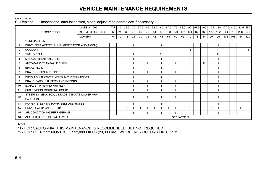# VEHICLE MAINTENANCE REQUIREMENTS

F030C01GK-AAT

R : Replace I : Inspect and, after inspection, clean, adjust, repair or replace if necessary

|                |                                              | <b>MILES X 1000</b> | 7.5         | 15 | 22.5 | 30           | 37.5 | 45 | 52.5 | 60       | 67.5 | 75  | 82.5 | 90  | 97.5 |     | 105 112.5 |          | 120 127.5 135 142.5 |     |     | 150          |
|----------------|----------------------------------------------|---------------------|-------------|----|------|--------------|------|----|------|----------|------|-----|------|-----|------|-----|-----------|----------|---------------------|-----|-----|--------------|
| No.            | <b>DESCRIPTION</b>                           | KILOMETERS X 1000   | 12          | 24 | 36   | 48           | 60   | 72 | 84   | 96       | 108  | 120 | 132  | 144 | 156  | 168 | 180       | 192      | 204                 | 216 | 228 | 240          |
|                |                                              | <b>MONTHS</b>       | 6           | 12 | 18   | 24           | 30   | 36 | 42   | 48       | 54   | 60  | 66   | 72  | 78   | 84  | 90        | 96       | 102                 | 108 | 114 | 120          |
|                | <b>GENERAL ITEMS</b>                         |                     |             |    |      |              |      |    |      |          |      |     |      |     |      |     |           |          |                     |     |     |              |
|                | DRIVE BELT (WATER PUMP, GENERATOR AND A/CON) |                     |             |    |      |              |      |    |      |          |      |     |      |     |      |     |           |          |                     |     |     |              |
| $\overline{2}$ | COOLANT                                      |                     |             |    |      | $\mathsf{R}$ |      |    |      | R        |      |     |      | R   |      |     |           | R        |                     |     |     | $\mathsf{R}$ |
| 3              | <b>TIMING BELT</b>                           |                     |             |    |      |              |      |    |      | $R^{*1}$ |      |     |      |     |      |     |           | $R^{*1}$ |                     |     |     |              |
| 4              | MANUAL TRANSAXLE OIL                         |                     |             |    |      |              |      |    |      |          |      |     |      |     |      |     |           |          |                     |     |     |              |
| 5              | AUTOMATIC TRANSAXLE FLUID                    |                     |             |    |      |              |      |    |      |          |      |     |      |     |      | R   |           |          |                     |     |     |              |
| 6              | <b>BRAKE FLUID</b>                           |                     |             |    |      |              |      |    |      |          |      |     |      |     |      |     |           |          |                     |     |     |              |
| $\overline{7}$ | <b>BRAKE HOSES AND LINES</b>                 |                     |             |    |      |              |      |    |      |          |      |     |      |     |      |     |           |          |                     |     |     |              |
| 8              | REAR BRAKE DRUMS/LININGS, PARKING BRAKE      |                     |             |    |      |              |      |    |      |          |      |     |      |     |      |     |           |          |                     |     |     |              |
| 9              | BRAKE PADS, CALIPERS AND ROTORS              |                     |             |    |      |              |      |    |      |          |      |     |      |     |      |     |           |          |                     |     |     |              |
| 10             | EXHAUST PIPE AND MUFFLER                     |                     |             |    |      |              |      |    |      |          |      |     |      |     |      |     |           |          |                     |     |     |              |
| 11             | SUSPENSION MOUNTING BOLTS                    |                     |             |    |      |              |      |    |      |          |      |     |      |     |      |     |           |          |                     |     |     |              |
| 12             | STEERING GEAR BOX, LINKAGE & BOOTS/LOWER ARM |                     |             |    |      |              |      |    |      |          |      |     |      |     |      |     |           |          |                     |     |     |              |
|                | <b>BALL JOINT</b>                            |                     |             |    |      |              |      |    |      |          |      |     |      |     |      |     |           |          |                     |     |     |              |
| 13             | POWER STEERING PUMP, BELT AND HOSES          |                     |             |    |      |              |      |    |      |          |      |     |      |     |      |     |           |          |                     |     |     |              |
| 14             | DRIVESHAFTS AND BOOTS                        |                     |             |    |      |              |      |    |      |          |      |     |      |     |      |     |           |          |                     |     |     |              |
| 15             | AIR CONDITIONING REFRIGERANT                 |                     |             |    |      |              |      |    |      |          |      |     |      |     |      |     |           |          |                     |     |     |              |
| 16             | AIR FILTER (FOR BLOWER UNIT)                 |                     | SEE NOTE *2 |    |      |              |      |    |      |          |      |     |      |     |      |     |           |          |                     |     |     |              |

Note :

\*1 - FOR CALIFORNIA, THIS MAINTENANCE IS RECOMMENDED, BUT NOT REQUIRED

\*2 - FOR EVERY 12 MONTHS OR 12,000 MILES (20,000 KM), WHICHEVER OCCURS FIRST : "R"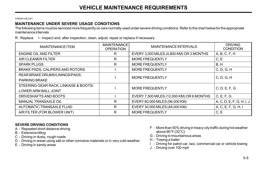F040A01GK-AAT

## MAINTENANCE UNDER SEVERE USAGE CONDITIONS

The following items must be serviced more frequently on cars normally used under severe driving conditions. Refer to the chart below for the appropriate maintenance intervals.

R : Replace I : Inspect and, after inspection, clean, adjust, repair or replace if necessary

| <b>MAINTENANCE ITEM</b>              | <b>MAINTENANCE</b><br><b>OPERATION</b> | <b>MAINTENANCE INTERVALS</b>              | <b>DRIVING</b><br><b>CONDITION</b> |  |  |
|--------------------------------------|----------------------------------------|-------------------------------------------|------------------------------------|--|--|
| ENGINE OIL AND FILTER                | R                                      | EVERY 3,000 MILES (4,800 KM) OR 3 MONTHS  | A, B, C, F, H                      |  |  |
| AIR CLEANER FILTER                   | R                                      | <b>MORE FREQUENTLY</b>                    | C, E                               |  |  |
| <b>SPARK PLUGS</b>                   | R                                      | MORE FREQUENTLY                           | B, H                               |  |  |
| BRAKE PADS, CALIPERS AND ROTORS      |                                        | <b>MORE FREQUENTLY</b>                    | C, D, G, H                         |  |  |
| REAR BRAKE DRUMS/LININGS/PADS,       |                                        | <b>MORE FREQUENTLY</b>                    | C, D, G, H                         |  |  |
| <b>PARKING BRAKE</b>                 |                                        |                                           |                                    |  |  |
| STEERING GEAR RACK, LINKAGE & BOOTS/ |                                        | <b>MORE FREQUENTLY</b>                    | C, D, E, F, G                      |  |  |
| <b>LOWER ARM BALL JOINT</b>          |                                        |                                           |                                    |  |  |
| DRIVESHAFTS AND BOOTS                |                                        | EVERY 7,500 MILES (12,000 KM) OR 6 MONTHS | C, E, F, G                         |  |  |
| <b>MANUAL TRANSAXLE OIL</b>          | R                                      | EVERY 60,000 MILES (96,000 KM)            | A, C, D, E, F, G, H, I, J          |  |  |
| AUTOMATIC TRANSAXLE FLUID            | R                                      | EVERY 30,000 MILES (48,000 KM)            | A, C, E, F, G, H, I                |  |  |
| AIR FILTER (FOR BLOWER UNIT)         | R                                      | <b>MORE FREQUENTLY</b>                    | C, E                               |  |  |

## SEVERE DRIVING CONDITIONS

- A Repeated short distance driving
- B Extensive idling
- C Driving in dusty, rough roads
- D Driving in areas using salt or other corrosive materials or in very cold weather
- E Driving in sandy areas
- F More than 50% driving in heavy city traffic during hot weather above 90°F (32°C)
- G Driving in mountainous areas
- H Towing a trailer
- I Driving for patrol car, taxi, commercial car or vehicle towing
- J Driving over 100 mph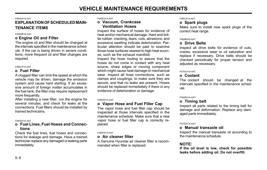## VEHICLE MAINTENANCE REQUIREMENTS

#### F060A01A-AAT

## EXPLANATION OF SCHEDULED MAIN-TENANCE ITEMS

#### F060M01A-AAT

#### o Engine Oil and Filter

The engine oil and filter should be changed at the intervals specified in the maintenance schedule. If the car is being driven in severe conditions, more frequent oil and filter changes are required.

#### F060C01A-AAT

## o Fuel Filter

A clogged filter can limit the speed at which the vehicle may be driven, damage the emission system and cause hard starting. If an excessive amount of foreign matter accumulates in the fuel tank, the filter may require replacement more frequently.

After installing a new filter, run the engine for several minutes, and check for leaks at the connections. Fuel filters should be installed by trained technicians.

#### F060D01A-AAT

#### o Fuel Lines, Fuel Hoses and Connections

Check the fuel lines, fuel hoses and connections for leakage and damage. Have a trained technician replace any damaged or leaking parts immediately.

F060F01A-AAT

## o Vacuum, Crankcase Ventilation Hoses

Inspect the surface of hoses for evidence of heat and/or mechanical damage. Hard and brittle rubber, cracking, tears, cuts, abrasions, and excessive swelling indicate deterioration. Particular attention should be paid to examine those hose surfaces nearest to high heat sources, such as the exhaust manifold.

Inspect the hose routing to assure that the hoses do not come in contact with any heat source, sharp edges or moving component which might cause heat damage or mechanical wear. Inspect all hose connections, such as clamps and couplings, to make sure they are secure, and that no leaks are present. Hoses should be replaced immediately if there is any evidence of deterioration or damage.

#### F060G01A-AAT

## o Vapor Hose and Fuel Filler Cap

The vapor hose and fuel filler cap should be inspected at those intervals specified in the maintenance schedule. Make sure that a new vapor hose or fuel filler cap is correctly replaced.

#### F060H01A-AAT

## o Air cleaner filter

A Genuine Hyundai air cleaner filter is recommended when filter is replaced.

#### **F060J01A-AAT**

## o Spark plugs

Make sure to install new spark plugs of the correct heat range.

#### F060B02A-AAT

## o Drive Belts

Inspect all drive belts for evidence of cuts, cracks, excessive wear or oil saturation and replace if necessary. Drive belts should be checked periodically for proper tension and adjusted as necessary.

#### F070C01A-AAT

## o Coolant

The coolant should be changed at the intervals specified in the maintenance schedule.

#### F060E01A-AAT

## o Timing belt

Inspect all parts related to the timing belt for damage and deformation. Replace any damaged parts immediately.

#### F070D01A-AAT

### o Manual transaxle oil

Inspect the manual transaxle oil according to the maintenance schedule.

## NOTE:

If the oil level is low, check for possible leaks before adding oil. Do not overfill.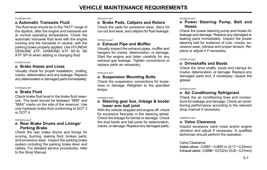#### F070E04A-AAT

## o Automatic Transaxle Fluid

The fluid level should be in the "HOT" range of the dipstick, after the engine and transaxle are at normal operating temperature. Check the automatic transaxle fluid level with the engine running and the transaxle in neutral, with the parking brake properly applied. Use HYUNDAI GENUINE ATF, DIAMOND ATF SP-III, SK ATF SP-III when adding or changing fluid.

#### F070F01A-AAT

### o Brake Hoses and Lines

Visually check for proper installation, chafing, cracks, deterioration and any leakage. Replace any deteriorated or damaged parts immediately.

#### F070G02A-AAT

## o Brake Fluid

Check brake fluid level in the brake fluid reservoir. The level should be between "MIN" and "MAX" marks on the side of the reservoir. Use only hydraulic brake fluid conforming to DOT 3 or DOT 4.

#### F070H01A-AAT

#### o Rear Brake Drums and Linings/ Parking Brake

Check the rear brake drums and linings for scoring, burning, leaking fluid, broken parts, and excessive wear. Inspect the parking brake system including the parking brake lever and cables. For detailed service procedures, refer to the Shop Manual.

#### F070J01A-AAT

## o Brake Pads, Calipers and Rotors

Check the pads for excessive wear, discs for run out and wear, and calipers for fluid leakage.

#### F070K01A-AAT

### o Exhaust Pipe and Muffler

Visually inspect the exhaust pipes, muffler and hangers for cracks, deterioration, or damage. Start the engine and listen carefully for any exhaust gas leakage. Tighten connections or replace parts as necessary.

#### F070L01A-AAT

### o Suspension Mounting Bolts

Check the suspension connections for looseness or damage. Retighten to the specified torque.

#### F070M01A-AAT

#### o Steering gear box, linkage & boots/ lower arm ball joint

With the vehicle stopped and engine off, check for excessive free-play in the steering wheel. Check the linkage for bends or damage. Check the dust boots and ball joints for deterioration, cracks, or damage. Replace any damaged parts.

#### F070N01A-AAT

## o Power Steering Pump, Belt and Hoses

Check the power steering pump and hoses for leakage and damage. Replace any damaged or leaking parts immediately. Inspect the power steering belt for evidence of cuts, cracks, excessive wear, oiliness and proper tension. Replace or adjust it if necessary.

#### F070P01A-AAT

## o Driveshafts and Boots

Check the drive shafts, boots and clamps for cracks, deterioration, or damage. Replace any damaged parts and, if necessary, repack the grease.

#### F070Q01A-AAT

## o Air Conditioning Refrigerant

Check the air conditioning lines and connections for leakage and damage. Check air conditioning performance according to the relevant shop manual if necessary.

#### F060N01E-AAT

## o Valve Clearance

Inspect excessive valve noise and/or engine vibration and adjust if necessary. A qualified technician should perform the operation.

#### Valve Clearance

Intake valves : 0.0067 ~ 0.0091 in. (0.17 ~ 0.23mm) Exhaust valves : 0.0098 ~ 0.0122 in. (0.25 ~ 0.31mm)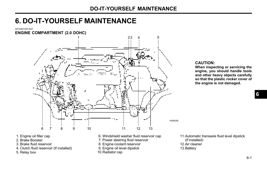G010A01GK-AAT



#### CAUTION:

When inspecting or servicing the engine, you should handle tools and other heavy objects carefully so that the plastic rocker cover of the engine is not damaged.

6

- 1. Engine oil filler cap
- 2. Brake Booster
- 3. Brake fluid reservoir
- 4. Clutch fluid reservoir (If installed)
- 5. Relay box
- 6. Windshield washer fluid reservoir cap
- 7. Power steering fluid reservoir
- 8. Engine coolant reservoir
- 9. Engine oil level dipstick
- 10.Radiator cap

11.Automatic transaxle fluid level dipstick (If installed) 12.Air cleaner 13.Battery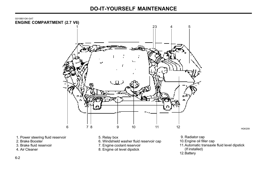G010B01GK-GAT ENGINE COMPARTMENT (2.7 V6)



1. Power steering fluid reservoir

- 2. Brake Booster
- 3. Brake fluid reservoir
- 4. Air Cleaner
- 5. Relay box
- 6. Windshield washer fluid reservoir cap
- 7. Engine coolant reservoir
- 8. Engine oil level dipstick

 9. Radiator cap 10.Engine oil filler cap 11.Automatic transaxle fluid level dipstick (If installed) 12.Battery

HGK209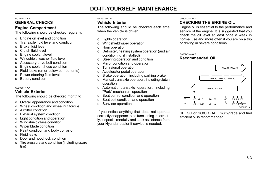#### G020A01A-AAT

## GENERAL CHECKS

## Engine Compartment

The following should be checked regularly:

- o Engine oil level and condition
- o Transaxle fluid level and condition
- o Brake fluid level
- o Clutch fluid level
- o Engine coolant level
- o Windshield washer fluid level
- o Accessory drive belt condition
- o Engine coolant hose condition
- o Fluid leaks (on or below components)
- o Power steering fluid level
- o Battery condition

#### G020B01A-AAT

## Vehicle Exterior

The following should be checked monthly:

- o Overall appearance and condition
- o Wheel condition and wheel nut torque
- o Air filter condition
- o Exhaust system condition
- o Light condition and operation
- o Windshield glass condition
- o Wiper blade condition
- o Paint condition and body corrosion
- o Fluid leaks
- o Door and hood lock condition
- o Tire pressure and condition (including spare tire)

#### G020C01A-AAT

### Vehicle Interior

The following should be checked each time when the vehicle is driven:

- o Lights operation
- o Windshield wiper operation
- o Horn operation
- o Defroster, heating system operation (and air conditioning, if installed)
- o Steering operation and condition
- o Mirror condition and operation
- o Turn signal operation
- o Accelerator pedal operation
- o Brake operation, including parking brake
- o Manual transaxle operation, including clutch operation
- o Automatic transaxle operation, including "Park" mechanism operation
- o Seat control condition and operation
- o Seat belt condition and operation
- o Sunvisor operation

If you notice anything that does not operate correctly or appears to be functioning incorrectly, inspect it carefully and seek assistance from your Hyundai dealer if service is needed.

### G030A01A-AAT

## CHECKING THE ENGINE OIL

Engine oil is essential to the performance and service of the engine. It is suggested that you check the oil level at least once a week in normal use and more often if you are on a trip or driving in severe conditions.

#### G030B01A-AAT Recommended Oil



SH, SG or SG/CD (API) multi-grade and fuel efficient oil is recommended.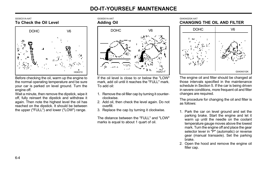#### G030C01A-AAT

## To Check the Oil Level



Before checking the oil, warm up the engine to the normal operating temperature and be sure your car is parked on level ground. Turn the engine off.

Wait a minute, then remove the dipstick, wipe it off, fully reinsert the dipstick and withdraw it again. Then note the highest level the oil has reached on the dipstick. It should be between the upper ("FULL") and lower ("LOW") range.

G030D01A-AAT Adding Oil



If the oil level is close to or below the "LOW" mark, add oil until it reaches the "FULL" mark. To add oil:

- 1. Remove the oil filler cap by turning it counterclockwise.
- 2. Add oil, then check the level again. Do not overfill.
- 3. Replace the cap by turning it clockwise.

The distance between the "FULL" and "LOW" marks is equal to about 1 quart of oil.





The engine oil and filter should be changed at those intervals specified in the maintenance schedule in Section 5. If the car is being driven in severe conditions, more frequent oil and filter changes are required.

The procedure for changing the oil and filter is as follows:

- 1. Park the car on level ground and set the parking brake. Start the engine and let it warm up until the needle on the coolant temperature gauge moves above the lowest mark. Turn the engine off and place the gear selector lever in "P" (automatic) or reverse gear (manual transaxle). Set the parking brake.
- 2. Open the hood and remove the engine oil filler cap.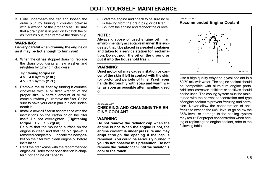3. Slide underneath the car and loosen the drain plug by turning it counterclockwise with a wrench of the proper size. Be sure that a drain pan is in position to catch the oil as it drains out, then remove the drain plug.

## WARNING:

#### Be very careful when draining the engine oil as it may be hot enough to burn you!

4. When the oil has stopped draining, replace the drain plug using a new washer and retighten by turning it clockwise.

#### Tightening torque is:  $4.5 \sim 4.0$  kgf.m (2.0L)  $4.5 \sim 3.5$  kgf.m (2.7L)

- 5. Remove the oil filter by turning it counterclockwise with a oil filter wrench of the proper size. A certain amount of oil will come out when you remove the filter. So be sure to have your drain pan in place underneath it.
- 6. Install a new oil filter in accordance with the instructions on the carton or on the filter itself. Do not over-tighten. (Tightening torque :  $1.2 \sim 1.6$  kgf.m)

Be sure that the mounting surface on the engine is clean and that the old gasket is removed completely. Lubricate the new gasket on the filter with clean engine oil before installation.

7. Refill the crankcase with the recommended engine oil. Refer to the specification in chapter 9 for engine oil capacity.

- 8. Start the engine and check to be sure no oil is leaking from the drain plug or oil filter.
- 9. Shut off the engine and recheck the oil level.

## NOTE:

Always dispose of used engine oil in an environmentally acceptable manner. It is suggested that it be placed in a sealed container and taken to a service station for reclamation. Do not pour the oil on the ground or put it into the household trash.

## WARNING:

Used motor oil may cause irritation or cancer of the skin if left in contact with the skin for prolonged periods of time. Wash your hands thoroughly with soap and warm water as soon as possible after handling used oil.

#### G050A01A-AAT

CHECKING AND CHANGING THE EN-GINE COOLANT

## WARNING:

Do not remove the radiator cap when the engine is hot. When the engine is hot, the engine coolant is under pressure and may erupt through the opening if the cap is removed. You could be seriously burned if you do not observe this precaution. Do not remove the radiator cap until the radiator is cool to the touch.

#### G050B01A-AAT Recommended Engine Coolant



Use a high quality ethylene-glycol coolant in a 50/50 mix with water. The engine coolant should be compatible with aluminum engine parts. Additional corrosion inhibitors or additives should not be used. The cooling system must be maintained with the correct concentration and type of engine coolant to prevent freezing and corrosion. Never allow the concentration of antifreeze to exceed the 60% level or go below the 35% level, or damage to the cooling system may result. For proper concentration when adding or replacing the engine coolant, refer to the following table.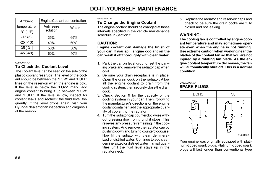| Ambient                                     | Engine Coolant concentration |       |  |  |  |  |  |
|---------------------------------------------|------------------------------|-------|--|--|--|--|--|
| temperature<br>$^{\circ}$ C ( $^{\circ}$ F) | Antifreeze<br>solution       | Water |  |  |  |  |  |
| $-15(5)$                                    | 35%                          | 65%   |  |  |  |  |  |
| $-25(-13)$                                  | 40%                          | 60%   |  |  |  |  |  |
| $-35(-31)$                                  | 50%                          | 50%   |  |  |  |  |  |
| $-45(-49)$                                  | 60%                          | 40%   |  |  |  |  |  |

#### G050C01A-AAT

## To Check the Coolant Level

The coolant level can be seen on the side of the plastic coolant reservoir. The level of the coolant should be between the "LOW" and "FULL" lines on the reservoir when the engine is cold. If the level is below the "LOW" mark, add engine coolant to bring it up between "LOW" and "FULL". If the level is low, inspect for coolant leaks and recheck the fluid level frequently. If the level drops again, visit your Hyundai dealer for an inspection and diagnosis of the reason.

#### G050D02A-AAT

### To Change the Engine Coolant

The engine coolant should be changed at those intervals specified in the vehicle maintenance schedule in Section 5.

## CAUTION:

Engine coolant can damage the finish of your car. If you spill engine coolant on the car, wash it off thoroughly with clean water.

- 1. Park the car on level ground, set the parking brake and remove the radiator cap when cool.
- 2. Be sure your drain receptacle is in place. Open the drain cock on the radiator. Allow all the engine coolant to drain from the cooling system, then securely close the drain cock.
- 3. Check Section 9 for the capacity of the cooling system in your car. Then, following the manufacturer's directions on the engine coolant container, add the appropriate quantity of coolant to the radiator.
- 4. Turn the radiator cap counterclockwise without pressing down on it, until it stops. This relieves any pressure remaining in the cooling system. And remove the radiator cap by pushing down and turning counterclockwise. Now fill the radiator with clean demineralized or distilled water. Continue to add clean demineralized or distilled water in small quantities until the fluid level stays up in the radiator neck.

5. Replace the radiator and reservoir caps and check to be sure the drain cocks are fully closed and not leaking.

## WARNING:

The cooling fan is controlled by engine coolant temperature and may sometimes operate even when the engine is not running. Use extreme caution when working near the blades of the coolant fan so that you are not injured by a rotating fan blade. As the engine coolant temperature decreases, the fan will automatically shut off. This is a normal condition.

#### G060A01GK-AAT SPARK PLUGS



Your engine was originally equipped with platinum-tipped spark plugs. Platinum-tipped spark plugs will last longer than conventional type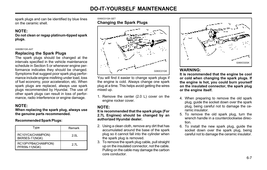spark plugs and can be identified by blue lines on the ceramic shell.

## NOTE:

Do not clean or regap platinum-tipped spark plugs.

#### G060B01GK-AAT

## Replacing the Spark Plugs

The spark plugs should be changed at the intervals specified in the vehicle maintenance schedule in Section 5 or whenever engine performance indicates they should be changed. Symptoms that suggest poor spark plug performance include engine misfiring under load, loss of fuel economy, poor acceleration, etc. When spark plugs are replaced, always use spark plugs recommended by Hyundai. The use of other spark plugs can result in loss of performance, radio interference or engine damage.

## NOTE:

When replacing the spark plug, always use the genuine parts recommended.

#### Recommended Spark Plugs:

| Type                                 | Remark |
|--------------------------------------|--------|
| RC10YC4(CHAMPION)<br>BKR5ES-11(NGK)  | 2 OI   |
| RC10PYPB4(CHAMPION)<br>PFR5N-11(NGK) | 2.71   |



You will find it easier to change spark plugs if the engine is cold. Always change one spark plug at a time. This helps avoid getting the wires mixed up.

1. Remove the center (2.0 L) cover on the engine rocker cover.

## NOTE:

#### It is recommended that the spark plugs (For 2.7L Engines) should be changed by an authorized Hyundai dealer.

- 2. Using a clean cloth, remove any dirt that has accumulated around the base of the spark plug so it cannot fall into the cylinder when the spark plug is removed.
- 3. To remove the spark plug cable, pull straight up on the insulated connector, not the cable. Pulling on the cable may damage the carbon core conductor.



## WARNING:

It is recommended that the engine be cool or cold when changing the spark plugs. If the engine is hot, you could burn yourself on the insulated connector, the spark plug or the engine itself.

- 4. When preparing to remove the old spark plug, guide the socket down over the spark plug, being careful not to damage the ceramic insulator.
- 5. To remove the old spark plug, turn the wrench handle in a counterclockwise direction.
- 6. To install the new spark plug, guide the socket down over the spark plug, being careful not to damage the ceramic insulator.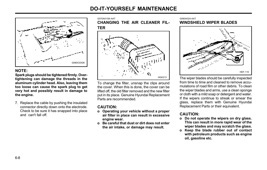

## NOTE:

Spark plugs should be tightened firmly. Overtightening can damage the threads in the aluminum cylinder head. Also, leaving them too loose can cause the spark plug to get very hot and possibly result in damage to the engine.

7. Replace the cable by pushing the insulated connector directly down onto the electrode. Check to be sure it has snapped into place and can't fall off.

G070A01GK-AAT

CHANGING THE AIR CLEANER FIL-TER



To change the filter, unsnap the clips around the cover. When this is done, the cover can be lifted off, the old filter removed and the new filter put in its place. Genuine Hyundai Replacement Parts are recommended.

## CAUTION:

- o Operating your vehicle without a proper air filter in place can result in excessive engine wear.
- o Be careful that dust or dirt does not enter the air intake, or damage may result.

#### G080A02A-AAT WINDSHIELD WIPER BLADES



The wiper blades should be carefully inspected from time to time and cleaned to remove accumulations of road film or other debris. To clean the wiper blades and arms, use a clean sponge or cloth with a mild soap or detergent and water. If the wipers continue to streak or smear the glass, replace them with Genuine Hyundai Replacement Parts or their equivalent.

## CAUTION:

- o Do not operate the wipers on dry glass. This can result in more rapid wear of the wiper blades and may scratch the glass.
- o Keep the blade rubber out of contact with petroleum products such as engine oil, gasoline etc.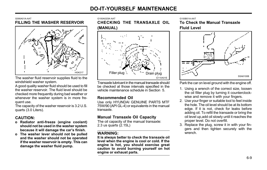#### G090A01A-AAT FILLING THE WASHER RESERVOIR



The washer fluid reservoir supplies fluid to the windshield washer system.

A good quality washer fluid should be used to fill the washer reservoir. The fluid level should be checked more frequently during bad weather or whenever the washer system is in more frequent use.

The capacity of the washer reservoir is 3.2 U.S. quarts (3.0 Liters).

## CAUTION:

- o Radiator anti-freeze (engine coolant) should not be used in the washer system because it will damage the car's finish.
- o The washer lever should not be pulled and the washer should not be operated if the washer reservoir is empty. This can damage the washer fluid pump.

G100A02GK-AAT

CHECKING THE TRANSAXLE OIL (MANUAL)



Transaxle lubricant in the manual transaxle should be checked at those intervals specified in the vehicle maintenance schedule in Section 5.

## Recommended Oil

Use only HYUNDAI GENUINE PARTS MTF 75W/90 (API GL-4) or equivalents in the manual transaxle.

## Manual Transaxle Oil Capacity

The oil capacity of the manual transaxle: 2.3 us quarts (2.15L)

## WARNING:

It is always better to check the transaxle oil level when the engine is cool or cold. If the engine is hot, you should exercise great caution to avoid burning yourself on hot engine or exhaust parts.

#### G100B01A-AAT

To Check the Manual Transaxle Fluid Level



Park the car on level ground with the engine off.

- 1. Using a wrench of the correct size, loosen the oil filler plug by turning it counterclockwise and remove it with your fingers.
- 2. Use your finger or suitable tool to feel inside the hole. The oil level should be at its bottom edge. If it is not, check for leaks before adding oil. To refill the transaxle or bring the oil level up,add oil slowly until it reaches the proper level. Do not overfill.
- 3. Replace the plug, screw it in with your fingers and then tighten securely with the wrench.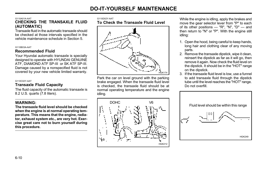#### G110A01A-AAT

## CHECKING THE TRANSAXLE FLUID (AUTOMATIC)

Transaxle fluid in the automatic transaxle should be checked at those intervals specified in the vehicle maintenance schedule in Section 5.

#### G110B03A-AAT

## Recommended Fluid

Your Hyundai automatic transaxle is specially designed to operate with HYUNDAI GENUINE ATF, DIAMOND ATF SP-III or SK ATF SP-III. Damage caused by a nonspecified fluid is not covered by your new vehicle limited warranty.

#### G110C02Y-AAT

## Transaxle Fluid Capacity

The fluid capacity of the automatic transaxle is 8.2 U.S. quarts (7.8 liters).

## WARNING:

The transaxle fluid level should be checked when the engine is at normal operating temperature. This means that the engine, radiator, exhaust system etc., are very hot. Exercise great care not to burn yourself during this procedure.

#### G110D02Y-AAT To Check the Transaxle Fluid Level



Park the car on level ground with the parking brake engaged. When the transaxle fluid level is checked, the transaxle fluid should be at normal operating temperature and the engine idling.



While the engine is idling, apply the brakes and move the gear selector lever from "P" to each of its other positions — "R", "N", "D" — and then return to "N" or "P". With the engine still idling:

- 1. Open the hood, being careful to keep hands, long hair and clothing clear of any moving parts.
- 2. Remove the transaxle dipstick, wipe it clean, reinsert the dipstick as far as it will go, then remove it again. Now check the fluid level on the dipstick. It should be in the "HOT" range on the dipstick.
- 3. If the transaxle fluid level is low, use a funnel to add transaxle fluid through the dipstick tube until the level reaches the "HOT" range. Do not overfill.

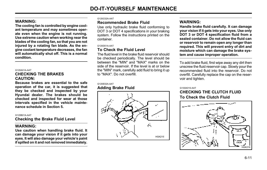## WARNING:

The cooling fan is controlled by engine coolant temperature and may sometimes operate even when the engine is not running. Use extreme caution when working near the blades of the cooling fan, so that you are not injured by a rotating fan blade. As the engine coolant temperature decreases, the fan will automatically shut off. This is a normal condition.

#### G120A01A-AAT CHECKING THE BRAKES CAUTION:

Because brakes are essential to the safe operation of the car, it is suggested that they be checked and inspected by your Hyundai dealer. The brakes should be checked and inspected for wear at those intervals specified in the vehicle maintenance schedule in Section 5.

#### G120B01A-AAT

Checking the Brake Fluid Level

## WARNING:

Use caution when handling brake fluid. It can damage your vision if it gets into your eyes. It will also damage your vehicle's paint if spilled on it and not removed immediately.

#### G120C02A-AAT

## Recommended Brake Fluid

Use only hydraulic brake fluid conforming to DOT 3 or DOT 4 specifications in your braking system. Follow the instructions printed on the container.

#### G120D01A-AAT

## To Check the Fluid Level

The fluid level in the brake fluid reservoir should be checked periodically. The level should be between the "MIN" and "MAX" marks on the side of the reservoir. If the level is at or below the "MIN" mark, carefully add fluid to bring it up to "MAX". Do not overfill.

## G120E02A-AAT

## Adding Brake Fluid



## WARNING:

Handle brake fluid carefully. It can damage your vision if it gets into your eyes. Use only DOT 3 or DOT 4 specification fluid from a sealed container. Do not allow the fluid can or reservoir to remain open any longer than required. This will prevent entry of dirt and moisture which can damage the brake system and cause improper operation.

To add brake fluid, first wipe away any dirt then unscrew the fluid reservoir cap. Slowly pour the recommended fluid into the reservoir. Do not overfill. Carefully replace the cap on the reservoir and tighten.

#### G130A01S-AAT

## CHECKING THE CLUTCH FLUID To Check the Clutch Fluid

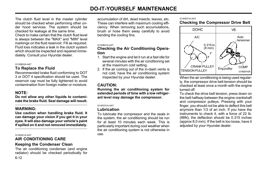The clutch fluid level in the master cylinder should be checked when performing other under hood services. The system should be checked for leakage at the same time. Check to make certain that the clutch fluid level is always between the "MAX" and "MIN" level markings on the fluid reservoir. Fill as required. Fluid loss indicates a leak in the clutch system which should be inspected and repaired immediately. Consult your Hyundai dealer.

#### G130B02A-AAT

#### To Replace the Fluid

Recommended brake fluid conforming to DOT 3 or DOT 4 specification should be used. The reservoir cap must be fully tightened to avoid contamination from foreign matter or moisture.

#### NOTE:

Do not allow any other liquids to contaminate the brake fluid. Seal damage will result.

#### WARNING:

Use caution when handling brake fluid. It can damage your vision if you get it in your eyes. It will also damage your vehicle's paint if spilled on it and not removed immediately.

#### G140A01A-AAT

## AIR CONDITIONING CARE

#### Keeping the Condenser Clean

6-12 The air conditioning condenser (and engine radiator) should be checked periodically for accumulation of dirt, dead insects, leaves, etc. These can interfere with maximum cooling efficiency. When removing such accumulations, brush or hose them away carefully to avoid bending the cooling fins.

#### G140B01A-AAT

#### Checking the Air Conditioning Operation

- 1. Start the engine and let it run at a fast idle for several minutes with the air conditioning set at the maximum cold setting.
- 2. If the air coming out of the in-dash vents is not cold, have the air conditioning system inspected by your Hyundai dealer.

#### CAUTION:

Running the air conditioning system for extended periods of time with a low refrigerant level may damage the compressor.

#### G140C01A-AAT

#### Lubrication

To lubricate the compressor and the seals in the system, the air conditioning should be run for at least 10 minutes each week. This is particularly important during cool weather when the air conditioning system is not otherwise in use.

#### G140D01A-AAT

## Checking the Compressor Drive Belt



When the air conditioning is being used regularly, the compressor drive belt tension should be checked at least once a month with the engine turned off.

To check the drive belt tension, press down on the belt halfway between the engine crankshaft and compressor pulleys. Pressing with your finger, you should not be able to deflect this belt anymore than 1/3 of an inch. If you have the instruments to check it, with a force of 22 lb. (98N), the deflection should be 0.315 inches (approx 8.0 mm). If the belt is too loose, have it adjusted by your Hyundai dealer.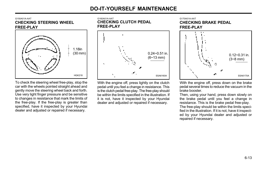G150A01A-AAT CHECKING STEERING WHEEL FREE-PLAY



To check the steering wheel free-play, stop the car with the wheels pointed straight ahead and gently move the steering wheel back and forth. Use very light finger pressure and be sensitive to changes in resistance that mark the limits of the free-play. If the free-play is greater than specified, have it inspected by your Hyundai dealer and adjusted or repaired if necessary.

G160A01A-AAT CHECKING CLUTCH PEDAL FREE-PLAY



With the engine off, press lightly on the clutch pedal until you feel a change in resistance. This is the clutch pedal free-play. The free-play should be within the limits specified in the illustration. If it is not, have it inspected by your Hyundai dealer and adjusted or repaired if necessary.

G170A01A-AAT CHECKING BRAKE PEDAL FREE-PLAY



With the engine off, press down on the brake pedal several times to reduce the vacuum in the brake booster.

Then, using your hand, press down slowly on the brake pedal until you feel a change in resistance. This is the brake pedal free-play. The free-play should be within the limits specified in the illustration. If it is not, have it inspected by your Hyundai dealer and adjusted or repaired if necessary.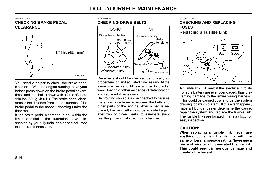#### G180A01A-AAT CHECKING BRAKE PEDAL **CLEARANCE**



You need a helper to check the brake pedal clearance. With the engine running, have your helper press down on the brake pedal several times and then hold it down with a force of about 110 lbs (50 kg, 490 N). The brake pedal clearance is the distance from the top surface of the brake pedal to the asphalt sheeting under the floor mat.

If the brake pedal clearance is not within the limits specified in the illustration, have it inspected by your Hyundai dealer and adjusted or repaired if necessary.

G190A01A-AAT

# CHECKING DRIVE BELTS



Drive belts should be checked periodically for proper tension and adjusted if necessary. At the same time, belts should be examined for cracks, wear, fraying or other evidence of deterioration and replaced if necessary.

Belt routing should also be checked to be sure there is no interference between the belts and other parts of the engine. After a belt is replaced, the new belt should be adjusted again after two or three weeks to eliminate slack resulting from initial stretching after use.

G200A01A-AAT

### CHECKING AND REPLACING FUSES

Replacing a Fusible Link



A fusible link will melt if the electrical circuits from the battery are ever overloaded, thus preventing damage to the entire wiring harness. (This could be caused by a short in the system drawing too much current.) If this ever happens, have a Hyundai dealer determine the cause. repair the system and replace the fusible link. The fusible links are located in a relay box for easy inspection.

# CAUTION:

When replacing a fusible link, never use anything but a new fusible link with the same or lower amperage rating. Never use a piece of wire or a higher-rated fusible link. This could result in serious damage and create a fire hazard.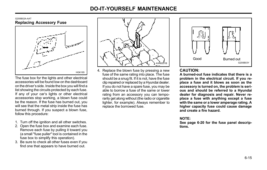#### G200B02A-AAT Replacing Accessory Fuse



The fuse box for the lights and other electrical accessories will be found low on the dashboard on the driver's side. Inside the box you will find a list showing the circuits protected by each fuse. If any of your car's lights or other electrical accessories stop working, a blown fuse could be the reason. If the fuse has burned out, you will see that the metal strip inside the fuse has burned through. If you suspect a blown fuse, follow this procedure:

- 1. Turn off the ignition and all other switches.
- 2. Open the fuse box and examine each fuse. Remove each fuse by pulling it toward you (a small "fuse puller" tool is contained in the fuse box to simplify this operation).
- 3. Be sure to check all other fuses even if you find one that appears to have burned out.



4. Replace the blown fuse by pressing a new fuse of the same rating into place. The fuse should be a snug fit. If it is not, have the fuse clip repaired or replaced by a Hyundai dealer. If you do not have a spare fuse, you may be able to borrow a fuse of the same or lower rating from an accessory you can temporarily get along without (the radio or cigarette lighter, for example). Always remember to replace the borrowed fuse.



# CAUTION:

A burned-out fuse indicates that there is a problem in the electrical circuit. If you replace a fuse and it blows as soon as the accessory is turned on, the problem is serious and should be referred to a Hyundai dealer for diagnosis and repair. Never replace a fuse with anything except a fuse with the same or a lower amperage rating. A higher capacity fuse could cause damage and create a fire hazard.

### NOTE:

See page 6-20 for the fuse panel descriptions.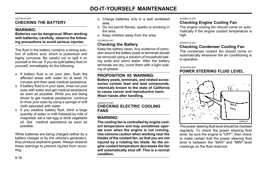#### G210A01A-AAT CHECKING THE BATTERY

# WARNING:

#### Batteries can be dangerous! When working with batteries, carefully observe the following precautions to avoid serious injuries.

The fluid in the battery contains a strong solution of sulfuric acid, which is poisonous and highly corrosive. Be careful not to spill it on yourself or the car. If you do spill battery fluid on yourself, immediately do the following:

- o If battery fluid is on your skin, flush the affected areas with water for at least 15 minutes and then seek medical assistance.
- o If battery fluid is in your eyes, rinse out your eyes with water and get medical assistance as soon as possible. While you are being driven to get medical assistance, continue to rinse your eyes by using a sponge or soft cloth saturated with water.
- o If you swallow battery fluid, drink a large quantity of water or milk followed by milk of magnesia, eat a raw egg or drink vegetable oil. Get medical assistance as soon as possible.

While batteries are being charged (either by a battery charger or by the vehicle's generator). they produce explosive gases. Always observe these warnings to prevent injuries from occurring:

- o Charge batteries only in a well ventilated area.
- o Do not permit flames, sparks or smoking in the area.
- o Keep children away from the area.

#### G210B02A-AAT

# Checking the Battery

Keep the battery clean. Any evidence of corrosion around the battery posts or terminals should be removed using a solution of household baking soda and warm water. After the battery terminals are dry, cover them with a light coating of grease.

# PROPOSITION 65 WARNING:

Battery posts, terminals, and related accessories contain lead and lead compounds, chemicals known to the state of California to cause cancer and reproductive harm. Wash hands after handling.

#### G220A01A-AAT CHECKING ELECTRIC COOLING FANS

# WARNING:

The cooling fan is controlled by engine coolant temperature and may sometimes operate even when the engine is not running. Use extreme caution when working near the blades of the coolant fan, so that you are not injured by a rotating fan blade. As the engine coolant temperature decreases the fan will automatically shut off. This is a normal condition.

#### G220B01A-AAT

# Checking Engine Cooling Fan

The engine cooling fan should come on automatically if the engine coolant temperature is high.

#### G220C01A-AAT

# Checking Condenser Cooling Fan

The condenser coolant fan should come on automatically whenever the air conditioning is in operation.

#### G230A03A-AAT

# POWER STEERING FLUID LEVEL



The power steering fluid level should be checked regularly. To check the power steering fluid level, be sure the engine is "OFF", then check to make certain that the power steering fluid level is between the "MAX" and "MIN" level markings on the fluid reservoir.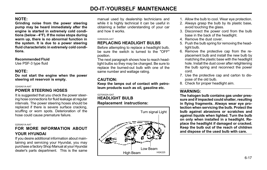# NOTE:

Grinding noise from the power steering pump may be heard immediately after the engine is started in extremely cold conditions (below - 4°F). If the noise stops during warm up, there is no abnormal function in the system. It is due to a power steering fluid characteristic in extremely cold conditions.

#### Recommended Fluid

Use PSF-3 type fluid

### NOTE:

Do not start the engine when the power steering oil reservoir is empty.

#### G240A01A-AAT

# POWER STEERING HOSES

It is suggested that you check the power steering hose connections for fluid leakage at regular intervals. The power steering hoses should be replaced if there is severe surface cracking, scuffing or worn spots. Deterioration of the hose could cause premature failure.

#### G250A01A-AAT

# FOR MORE INFORMATION ABOUT YOUR HYUNDAI

If you desire additional information about maintaining and servicing your Hyundai, you may purchase a factory Shop Manual at your Hyundai dealer's parts department. This is the same manual used by dealership technicians and while it is highly technical it can be useful in obtaining a better understanding of your car and how it works.

#### G260A02A-AAT

# **REPLACING HEADLIGHT BULBS**

Before attempting to replace a headlight bulb, be sure the switch is turned to the "OFF" position.

The next paragraph shows how to reach headlight bulbs so they may be changed. Be sure to replace the burned-out bulb with one of the same number and wattage rating.

# CAUTION:

Keep the lamps out of contact with petroleum products such as oil, gasoline etc.

#### G270A02A-GAT HEADLIGHT BULB Replacement instructions:



- 1. Allow the bulb to cool. Wear eye protection.
- 2. Always grasp the bulb by its plastic base, avoid touching the glass.
- 3. Disconnect the power cord from the bulb base in the back of the headlight.
- 4. Remove the dust cover.
- 5. Push the bulb spring for removing the headlight bulb.
- 6. Remove the protective cap from the replacement bulb and install the new bulb by matching the plastic base with the headlight hole. Install the dust cover after retightening the bulb spring and reconnect the power cord.
- 7. Use the protective cap and carton to dispose of the old bulb.
- 8. Check for proper headlight aim.

# WARNING:

The halogen bulb contains gas under pressure and if impacted could shatter, resulting in flying fragments. Always wear eye protection when servicing the bulb. Protect the bulb against abrasions or scratches and against liquids when lighted. Turn the bulb on only when installed in a headlight. Replace the headlight if damaged or cracked. Keep the bulb out of the reach of children and dispose of the used bulb with care.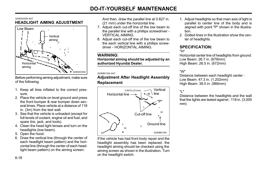#### G290A02GK-AAT HEADLIGHT AIMING ADJUSTMENT



Before performing aiming adjustment, make sure of the following.

- 1. Keep all tires inflated to the correct pressure.
- 2. Place the vehicle on level ground and press the front bumper & rear bumper down several times. Place vehicle at a distance of 118 in. (3m) from the test wall.
- 3. See that the vehicle is unloaded (except for full levels of coolant, engine oil and fuel, and spare tire, jack, and tools).
- 4. Clean the head light lenses and turn on the headlights (low beam).
- 5. Open the hood.
- 6. Draw the vertical line (through the center of each headlight beam pattern) and the horizontal line (through the center of each headlight beam pattern) on the aiming screen.

And then, draw the parallel line at 0.827 in. (21 mm) under the horizontal line.

- 7. Adjust each cut-off line of the low beam to the parallel line with a phillips screwdriver - VERTICAL AIMING.
- 8. Adjust each cut-off line of the low beam to the each vertical line with a phillips screwdriver - HORIZONTAL AIMING.

# WARNING:

Horizontal aiming should be adjusted by an authorized Hyundai Dealer.

#### G290B01GK-AAT

# Adjustment After Headlight Assembly Replacement



If the vehicle has had front body repair and the headlight assembly has been replaced, the headlight aiming should be checked using the aiming screen as shown in the illustration. Turn on the headlight switch.

- 1. Adjust headlights so that main axis of light is parallel to center line of the body and is aligned with point "P" shown in the illustration.
- 2. Dotted lines in the illustration show the center of headlights.

# SPECIFICATION:

"H"

Horizontal center line of headlights from ground: Low Beam: 26.7 in. (679mm) High Beam: 26.5 in. (672mm)

# "W"

Distance between each headlight center : Low Beam: 47.3 in. (1,202mm) High Beam: 38.0 in. (966mm)

# "L"

Distance between the headlights and the wall that the lights are tested against : 118 in. (3,000 mm)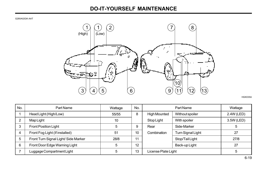G280A02GK-AAT



HGK035A

| No. | Part Name                           | Wattage | No. |                     | Part Name                | Wattage    |
|-----|-------------------------------------|---------|-----|---------------------|--------------------------|------------|
|     | Head Light (High/Low)               | 55/55   | 8   | <b>High Mounted</b> | Without spoiler          | 2.4W (LED) |
| 2   | Map Light                           | 10      |     | Stop Light          | With spoiler             | 3.5W (LED) |
| 3   | Front Position Light                | 5       | 9   | Rear                | Side-Marker              | 5          |
|     | Front Fog Light (If installed)      | 51      | 10  | Combination         | <b>Turn Signal Light</b> | 27         |
| 5   | Front Turn Signal Light/Side Marker | 28/8    | 11  |                     | Stop/Tail Light          | 27/8       |
| 6   | Front Door Edge Warning Light       | 5       | 12  |                     | Back-up Light            | 27         |
|     | Luggage Compartment Light           | 5       | 13  | License Plate Light |                          | 5          |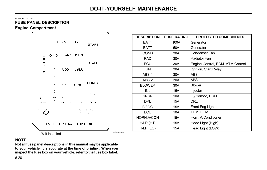HGK205-E

# G200C01GK-GAT FUSE PANEL DESCRIPTION



| <b>DESCRIPTION</b> | <b>FUSE RATING</b> | <b>PROTECTED COMPONENTS</b>      |
|--------------------|--------------------|----------------------------------|
| BATT               | 100A               | Generator                        |
| BATT               | 50A                | Generator                        |
| <b>COND</b>        | 30A                | Condenser Fan                    |
| <b>RAD</b>         | 30A                | Radiator Fan                     |
| ECU                | 30A                | Engine Control, ECM. ATM Control |
| <b>IGN</b>         | 30A                | Ignition, Start Relay            |
| ABS 1              | 30A                | <b>ABS</b>                       |
| ABS 2              | 30A                | <b>ABS</b>                       |
| <b>BLOWER</b>      | 30A                | <b>Blower</b>                    |
| <b>INJ</b>         | 15A                | Injector                         |
| <b>SNSR</b>        | 10A                | O <sub>2</sub> Sensor, ECM       |
| DRL                | 15A                | DRL                              |
| F/FOG              | 15A                | Front Fog Light                  |
| ECU                | 10A                | TCM, ECM                         |
| HORN, A/CON        | 15A                | Horn, A/Conditioner              |
| $H/LP$ (H1)        | 15A                | Head Light (High)                |
| $H/IP$ (LO)        | 15A                | Head Light (LOW)                 |

NOTE:

Not all fuse panel descriptions in this manual may be applicable to your vehicle. It is accurate at the time of printing. When you inspect the fuse box on your vehicle, refer to the fuse box label.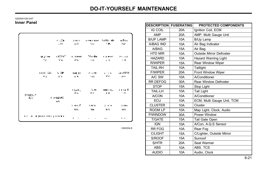HGK204-E

#### G200D01GK-GAT Inner Panel

| Í                    | .                | A FEP.                        | <b>The Post Parties</b> | Siloka ale     | o Dou           |
|----------------------|------------------|-------------------------------|-------------------------|----------------|-----------------|
|                      | $. 14 -$         | 2010.                         | <b>Since</b>            | . . <b>. .</b> | PAN.            |
| en primer            | LATAST.          | <b>TEST PRIZ</b>              | TA HELL                 | e la Federal   | <b>Archivel</b> |
| and the con-         | - 116.           | - Fo                          | $-1.001$                | - 4            | <b>1999</b>     |
| kkall Div            | 5. DP            | <b>TAIL UP</b>                | 2012/19                 | a falla co     | ALASTER-        |
| ma i                 | TW.              | <b>IL 50</b>                  | 1942.                   | <b>COLLE</b>   | pos.            |
| <b>BOOM</b> 2        | <b>Provident</b> | 1 U.H.                        | A. FL                   | <b>CHI-IL.</b> | 1 1 1 4 T       |
| IL-4                 | FIF.             | 17.A                          | m.                      | L Vita         | $\cdot$         |
|                      |                  | o kalan<br>п÷.                | N H Th<br><b>TIA</b>    | 法国历<br>114     | .<br>m          |
| на на предуправности |                  | ٠<br>$\overline{\phantom{a}}$ | ٠<br>٠                  |                | $\sim$          |

DESCRIPTION FUSERATING IG COIL AMP B/UP LAMP A/BAG IND A/BAG HTD MIR HAZARD R/WIPER TAIL-RH F/WIPER A/C SW RR DEFOG **STOP** TAIL-LH A/CON **ECU CLUSTER** ROOM LP P/WINDOW T/GATE IGN RR FOG C/LIGHT S/ROOF S/HTR **ABS** AUDIO PROTECTED COMPONENTS Ignition Coil, ECM AMP. Multi Gauge Unit B/Up Lamp Air Bag Indicator Air Bag Outside Mirror Defroster Hazard Warning Light Rear Window Wiper Taillight Front Window Wiper A/Conditioner Rear Window Defroster Stop Light Tail Light A/Conditioner ECM, Multi Gauge Unit, TCM Cluster Map Light, Clock, Audio Power Window Tail Gate Open A/Con, A.Q.S Sensor Rear Fog C/Lighter, Outside Mirror Sunroof Seat Warmer ABS TCS Audio, Clock 20A 20A 10A  $10A$ 15A 10A 10A 15A 10A 20A 10A 30A 15A 10A 10A 10A  $10A$ 10A 30A 15A 10A 10A 15A 15A 20A 10A 10A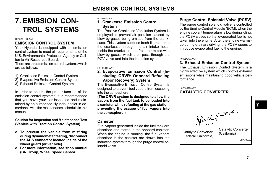# 7. EMISSION CON-TROL SYSTEMS

#### H010A01GK-AAT

# EMISSION CONTROL SYSTEM

Your Hyundai is equipped with an emission control system to meet all requirements of the U.S. Environmental Protection Agency or California Air Resources Board.

There are three emission control systems which are as follows.

- 1) Crankcase Emission Control System
- 2) Evaporative Emission Control System
- 3) Exhaust Emission Control System

In order to ensure the proper function of the emission control systems, it is recommended that you have your car inspected and maintained by an authorized Hyundai dealer in accordance with the maintenance schedule in this manual.

Caution for Inspection and Maintenance Test (Vehicle with Traction Control System)

- o To prevent the vehicle from misfiring during dynamometer testing, disconnect the ABS connector located inside of the wheel quard (driver side).
- o For more information, see shop manual (BR Group, Wheel Speed Sensor).

H010B01A-AAT

# 1. Crankcase Emission Control System

The Positive Crankcase Ventilation System is employed to prevent air pollution caused by blow-by gases being emitted from the crankcase. This system supplies fresh filtered air to the crankcase through the air intake hose. Inside the crankcase, the fresh air mixes with blow-by gases, which then pass through the PCV valve and into the induction system.

#### H010C01S-AAT

### 2. Evaporative Emission Control (Including ORVR: Onboard Refueling Vapor Recovery) System

The Evaporative Emission Control System is designed to prevent fuel vapors from escaping into the atmosphere.

(The ORVR system is designed to allow the vapors from the fuel tank to be loaded into a canister while refueling at the gas station, preventing the escape of fuel vapors into the atmosphere.)

# Canister

Fuel vapors generated inside the fuel tank are absorbed and stored in the onboard canister. When the engine is running, the fuel vapors absorbed in the canister are drawn into the induction system through the purge control solenoid valve.

# Purge Control Solenoid Valve (PCSV)

The purge control solenoid valve is controlled by the Engine Control Module (ECM); when the engine coolant temperature is low during idling, the PCSV closes so that evaporated fuel is not taken into the engine. After the engine warmsup during ordinary driving, the PCSV opens to introduce evaporated fuel to the engine.

#### H010D01A-AAT

# 3. Exhaust Emission Control System

The Exhaust Emission Control System is a highly effective system which controls exhaust emissions while maintaining good vehicle performance.

H020A01S-AAT

# CATALYTIC CONVERTER



7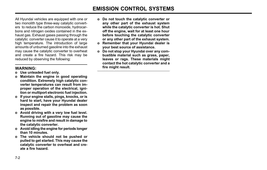All Hyundai vehicles are equipped with one or two monolith type three-way catalytic converters to reduce the carbon monoxide, hydrocarbons and nitrogen oxides contained in the exhaust gas. Exhaust gases passing through the catalytic converter cause it to operate at a very high temperature. The introduction of large amounts of unburned gasoline into the exhaust may cause the catalytic converter to overheat and create a fire hazard. This risk may be reduced by observing the following:

# WARNING:

- o Use unleaded fuel only.
- o Maintain the engine in good operating condition. Extremely high catalytic converter temperatures can result from improper operation of the electrical, ignition or multiport electronic fuel injection.
- o If your engine stalls, pings, knocks, or is hard to start, have your Hyundai dealer inspect and repair the problem as soon as possible.
- o Avoid driving with a very low fuel level. Running out of gasoline may cause the engine to misfire and result in damage to the catalytic converter.
- o Avoid idling the engine for periods longer than 10 minutes.
- o The vehicle should not be pushed or pulled to get started. This may cause the catalytic converter to overheat and create a fire hazard.
- o Do not touch the catalytic converter or any other part of the exhaust system while the catalytic converter is hot. Shut off the engine, wait for at least one hour before touching the catalytic converter or any other part of the exhaust system.
- o Remember that your Hyundai dealer is your best source of assistance.
- o Do not stop your Hyundai over any combustible material such as grass, paper, leaves or rags. These materials might contact the hot catalytic converter and a fire might result.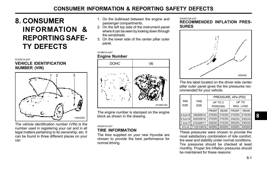# 8. CONSUMER INFORMATION & REPORTING SAFE-TY DEFECTS

#### I010A01A-AAT VEHICLE IDENTIFICATION NUMBER (VIN)



The vehicle identification number (VIN) is the number used in registering your car and in all legal matters pertaining to its ownership, etc. It can be found in three different places on your car:

- 1. On the bulkhead between the engine and passenger compartments.
- 2. On the left top side of the instrument panel where it can be seen by looking down through the windshield.
- 3. On the lower side of the center pillar outer panel.

#### I010B01A-AAT Engine Number



The engine number is stamped on the engine block as shown in the drawing.

#### I020A01A-AAT

# TIRE INFORMATION

The tires supplied on your new Hyundai are chosen to provide the best performance for normal driving.

I030A01GK-AAT

### RECOMMENDED INFLATION PRES-SURES



The tire label located on the driver side center pillar outer panel gives the tire pressures recommended for your vehicle.

|  |                     |                     | PRESSURE, kPa (PSI) |             |                                 |             |  |
|--|---------------------|---------------------|---------------------|-------------|---------------------------------|-------------|--|
|  | <b>RIM</b>          | <b>TIRE</b><br>SIZE | UP TO 2             |             | UP TO                           |             |  |
|  | <b>SIZE</b>         |                     | <b>PERSONS</b>      |             | MAX. LOAD                       |             |  |
|  |                     |                     | <b>FRONT</b>        | <b>REAR</b> | <b>FRONT</b>                    | <b>REAR</b> |  |
|  | $6.0$ J $\times$ 15 | 195/65R15           |                     |             | 210(30) 210(30) 210(30) 210(30) |             |  |
|  | 6.5Jx16             | 205/55R16           |                     |             | 210(30) 210(30) 230(33) 230(33) |             |  |
|  | 7.0Jx17             | 215/45R17           | 220(32)             |             | 210(30) 240(35)                 | 230(33)     |  |
|  | 4Tx16               | T125/70R16          |                     |             | 420(60) 420(60) 420(60) 420(60) |             |  |

These pressures were chosen to provide the most satisfactory combination of ride comfort. tire wear and stability under normal conditions. Tire pressures should be checked at least monthly. Proper tire inflation pressures should be maintained for these reasons: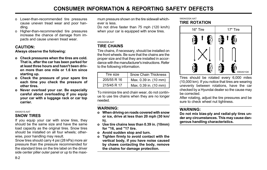- o Lower-than-recommended tire pressures cause uneven tread wear and poor handling.
- o Higher-than-recommended tire pressures increase the chance of damage from impacts and cause uneven tread wear.

# CAUTION:

Always observe the following:

- o Check pressures when the tires are cold. That is, after the car has been parked for at least three hours and hasn't been driven more than one mile or 1.6 km since starting up.
- o Check the pressure of your spare tire each time you check the pressure of other tires.
- o Never overload your car. Be especially careful about overloading if you equip your car with a luggage rack or car top carrier.

#### I040A01S-AAT

### SNOW TIRES

If you equip your car with snow tires, they should be the same size and have the same load capacity as the original tires. Snow tires should be installed on all four wheels; otherwise, poor handling may result.

Snow tires should carry 4 psi (28 kPa) more air pressure than the pressure recommended for the standard tires on the tire label on the driver side center piller outer panel or up to the maximum pressure shown on the tire sidewall whichever is less.

Do not drive faster than 75 mph (120 km/h) when your car is equipped with snow tires.

#### I050A02GK-AAT

### TIRE CHAINS

Tire chains, if necessary, should be installed on the front wheels. Be sure that the chains are the proper size and that they are installed in accordance with the manufacturer's instructions. Refer to the following information.

| Tire size   | <b>Snow Chain Thickness</b> |
|-------------|-----------------------------|
| 205/55 R 16 | Max. 0.39 in. (10 mm)       |
| 215/45 R 17 | Max. 0.39 in. (10 mm)       |

To minimize tire and chain wear, do not continue to use tire chains when they are no longer needed.

# WARNING:

- o When driving on roads covered with snow or ice, drive at less than 20 mph (30 km/ h).
- o Use tire chains less than 0.39 in. (10mm) for "16, and "17 tire.
- o Avoid sudden stop and turn.
- o Tighten firmly to avoid contact with the vertical body, if you have noise caused by chaws contacting the body, remove the chains for damage protection.

#### I060A02GK-AAT TIRE ROTATION



Tires should be rotated every 6,000 miles (10,000 km). If you notice that tires are wearing unevenly between rotations, have the car checked by a Hyundai dealer so the cause may be corrected.

After rotating, adjust the tire pressures and be sure to check wheel nut tightness.

# WARNING:

Do not mix bias-ply and radial-ply tires under any circumstances. This may cause dangerous handling characteristics.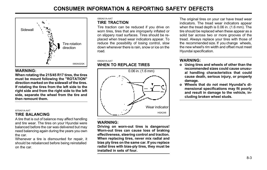

# WARNING:

When rotating the 215/45 R17 tires, the tires must be mount following the "ROTATION" direction marked on the sidewall of the tires. If rotating the tires from the left side to the right side and from the right side to the left side, separate the wheel from the tire and then remount them.

#### I070A01A-AAT

# TIRE BALANCING

A tire that is out of balance may affect handling and tire wear. The tires on your Hyundai were balanced before the car was delivered but may need balancing again during the years you own the car.

Whenever a tire is dismounted for repair, it should be rebalanced before being reinstalled on the car.

#### I080A01A-AAT TIRE TRACTION

Tire traction can be reduced if you drive on worn tires, tires that are improperly inflated or on slippery road surfaces. Tires should be replaced when tread wear indicators appear. To reduce the possibility of losing control, slow down whenever there is rain, snow or ice on the road.

#### I090A01A-AAT WHEN TO REPLACE TIRES



# WARNING:

Driving on worn-out tires is dangerous! Worn-out tires can cause loss of braking effectiveness, steering control and traction. When replacing tires, never mix radial and bias ply tires on the same car. If you replace radial tires with bias-ply tires, they must be installed in sets of four.

The original tires on your car have tread wear indicators. The tread wear indicators appear when the tread depth is 0.06 in. (1.6 mm). The tire should be replaced when these appear as a solid bar across two or more grooves of the tread. Always replace your tires with those of the recommended size. If you change wheels, the new wheel's rim width and offset must meet Hyundai specification.

# WARNING:

- o Using tires and wheels of other than the recommended sizes could cause unusual handling characteristics that could cause death, serious injury, or property damage.
- o Wheels that do not meet Hyundai's dimensional specifications may fit poorly and result in damage to the vehicle, including broken wheel studs.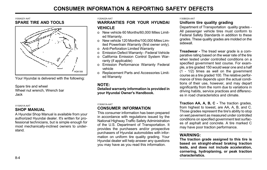#### I100A02Y-AAT SPARE TIRE AND TOOLS



Your Hyundai is delivered with the following:

Spare tire and wheel Wheel nut wrench, Wrench bar Jack

#### I110A01A-AAT

### SHOP MANUAL

A Hyundai Shop Manual is available from your authorized Hyundai dealer. It's written for professional technicians, but is simple enough for most mechanically-inclined owners to understand.

#### I120A02A-AAT

### WARRANTIES FOR YOUR HYUNDAI **VEHICLE**

- o New vehicle 60 Months/60,000 Miles Limited Warranty.
- o New vehicle 120 Months/100,000 Miles Limited Powertrain Warranty (first owner only).
- o Anti-Perforation Limited Warranty
- o Emission Defect Warranty Federal Vehicle
- o California Emission Control System Warranty (if applicable)
- o Emission Performance Warranty Federal vehicle
- o Replacement Parts and Accessories Limited Warranty

# NOTE:

Detailed warranty information is provided in your Hyundai Owner's Handbook.

#### I130A01A-AAT

# CONSUMER INFORMATION

This consumer information has been prepared in accordance with regulations issued by the National Highway Traffic Safety Administration of the U.S. Department of Transportation. It provides the purchasers and/or prospective purchasers of Hyundai automobiles with information on uniform tire quality grading. Your Hyundai dealer will help answer any questions you may have as you read this information.

#### I130B02A-AAT

# Uniform tire quality grading

Department of Transportation quality grades - All passenger vehicle tires must conform to Federal Safety Standards in addition to these grades. These quality grades are molded on the sidewall.

**Treadwear - The tread wear grade is a com**parative rating based on the wear rate of the tire when tested under controlled conditions on a specified government test course. For example, a tire graded 150 would wear one and a half  $(1 - 1/2)$  times as well on the government course as a tire graded 100. The relative performance of tires depends upon the actual conditions of their use, however, and may depart significantly from the norm due to variations in driving habits, service practices and differences in road characteristics and climate.

Traction AA, A, B, C - The traction grades, from highest to lowest, are AA, A, B, and C. Those grades represent the tire's ability to stop on wet pavement as measured under controlled conditions on specified government test surfaces of asphalt and concrete. A tire marked C may have poor traction performance.

# WARNING:

The traction grade assigned to this tire is based on straight-ahead braking traction tests, and does not include acceleration, cornering, hydroplaning, or peak traction characteristics.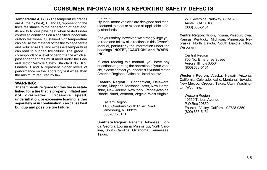Temperature A, B, C - The temperature grades are A (the highest), B, and C, representing the tire's resistance to the generation of heat and its ability to dissipate heat when tested under controlled conditions on a specified indoor laboratory test wheel. Sustained high temperature can cause the material of the tire to degenerate and reduce tire life, and excessive temperature can lead to sudden tire failure. The grade C corresponds to a level of performance which all passenger car tires must meet under the Federal Motor Vehicle Safety Standard No. 109. Grades B and A represent higher levels of performance on the laboratory test wheel than the minimum required by law.

# WARNING:

The temperature grade for this tire is established for a tire that is properly inflated and not overloaded. Excessive speed, underinflation, or excessive loading, either separately or in combination, can cause heat buildup and possible tire failure.

#### I130D02A-AAT

Hyundai motor vehicles are designed and manufactured to meet or exceed all applicable safety standards.

For your safety, however, we strongly urge you to read and follow all directions in this Owner's Manual, particularly the information under the headings "NOTE", "CAUTION" and "WARN-ING".

If, after reading this manual, you have any questions regarding the operation of your vehicle, please contact your nearest Hyundai Motor America Regional Office as listed below:

Eastern Region : Connecticut, Delaware, Maine, Maryland, Massachusetts, New Hampshire, New Jersey, New York, Pennsylvanina, Rhode Island, Vermont, Virginia, West Virginia.

Eastern Region 1100 Cranbury South River Road Jamesburg, NJ 08831 (800) 633-5151

Southern Region: Alabama, Arkansas, Florida, Georgia, Louisiana, Mississippi, North Carolina, South Carolina, Oklahoma, Tennessee, Texas.

270 Riverside Parkway, Suite A Austell, GA 30168 (800) 633-5151

Central Region: Illinois, Indiana, Missouri, lowa, Kansas, Kentucky, Michigan, Minnesota, Nebraska, North Dakota, South Dakota, Ohio, Wisconsin.

Central Region 700 No. Enterprise Street Aurora, Illinois 60504 (800) 633-5151

Western Region: Alaska, Hawaii, Arizona, California, Colorado, ldaho, Montana, Nevada, New Mexico, Oregon, Texas, Utah, Washington, Wyoming.

Western Region 10550 Talbert Avenue P.O.Box 20850 Fountain Valley, California 92728-0850 (800) 633-5151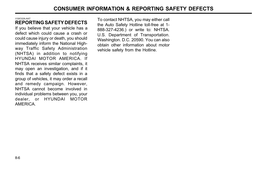#### I130C02A-AAT

# REPORTING SAFETY DEFECTS

If you believe that your vehicle has a defect which could cause a crash or could cause injury or death, you should immediately inform the National Highway Traffic Safety Administration (NHTSA) in addition to notifying HYUNDAI MOTOR AMERICA. If NHTSA receives similar complaints, it may open an investigation, and if it finds that a safety defect exists in a group of vehicles, it may order a recall and remedy campaign. However, NHTSA cannot become involved in individual problems between you, your dealer, or HYUNDAI MOTOR AMERICA.

To contact NHTSA, you may either call the Auto Safety Hotline toll-free at 1- 888-327-4236.) or write to: NHTSA. U.S. Department of Transportation. Washington. D.C. 20590. You can also obtain other information about motor vehicle safety from the Hotline.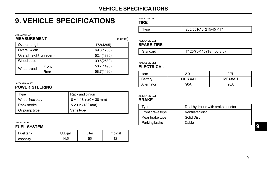# VEHICLE SPECIFICATIONS

# 9. VEHICLE SPECIFICATIONS

J030A01GK-AAT

TIRE

| vpe | 205/55 R16, 215/45 R17 |
|-----|------------------------|
|-----|------------------------|

J035A01GK-GAT

### SPARE TIRE

|  | Standard | T125/70R 16 (Temporary) |
|--|----------|-------------------------|
|--|----------|-------------------------|

J040A02GK-GET

# ELECTRICAL

| Item              | 2.0 <sub>L</sub> | 271     |
|-------------------|------------------|---------|
| Battery           | MF 68AH          | MF 68AH |
| 90A<br>Alternator |                  | 95A     |

#### J050A01GK-GAT

### BRAKE

| Type             | Dual hydraulic with brake booster |
|------------------|-----------------------------------|
| Front brake type | Ventilated disc                   |
| Rear brake type  | Solid Disc                        |
| Parking brake    | Cable                             |

#### MEASUREMENT Overall length Overall width Overall height (unladen) Wheel base Front Rear 173(4395) 69.3(1760) 52.4(1330) 99.6(2530) 58.7(1490) 58.7(1490) Wheel tread in.(mm)

#### J020A01GK-AAT

J010A01GK-AAT

# POWER STEERING

| Tvpe            | Rack and pinion                   |
|-----------------|-----------------------------------|
| Wheel free play | $0 \sim 1.18$ in.(0 $\sim$ 30 mm) |
| Rack stroke     | 5.20 in. (132 mm)                 |
| Oil pump type   | Vane type                         |

J060A01F-AAT

### FUEL SYSTEM

| Fuel tank | US.gal | _iter | Imp.gal |
|-----------|--------|-------|---------|
| capacity  | '4.5   | 55    |         |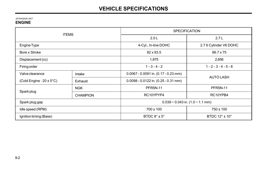#### J070A02GK-AAT ENGINE

| <b>ITEMS</b>                                         |                        | <b>SPECIFICATION</b>                   |                         |  |
|------------------------------------------------------|------------------------|----------------------------------------|-------------------------|--|
|                                                      |                        | 2.0L                                   | 2.7L                    |  |
| Engine Type                                          |                        | 4-Cyl., In-line DOHC                   | 2.7 6 Cylinder V6 DOHC  |  |
| Bore x Stroke                                        | 82 x 93.5<br>86.7 x 75 |                                        |                         |  |
| Displacement (cc)                                    |                        | 1,975                                  | 2,656                   |  |
| Firing order                                         |                        | $1 - 3 - 4 - 2$                        | $1 - 2 - 3 - 4 - 5 - 6$ |  |
| Valve clearance                                      | Intake                 | $0.0067 - 0.0091$ in. (0.17 - 0.23 mm) | <b>AUTO LASH</b>        |  |
| (Cold Engine: $20 \pm 5^{\circ}$ C)                  | Exhaust                | $0.0098 - 0.0122$ in. (0.25 - 0.31 mm) |                         |  |
|                                                      | <b>NGK</b>             | <b>PFR5N-11</b>                        | <b>PFR5N-11</b>         |  |
| Spark plug                                           | <b>CHAMPION</b>        | RC10YPYP4                              | RC10YPB4                |  |
| Spark plug gap                                       |                        | $0.039 - 0.043$ in. $(1.0 - 1.1$ mm)   |                         |  |
| Idle speed (RPM)                                     |                        | $700 \pm 100$                          | $750 \pm 100$           |  |
| BTDC $8^\circ \pm 5^\circ$<br>Ignition timing (Base) |                        | BTDC $12^{\circ}$ ± $10^{\circ}$       |                         |  |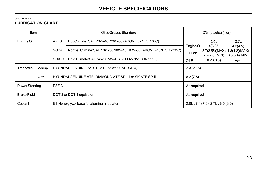# VEHICLE SPECIFICATIONS

#### J080A02GK-AAT

# LUBRICATION CHART

| Item               |        |         | Oil & Grease Standard                                            | Q'ty (us.qts.) (liter)        |                  |               |
|--------------------|--------|---------|------------------------------------------------------------------|-------------------------------|------------------|---------------|
| Engine Oil         |        | API SH. | Hot Climate: SAE 20W-40, 20W-50 (ABOVE 32°F OR 0°C)              |                               | 2.0 <sub>L</sub> | 2.7L          |
|                    |        |         |                                                                  | Engine Oil                    | 4(3.85)          | 4.2(4.5)      |
|                    |        | SG or   | Normal Climate: SAE 10W-30 10W-40, 10W-50 (ABOVE -10°F OR -23°C) | Oil Pan                       | 3.7(3.55)(MAX)   | 4.3(4.2)(MAX) |
|                    |        |         |                                                                  |                               | 2.7(2.6)(MIN)    | 3.5(3.4)(MIN) |
|                    |        |         | SG/CD<br>Cold Climate: SAE 5W-30 5W-40 (BELOW 95°F OR 35°C)      | <b>Oil Filter</b>             | 0.23(0.3)        | ←             |
| Transaxle          | Manual |         | HYUNDAI GENUINE PARTS MTF 75W/90 (API GL-4)                      | 2.3(2.15)                     |                  |               |
|                    | Auto   |         | HYUNDAI GENUINE ATF, DIAMOND ATF SP-III or SK ATF SP-III         | 8.2(7.8)                      |                  |               |
| Power Steering     |        | PSF-3   |                                                                  | As required                   |                  |               |
| <b>Brake Fluid</b> |        |         | DOT 3 or DOT 4 equivalent                                        | As required                   |                  |               |
| Coolant            |        |         | Ethylene glycol base for aluminum radiator                       | 2.0L: 7.4(7.0) 2.7L: 8.5(8.0) |                  |               |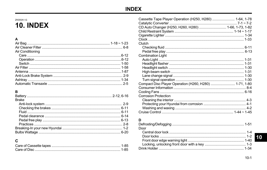# ZK000A1-G 10. INDEX

# $\overline{A}$

| Air Conditioning |  |
|------------------|--|
|                  |  |
|                  |  |
|                  |  |
|                  |  |
|                  |  |
|                  |  |
|                  |  |
|                  |  |

# $\mathbf B$

| <b>Brake</b> |  |
|--------------|--|
|              |  |
|              |  |
|              |  |
|              |  |
|              |  |
|              |  |
|              |  |
|              |  |
|              |  |

# $\mathbf c$

| Cassette Tape Player Operation (H250, H280)  1-64, 1-78 |  |
|---------------------------------------------------------|--|
| CD Auto Changer (H250, H260, H280)  1-66, 1-73, 1-82    |  |
|                                                         |  |
|                                                         |  |
|                                                         |  |
| Clutch                                                  |  |
|                                                         |  |
|                                                         |  |
| Combination Light                                       |  |
|                                                         |  |
|                                                         |  |
|                                                         |  |
|                                                         |  |
|                                                         |  |
|                                                         |  |
| Compact Disc Player Operation (H260, H280)  1-71, 1-80  |  |
|                                                         |  |
|                                                         |  |
| Corrosion Protection                                    |  |
|                                                         |  |
|                                                         |  |
|                                                         |  |
|                                                         |  |
|                                                         |  |

# D

| Door |  |
|------|--|
|      |  |
|      |  |
|      |  |
|      |  |
|      |  |

10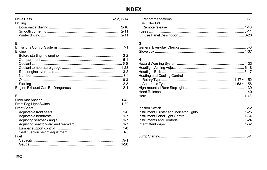# **INDEX**

| Driving |  |
|---------|--|
|         |  |
|         |  |
|         |  |

# $\mathsf E$

| Engine |  |
|--------|--|
|        |  |
|        |  |
|        |  |
|        |  |
|        |  |
|        |  |
|        |  |
|        |  |
|        |  |

# $\mathsf F$

| <b>Front Seats</b> |  |
|--------------------|--|
|                    |  |
|                    |  |
|                    |  |
|                    |  |
|                    |  |
|                    |  |
| Fuel               |  |
|                    |  |
|                    |  |

| Fuel Filler Lid |  |
|-----------------|--|
|                 |  |
|                 |  |
|                 |  |

# $\mathbf G$

### $H$

| <b>Heating and Cooling Control</b> |  |
|------------------------------------|--|
|                                    |  |
|                                    |  |
|                                    |  |
|                                    |  |
|                                    |  |
|                                    |  |

# $\mathbf{I}$

# $\mathsf{J}$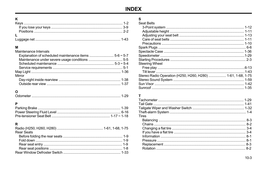# **INDEX**

# $\mathsf{K}$

# **M**<br>Mainte

| Maintenance Intervals |  |
|-----------------------|--|
|                       |  |
|                       |  |
|                       |  |
|                       |  |
|                       |  |
| Mirror                |  |
|                       |  |
|                       |  |
|                       |  |

# $\mathbf{o}$

|--|--|

# $\mathsf{P}$

# $\, {\bf R}$

| <b>Rear Seats</b> |  |
|-------------------|--|
|                   |  |
|                   |  |
|                   |  |
|                   |  |
|                   |  |

# $\mathsf{s}$

| Seat Belts                                                  |  |
|-------------------------------------------------------------|--|
|                                                             |  |
|                                                             |  |
|                                                             |  |
|                                                             |  |
|                                                             |  |
|                                                             |  |
|                                                             |  |
|                                                             |  |
|                                                             |  |
| Steering Wheel                                              |  |
|                                                             |  |
|                                                             |  |
| Stereo Radio Operation (H250, H260, H280)  1-61, 1-68, 1-75 |  |
|                                                             |  |
|                                                             |  |
|                                                             |  |
|                                                             |  |

# $\frac{1}{T}$

| <b>Tires</b> |  |
|--------------|--|
|              |  |
|              |  |
|              |  |
|              |  |
|              |  |
|              |  |
|              |  |
|              |  |
|              |  |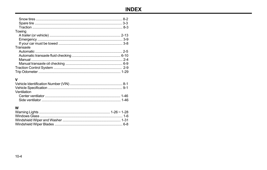| Towing    |  |
|-----------|--|
|           |  |
|           |  |
|           |  |
| Transaxle |  |
|           |  |
|           |  |
|           |  |
|           |  |
|           |  |
|           |  |
|           |  |

# $\mathbf v$

| Ventilation |  |
|-------------|--|
|             |  |
|             |  |

# W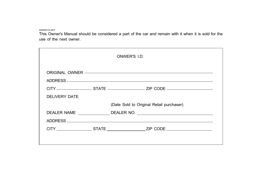A000A01A-AAT

This Owner's Manual should be considered a part of the car and remain with it when it is sold for the use of the next owner.